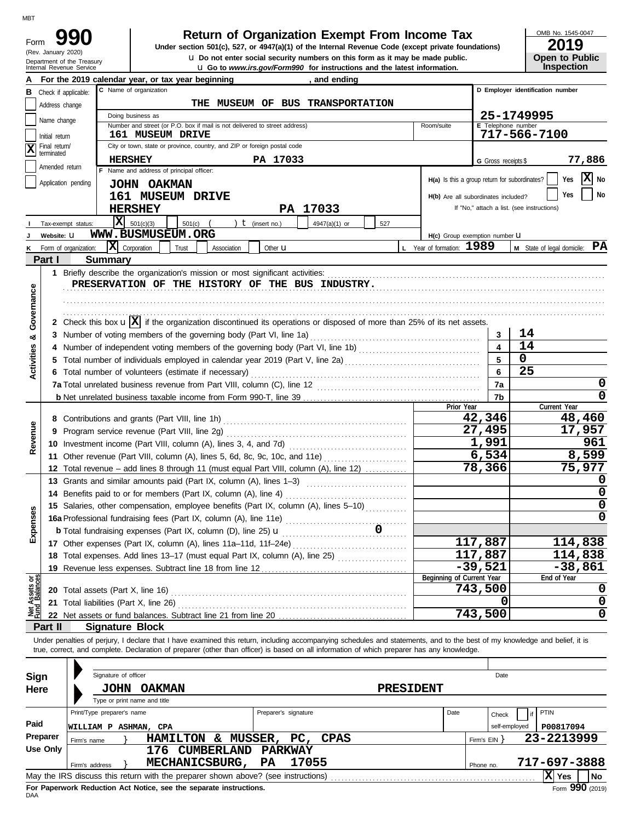Department of the Treasury<br>Internal Revenue Service Form (Rev. January 2020)

### **Return of Organization Exempt From Income Tax**

**u** Go to *www.irs.gov/Form990* for instructions and the latest information. **u** Do not enter social security numbers on this form as it may be made public. **Under section 501(c), 527, or 4947(a)(1) of the Internal Revenue Code (except private foundations)** OMB No. 1545-0047

| ZUIJ                  |  |
|-----------------------|--|
| <b>Open to Public</b> |  |
| <b>Inspection</b>     |  |

|                                |                             |                       | For the 2019 calendar year, or tax year beginning<br>, and ending                                                                                                          |                                               |                         |                                                 |  |  |
|--------------------------------|-----------------------------|-----------------------|----------------------------------------------------------------------------------------------------------------------------------------------------------------------------|-----------------------------------------------|-------------------------|-------------------------------------------------|--|--|
| в                              | Check if applicable:        |                       | C Name of organization                                                                                                                                                     |                                               |                         | D Employer identification number                |  |  |
|                                | Address change              |                       | <b>THE MUSEUM OF BUS TRANSPORTATION</b>                                                                                                                                    |                                               |                         |                                                 |  |  |
|                                | Name change                 |                       | Doing business as                                                                                                                                                          |                                               |                         | 25-1749995                                      |  |  |
|                                |                             |                       | Number and street (or P.O. box if mail is not delivered to street address)                                                                                                 | Room/suite                                    | E Telephone number      |                                                 |  |  |
|                                | Initial return              |                       | <b>161 MUSEUM DRIVE</b>                                                                                                                                                    |                                               |                         | 717-566-7100                                    |  |  |
| X                              | Final return/<br>terminated |                       | City or town, state or province, country, and ZIP or foreign postal code                                                                                                   |                                               |                         |                                                 |  |  |
|                                | Amended return              |                       | <b>HERSHEY</b><br>PA 17033                                                                                                                                                 |                                               | G Gross receipts \$     | 77,886                                          |  |  |
|                                |                             |                       | F Name and address of principal officer:                                                                                                                                   | H(a) Is this a group return for subordinates? |                         | $\mathbf{X}$ No<br>Yes                          |  |  |
|                                |                             | Application pending   | JOHN OAKMAN                                                                                                                                                                |                                               |                         |                                                 |  |  |
|                                |                             |                       | 161 MUSEUM DRIVE                                                                                                                                                           | H(b) Are all subordinates included?           |                         | No<br>Yes                                       |  |  |
|                                |                             |                       | PA 17033<br><b>HERSHEY</b>                                                                                                                                                 |                                               |                         | If "No," attach a list. (see instructions)      |  |  |
|                                |                             | Tax-exempt status:    | $ \mathbf{x} $<br>501(c)(3)<br>501(c)<br>) $t$ (insert no.)<br>4947(a)(1) or<br>527                                                                                        |                                               |                         |                                                 |  |  |
|                                | Website: U                  |                       | WWW.BUSMUSEUM.ORG                                                                                                                                                          | H(c) Group exemption number U                 |                         |                                                 |  |  |
| ĸ                              |                             | Form of organization: | X Corporation<br>Other <b>u</b><br>Trust<br>Association                                                                                                                    | L Year of formation: 1989                     |                         | <b>M</b> State of legal domicile: $\mathbf{PA}$ |  |  |
|                                | Part I                      |                       | <b>Summary</b>                                                                                                                                                             |                                               |                         |                                                 |  |  |
|                                |                             |                       |                                                                                                                                                                            |                                               |                         |                                                 |  |  |
|                                |                             |                       | PRESERVATION OF THE HISTORY OF THE BUS INDUSTRY.                                                                                                                           |                                               |                         |                                                 |  |  |
|                                |                             |                       |                                                                                                                                                                            |                                               |                         |                                                 |  |  |
| Governance                     |                             |                       |                                                                                                                                                                            |                                               |                         |                                                 |  |  |
|                                |                             |                       | 2 Check this box $\mathbf{u} \mathbf{X} $ if the organization discontinued its operations or disposed of more than 25% of its net assets.                                  |                                               |                         |                                                 |  |  |
| ಯ                              |                             |                       | 3 Number of voting members of the governing body (Part VI, line 1a)                                                                                                        |                                               | 3                       | 14                                              |  |  |
|                                |                             |                       |                                                                                                                                                                            |                                               | $\overline{\mathbf{4}}$ | 14                                              |  |  |
|                                |                             |                       |                                                                                                                                                                            |                                               | 5                       | 0                                               |  |  |
| <b>Activities</b>              |                             |                       | 6 Total number of volunteers (estimate if necessary)                                                                                                                       |                                               | 6                       | 25                                              |  |  |
|                                |                             |                       |                                                                                                                                                                            | 7a                                            | 0                       |                                                 |  |  |
|                                |                             |                       |                                                                                                                                                                            |                                               | 7b                      | 0                                               |  |  |
|                                |                             |                       |                                                                                                                                                                            | Prior Year                                    |                         | Current Year                                    |  |  |
|                                |                             |                       |                                                                                                                                                                            |                                               | 42,346                  | 48,460                                          |  |  |
| Revenue                        |                             |                       | 9 Program service revenue (Part VIII, line 2g)                                                                                                                             | 27,495                                        | 17,957                  |                                                 |  |  |
|                                |                             |                       | 10 Investment income (Part VIII, column (A), lines 3, 4, and 7d)                                                                                                           |                                               | 1,991                   | 961                                             |  |  |
|                                |                             |                       | 11 Other revenue (Part VIII, column (A), lines 5, 6d, 8c, 9c, 10c, and 11e)                                                                                                |                                               | 6,534                   | 8,599                                           |  |  |
|                                |                             |                       | 12 Total revenue - add lines 8 through 11 (must equal Part VIII, column (A), line 12)                                                                                      |                                               | 78,366                  | 75,977                                          |  |  |
|                                |                             |                       | 13 Grants and similar amounts paid (Part IX, column (A), lines 1-3)                                                                                                        |                                               |                         | 0                                               |  |  |
|                                | 14                          |                       | Benefits paid to or for members (Part IX, column (A), line 4)                                                                                                              |                                               |                         | 0                                               |  |  |
|                                |                             |                       | 15 Salaries, other compensation, employee benefits (Part IX, column (A), lines 5-10)                                                                                       |                                               |                         | $\mathbf 0$                                     |  |  |
|                                |                             |                       | 16a Professional fundraising fees (Part IX, column (A), line 11e)                                                                                                          |                                               |                         | 0                                               |  |  |
| xpenses                        |                             |                       | 0<br><b>b</b> Total fundraising expenses (Part IX, column (D), line 25) $\mathbf{u}$                                                                                       |                                               |                         |                                                 |  |  |
| ŵ                              |                             |                       | 17 Other expenses (Part IX, column (A), lines 11a-11d, 11f-24e)                                                                                                            | $\overline{1}17,887$                          | 114,838                 |                                                 |  |  |
|                                |                             |                       | 18 Total expenses. Add lines 13-17 (must equal Part IX, column (A), line 25)                                                                                               |                                               | 117,887                 | 114,838                                         |  |  |
|                                |                             |                       | 19 Revenue less expenses. Subtract line 18 from line 12                                                                                                                    |                                               | $-39,521$               | $-38,861$                                       |  |  |
|                                |                             |                       |                                                                                                                                                                            | Beginning of Current Year                     |                         | End of Year                                     |  |  |
| Net Assets or<br>Fund Balances |                             |                       | 20 Total assets (Part X, line 16)                                                                                                                                          |                                               | 743,500                 | $\mathbf 0$                                     |  |  |
|                                |                             |                       | 21 Total liabilities (Part X, line 26)                                                                                                                                     |                                               | 0                       | $\mathbf 0$                                     |  |  |
|                                |                             |                       |                                                                                                                                                                            |                                               | 743,500                 | $\mathbf 0$                                     |  |  |
|                                | Part II                     |                       | <b>Signature Block</b>                                                                                                                                                     |                                               |                         |                                                 |  |  |
|                                |                             |                       | Under penalties of perjury, I declare that I have examined this return, including accompanying schedules and statements, and to the best of my knowledge and belief, it is |                                               |                         |                                                 |  |  |
|                                |                             |                       | true, correct, and complete. Declaration of preparer (other than officer) is based on all information of which preparer has any knowledge.                                 |                                               |                         |                                                 |  |  |
|                                |                             |                       |                                                                                                                                                                            |                                               |                         |                                                 |  |  |
| Sign                           |                             |                       | Signature of officer                                                                                                                                                       |                                               | Date                    |                                                 |  |  |
| Here                           |                             |                       | <b>PRESIDENT</b><br><b>JOHN</b><br><b>OAKMAN</b>                                                                                                                           |                                               |                         |                                                 |  |  |
|                                |                             |                       | Type or print name and title                                                                                                                                               |                                               |                         |                                                 |  |  |
|                                |                             |                       | Print/Type preparer's name<br>Preparer's signature                                                                                                                         | Date                                          | Check                   | <b>PTIN</b>                                     |  |  |
| Paid                           |                             |                       | WILLIAM P ASHMAN, CPA                                                                                                                                                      |                                               | self-employed           | P00817094                                       |  |  |
|                                | Preparer                    | Firm's name           | HAMILTON & MUSSER,<br>PC,<br><b>CPAS</b>                                                                                                                                   |                                               | Firm's $EIN$ }          | 23-2213999                                      |  |  |
|                                | Use Only                    |                       | 176 CUMBERLAND<br><b>PARKWAY</b>                                                                                                                                           |                                               |                         |                                                 |  |  |
|                                |                             | Firm's address        | MECHANICSBURG,<br>17055<br>PA                                                                                                                                              |                                               | Phone no.               | 717-697-3888                                    |  |  |
|                                |                             |                       | May the IRS discuss this return with the preparer shown above? (see instructions)                                                                                          |                                               |                         | $ \mathbf{X} $ Yes<br>No                        |  |  |

| Sign<br>Here | Signature of officer<br><b>OAKMAN</b><br><b>JOHN</b>                                                    | <b>PRESIDENT</b>              | Date |                            |  |  |  |  |  |  |  |
|--------------|---------------------------------------------------------------------------------------------------------|-------------------------------|------|----------------------------|--|--|--|--|--|--|--|
|              | Type or print name and title                                                                            |                               |      |                            |  |  |  |  |  |  |  |
|              | Print/Type preparer's name                                                                              | Preparer's signature          | Date | PTIN<br>Check              |  |  |  |  |  |  |  |
| Paid         | ASHMAN, CPA<br>WILLIAM P                                                                                |                               |      | self-employed<br>P00817094 |  |  |  |  |  |  |  |
| Preparer     | HAMILTON &<br>Firm's name                                                                               | MUSSER,<br>PC.<br><b>CPAS</b> |      | 23-2213999<br>Firm's $EIN$ |  |  |  |  |  |  |  |
| Use Only     | <b>CUMBERLAND</b><br>176                                                                                | <b>PARKWAY</b>                |      |                            |  |  |  |  |  |  |  |
|              | MECHANICSBURG,<br>Firm's address                                                                        | 17055<br><b>PA</b>            |      | 717-697-3888<br>Phone no.  |  |  |  |  |  |  |  |
|              | IхI<br>May the IRS discuss this return with the preparer shown above? (see instructions)<br>  No<br>Yes |                               |      |                            |  |  |  |  |  |  |  |
| <b>DAA</b>   | Form 990 (2019)<br>For Paperwork Reduction Act Notice, see the separate instructions.                   |                               |      |                            |  |  |  |  |  |  |  |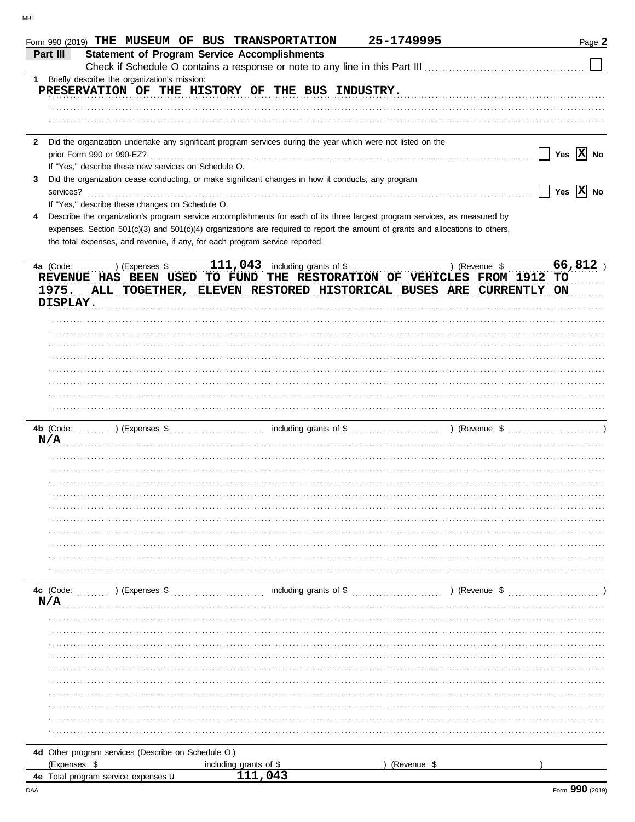|              | 25-1749995<br>Form 990 (2019) THE MUSEUM OF BUS TRANSPORTATION                                                                 | Page 2     |
|--------------|--------------------------------------------------------------------------------------------------------------------------------|------------|
|              | <b>Statement of Program Service Accomplishments</b><br>Part III                                                                |            |
|              |                                                                                                                                |            |
| 1            | Briefly describe the organization's mission:                                                                                   |            |
|              | PRESERVATION OF THE HISTORY OF THE BUS INDUSTRY.                                                                               |            |
|              |                                                                                                                                |            |
|              |                                                                                                                                |            |
|              |                                                                                                                                |            |
|              |                                                                                                                                |            |
| $\mathbf{2}$ | Did the organization undertake any significant program services during the year which were not listed on the                   | Yes $X$ No |
|              | prior Form 990 or 990-EZ?                                                                                                      |            |
|              | If "Yes," describe these new services on Schedule O.                                                                           |            |
| 3            | Did the organization cease conducting, or make significant changes in how it conducts, any program                             |            |
|              | services?                                                                                                                      | Yes $X$ No |
|              | If "Yes," describe these changes on Schedule O.                                                                                |            |
| 4            | Describe the organization's program service accomplishments for each of its three largest program services, as measured by     |            |
|              | expenses. Section 501(c)(3) and 501(c)(4) organizations are required to report the amount of grants and allocations to others, |            |
|              | the total expenses, and revenue, if any, for each program service reported.                                                    |            |
|              |                                                                                                                                |            |
|              | 111, 043 including grants of \$<br>4a (Code:<br>) (Expenses \$<br>) (Revenue \$                                                | $66,812$ ) |
|              | REVENUE HAS BEEN USED TO FUND THE RESTORATION OF VEHICLES FROM 1912                                                            | TO         |
|              | 1975.<br>ALL TOGETHER, ELEVEN RESTORED HISTORICAL BUSES ARE CURRENTLY ON                                                       |            |
|              | DISPLAY.                                                                                                                       |            |
|              |                                                                                                                                |            |
|              |                                                                                                                                |            |
|              |                                                                                                                                |            |
|              |                                                                                                                                |            |
|              |                                                                                                                                |            |
|              |                                                                                                                                |            |
|              |                                                                                                                                |            |
|              |                                                                                                                                |            |
|              |                                                                                                                                |            |
|              |                                                                                                                                |            |
|              |                                                                                                                                |            |
|              |                                                                                                                                |            |
|              |                                                                                                                                |            |
|              | N/A                                                                                                                            |            |
|              |                                                                                                                                |            |
|              |                                                                                                                                |            |
|              |                                                                                                                                |            |
|              |                                                                                                                                |            |
|              |                                                                                                                                |            |
|              |                                                                                                                                |            |
|              |                                                                                                                                |            |
|              |                                                                                                                                |            |
|              |                                                                                                                                |            |
|              |                                                                                                                                |            |
|              |                                                                                                                                |            |
|              |                                                                                                                                |            |
|              | 4c (Code:<br>$\ldots$ , $(Express $$<br>$\ldots$ including grants of \$<br>) (Revenue \$                                       |            |
|              | N/A                                                                                                                            |            |
|              |                                                                                                                                |            |
|              |                                                                                                                                |            |
|              |                                                                                                                                |            |
|              |                                                                                                                                |            |
|              |                                                                                                                                |            |
|              |                                                                                                                                |            |
|              |                                                                                                                                |            |
|              |                                                                                                                                |            |
|              |                                                                                                                                |            |
|              |                                                                                                                                |            |
|              |                                                                                                                                |            |
|              |                                                                                                                                |            |
|              | 4d Other program services (Describe on Schedule O.)                                                                            |            |
|              | (Expenses \$<br>including grants of \$<br>(Revenue \$<br>111,043                                                               |            |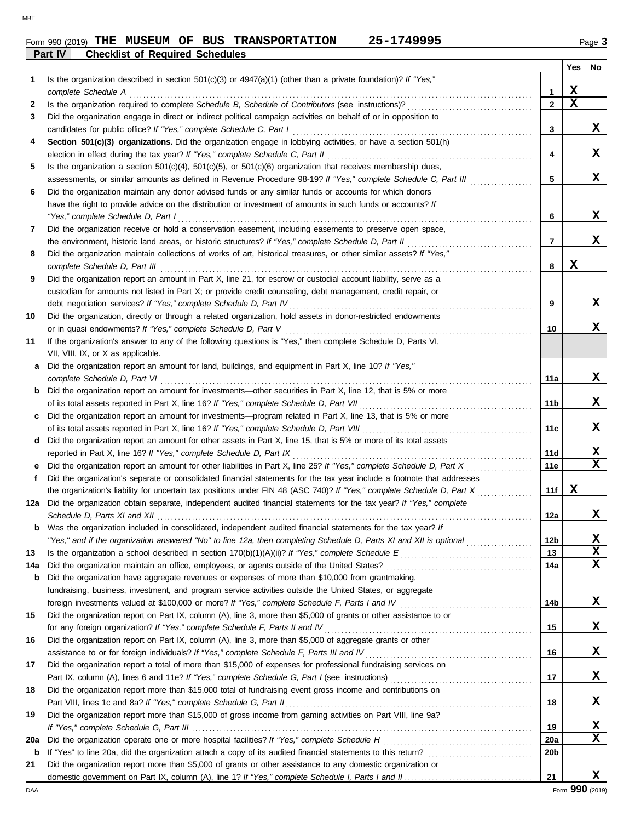### **Part IV Checklist of Required Schedules Form 990 (2019) THE MUSEUM OF BUS TRANSPORTATION 25-1749995** Page 3

|     |                                                                                                                                                                               |                 | Yes         | No          |
|-----|-------------------------------------------------------------------------------------------------------------------------------------------------------------------------------|-----------------|-------------|-------------|
| 1   | Is the organization described in section $501(c)(3)$ or $4947(a)(1)$ (other than a private foundation)? If "Yes,"                                                             |                 |             |             |
|     | complete Schedule A                                                                                                                                                           | 1               | х           |             |
| 2   |                                                                                                                                                                               | $\mathbf 2$     | $\mathbf x$ |             |
| 3   | Did the organization engage in direct or indirect political campaign activities on behalf of or in opposition to                                                              |                 |             |             |
|     | candidates for public office? If "Yes," complete Schedule C, Part I                                                                                                           | 3               |             | X           |
| 4   | Section 501(c)(3) organizations. Did the organization engage in lobbying activities, or have a section 501(h)                                                                 |                 |             |             |
|     | election in effect during the tax year? If "Yes," complete Schedule C, Part II                                                                                                | 4               |             | x           |
| 5   | Is the organization a section $501(c)(4)$ , $501(c)(5)$ , or $501(c)(6)$ organization that receives membership dues,                                                          |                 |             |             |
|     | assessments, or similar amounts as defined in Revenue Procedure 98-19? If "Yes," complete Schedule C, Part III                                                                | 5               |             | x           |
| 6   | Did the organization maintain any donor advised funds or any similar funds or accounts for which donors                                                                       |                 |             |             |
|     | have the right to provide advice on the distribution or investment of amounts in such funds or accounts? If                                                                   |                 |             |             |
|     | "Yes," complete Schedule D, Part I                                                                                                                                            | 6               |             | x           |
| 7   | Did the organization receive or hold a conservation easement, including easements to preserve open space,                                                                     |                 |             |             |
|     | the environment, historic land areas, or historic structures? If "Yes," complete Schedule D, Part II                                                                          | $\overline{7}$  |             | x           |
| 8   | Did the organization maintain collections of works of art, historical treasures, or other similar assets? If "Yes,"                                                           |                 |             |             |
|     | complete Schedule D, Part III                                                                                                                                                 | 8               | х           |             |
| 9   | Did the organization report an amount in Part X, line 21, for escrow or custodial account liability, serve as a                                                               |                 |             |             |
|     | custodian for amounts not listed in Part X; or provide credit counseling, debt management, credit repair, or                                                                  |                 |             | x           |
|     |                                                                                                                                                                               | 9               |             |             |
| 10  | Did the organization, directly or through a related organization, hold assets in donor-restricted endowments<br>or in quasi endowments? If "Yes," complete Schedule D, Part V | 10              |             | x           |
| 11  | If the organization's answer to any of the following questions is "Yes," then complete Schedule D, Parts VI,                                                                  |                 |             |             |
|     | VII, VIII, IX, or X as applicable.                                                                                                                                            |                 |             |             |
|     | a Did the organization report an amount for land, buildings, and equipment in Part X, line 10? If "Yes,"                                                                      |                 |             |             |
|     | complete Schedule D, Part VI                                                                                                                                                  | 11a             |             | x           |
|     | <b>b</b> Did the organization report an amount for investments—other securities in Part X, line 12, that is 5% or more                                                        |                 |             |             |
|     | of its total assets reported in Part X, line 16? If "Yes," complete Schedule D, Part VII                                                                                      | 11 <sub>b</sub> |             | x           |
| c   | Did the organization report an amount for investments—program related in Part X, line 13, that is 5% or more                                                                  |                 |             |             |
|     |                                                                                                                                                                               | 11c             |             | x           |
| d.  | Did the organization report an amount for other assets in Part X, line 15, that is 5% or more of its total assets                                                             |                 |             |             |
|     | reported in Part X, line 16? If "Yes," complete Schedule D, Part IX                                                                                                           | 11d             |             | X           |
|     | Did the organization report an amount for other liabilities in Part X, line 25? If "Yes," complete Schedule D, Part X                                                         | 11e             |             | $\mathbf x$ |
| f   | Did the organization's separate or consolidated financial statements for the tax year include a footnote that addresses                                                       |                 |             |             |
|     | the organization's liability for uncertain tax positions under FIN 48 (ASC 740)? If "Yes," complete Schedule D, Part X                                                        | 11f             | х           |             |
| 12a | Did the organization obtain separate, independent audited financial statements for the tax year? If "Yes," complete                                                           |                 |             |             |
|     |                                                                                                                                                                               | 12a             |             | X           |
|     | Was the organization included in consolidated, independent audited financial statements for the tax year? If                                                                  |                 |             |             |
|     |                                                                                                                                                                               | 12b             |             | X           |
| 13  |                                                                                                                                                                               | 13              |             | X           |
| 14a |                                                                                                                                                                               | 14a             |             | $\mathbf x$ |
| b   | Did the organization have aggregate revenues or expenses of more than \$10,000 from grantmaking,                                                                              |                 |             |             |
|     | fundraising, business, investment, and program service activities outside the United States, or aggregate                                                                     |                 |             |             |
|     |                                                                                                                                                                               | 14b             |             | X           |
| 15  | Did the organization report on Part IX, column (A), line 3, more than \$5,000 of grants or other assistance to or                                                             |                 |             |             |
|     | for any foreign organization? If "Yes," complete Schedule F, Parts II and IV                                                                                                  | 15              |             | x           |
| 16  | Did the organization report on Part IX, column (A), line 3, more than \$5,000 of aggregate grants or other                                                                    |                 |             |             |
|     | assistance to or for foreign individuals? If "Yes," complete Schedule F, Parts III and IV [[[[[[[[[[[[[[[[[[[                                                                 | 16              |             | x           |
| 17  | Did the organization report a total of more than \$15,000 of expenses for professional fundraising services on                                                                |                 |             |             |
|     |                                                                                                                                                                               | 17              |             | x           |
| 18  | Did the organization report more than \$15,000 total of fundraising event gross income and contributions on                                                                   |                 |             | X           |
|     | Part VIII, lines 1c and 8a? If "Yes," complete Schedule G, Part II                                                                                                            | 18              |             |             |
| 19  | Did the organization report more than \$15,000 of gross income from gaming activities on Part VIII, line 9a?                                                                  | 19              |             | X           |
| 20a |                                                                                                                                                                               | 20a             |             | X           |
| b   |                                                                                                                                                                               | 20 <sub>b</sub> |             |             |
| 21  | Did the organization report more than \$5,000 of grants or other assistance to any domestic organization or                                                                   |                 |             |             |
|     |                                                                                                                                                                               | 21              |             | X           |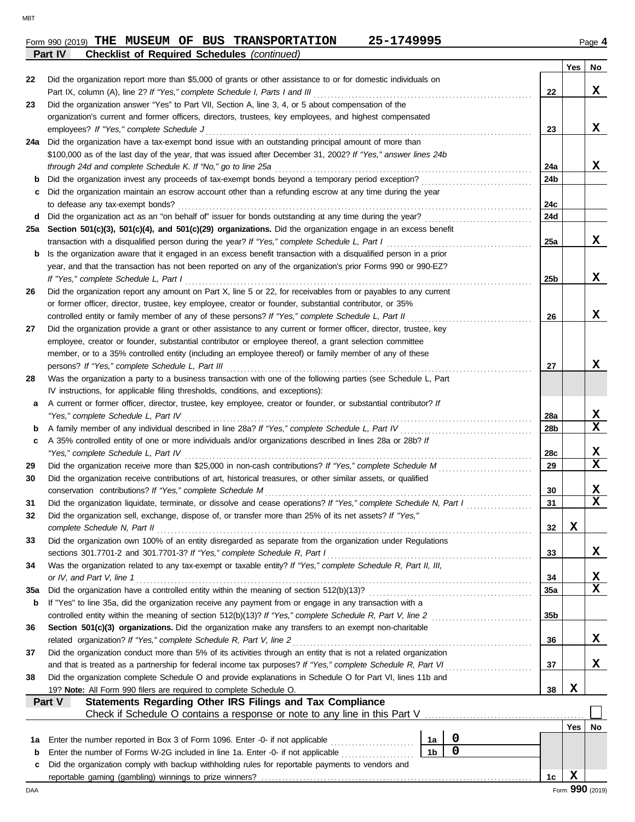|     |                                                                                                                                                                                         |                 |  | Yes        | <b>No</b>   |  |  |  |  |
|-----|-----------------------------------------------------------------------------------------------------------------------------------------------------------------------------------------|-----------------|--|------------|-------------|--|--|--|--|
| 22  | Did the organization report more than \$5,000 of grants or other assistance to or for domestic individuals on                                                                           |                 |  |            |             |  |  |  |  |
|     | Part IX, column (A), line 2? If "Yes," complete Schedule I, Parts I and III                                                                                                             | 22              |  |            | x           |  |  |  |  |
| 23  | Did the organization answer "Yes" to Part VII, Section A, line 3, 4, or 5 about compensation of the                                                                                     |                 |  |            |             |  |  |  |  |
|     | organization's current and former officers, directors, trustees, key employees, and highest compensated                                                                                 |                 |  |            |             |  |  |  |  |
|     | employees? If "Yes," complete Schedule J                                                                                                                                                | 23              |  |            | x           |  |  |  |  |
| 24a | Did the organization have a tax-exempt bond issue with an outstanding principal amount of more than                                                                                     |                 |  |            |             |  |  |  |  |
|     | \$100,000 as of the last day of the year, that was issued after December 31, 2002? If "Yes," answer lines 24b                                                                           |                 |  |            |             |  |  |  |  |
|     | through 24d and complete Schedule K. If "No," go to line 25a                                                                                                                            | 24a             |  |            | x           |  |  |  |  |
| b   | Did the organization invest any proceeds of tax-exempt bonds beyond a temporary period exception?                                                                                       | 24b             |  |            |             |  |  |  |  |
| c   | Did the organization maintain an escrow account other than a refunding escrow at any time during the year<br>to defease any tax-exempt bonds?                                           | 24c             |  |            |             |  |  |  |  |
| d   | Did the organization act as an "on behalf of" issuer for bonds outstanding at any time during the year?                                                                                 | 24d             |  |            |             |  |  |  |  |
| 25a | Section 501(c)(3), 501(c)(4), and 501(c)(29) organizations. Did the organization engage in an excess benefit                                                                            |                 |  |            |             |  |  |  |  |
|     | transaction with a disqualified person during the year? If "Yes," complete Schedule L, Part I                                                                                           | 25a             |  |            | x           |  |  |  |  |
| b   | Is the organization aware that it engaged in an excess benefit transaction with a disqualified person in a prior                                                                        |                 |  |            |             |  |  |  |  |
|     | year, and that the transaction has not been reported on any of the organization's prior Forms 990 or 990-EZ?                                                                            |                 |  |            |             |  |  |  |  |
|     | If "Yes," complete Schedule L, Part I                                                                                                                                                   | 25b             |  |            | X           |  |  |  |  |
| 26  | Did the organization report any amount on Part X, line 5 or 22, for receivables from or payables to any current                                                                         |                 |  |            |             |  |  |  |  |
|     | or former officer, director, trustee, key employee, creator or founder, substantial contributor, or 35%                                                                                 |                 |  |            |             |  |  |  |  |
|     | controlled entity or family member of any of these persons? If "Yes," complete Schedule L, Part II                                                                                      | 26              |  |            | x           |  |  |  |  |
| 27  | Did the organization provide a grant or other assistance to any current or former officer, director, trustee, key                                                                       |                 |  |            |             |  |  |  |  |
|     | employee, creator or founder, substantial contributor or employee thereof, a grant selection committee                                                                                  |                 |  |            |             |  |  |  |  |
|     | member, or to a 35% controlled entity (including an employee thereof) or family member of any of these                                                                                  |                 |  |            |             |  |  |  |  |
|     | persons? If "Yes," complete Schedule L, Part III                                                                                                                                        | 27              |  |            | x           |  |  |  |  |
| 28  | Was the organization a party to a business transaction with one of the following parties (see Schedule L, Part                                                                          |                 |  |            |             |  |  |  |  |
|     | IV instructions, for applicable filing thresholds, conditions, and exceptions):                                                                                                         |                 |  |            |             |  |  |  |  |
| a   | A current or former officer, director, trustee, key employee, creator or founder, or substantial contributor? If                                                                        |                 |  |            |             |  |  |  |  |
|     | "Yes," complete Schedule L, Part IV                                                                                                                                                     | 28a             |  |            | X           |  |  |  |  |
| b   | A family member of any individual described in line 28a? If "Yes," complete Schedule L, Part IV                                                                                         | 28b             |  |            | X           |  |  |  |  |
| c   | A 35% controlled entity of one or more individuals and/or organizations described in lines 28a or 28b? If                                                                               |                 |  |            |             |  |  |  |  |
|     | "Yes," complete Schedule L, Part IV                                                                                                                                                     | 28c             |  |            | X<br>X      |  |  |  |  |
| 29  |                                                                                                                                                                                         | 29              |  |            |             |  |  |  |  |
| 30  | Did the organization receive contributions of art, historical treasures, or other similar assets, or qualified<br>conservation contributions? If "Yes," complete Schedule M             | 30              |  |            | X           |  |  |  |  |
| 31  | Did the organization liquidate, terminate, or dissolve and cease operations? If "Yes," complete Schedule N, Part I                                                                      | 31              |  |            | $\mathbf x$ |  |  |  |  |
| 32  | Did the organization sell, exchange, dispose of, or transfer more than 25% of its net assets? If "Yes,"                                                                                 |                 |  |            |             |  |  |  |  |
|     | complete Schedule N, Part II                                                                                                                                                            | 32              |  | х          |             |  |  |  |  |
| 33  | Did the organization own 100% of an entity disregarded as separate from the organization under Regulations                                                                              |                 |  |            |             |  |  |  |  |
|     | sections 301.7701-2 and 301.7701-3? If "Yes," complete Schedule R, Part I                                                                                                               | 33              |  |            | x           |  |  |  |  |
| 34  | Was the organization related to any tax-exempt or taxable entity? If "Yes," complete Schedule R, Part II, III,                                                                          |                 |  |            |             |  |  |  |  |
|     | or IV, and Part V, line 1                                                                                                                                                               | 34              |  |            | X           |  |  |  |  |
| 35a |                                                                                                                                                                                         | 35a             |  |            | X           |  |  |  |  |
| b   | If "Yes" to line 35a, did the organization receive any payment from or engage in any transaction with a                                                                                 |                 |  |            |             |  |  |  |  |
|     | controlled entity within the meaning of section 512(b)(13)? If "Yes," complete Schedule R, Part V, line 2                                                                               | 35 <sub>b</sub> |  |            |             |  |  |  |  |
| 36  | Section 501(c)(3) organizations. Did the organization make any transfers to an exempt non-charitable                                                                                    |                 |  |            |             |  |  |  |  |
|     | related organization? If "Yes," complete Schedule R, Part V, line 2                                                                                                                     | 36              |  |            | x           |  |  |  |  |
| 37  | Did the organization conduct more than 5% of its activities through an entity that is not a related organization                                                                        |                 |  |            |             |  |  |  |  |
|     | and that is treated as a partnership for federal income tax purposes? If "Yes," complete Schedule R, Part VI<br>37                                                                      |                 |  |            |             |  |  |  |  |
| 38  | Did the organization complete Schedule O and provide explanations in Schedule O for Part VI, lines 11b and                                                                              |                 |  |            |             |  |  |  |  |
|     | 19? Note: All Form 990 filers are required to complete Schedule O.                                                                                                                      | 38              |  | X          |             |  |  |  |  |
|     | Statements Regarding Other IRS Filings and Tax Compliance<br>Part V                                                                                                                     |                 |  |            |             |  |  |  |  |
|     |                                                                                                                                                                                         |                 |  |            |             |  |  |  |  |
|     |                                                                                                                                                                                         | 0               |  | <b>Yes</b> | No          |  |  |  |  |
| 1а  | Enter the number reported in Box 3 of Form 1096. Enter -0- if not applicable<br>1a<br>1 <sub>b</sub><br>Enter the number of Forms W-2G included in line 1a. Enter -0- if not applicable | $\pmb{0}$       |  |            |             |  |  |  |  |
| b   | Did the organization comply with backup withholding rules for reportable payments to vendors and                                                                                        |                 |  |            |             |  |  |  |  |
| c   |                                                                                                                                                                                         | 1c              |  | X          |             |  |  |  |  |
|     |                                                                                                                                                                                         |                 |  |            |             |  |  |  |  |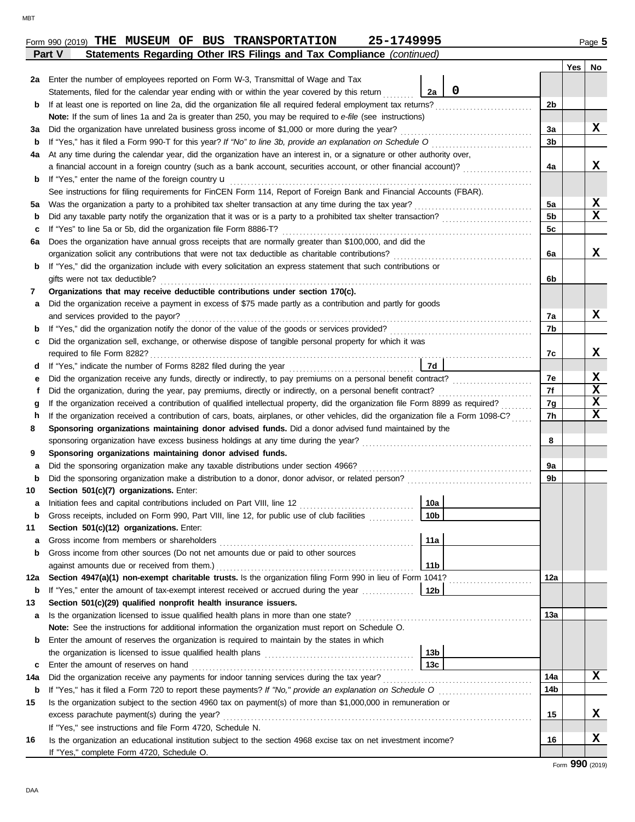|         | Part V<br>Statements Regarding Other IRS Filings and Tax Compliance (continued)                                                    |                 |             |          |     |             |  |  |  |  |  |
|---------|------------------------------------------------------------------------------------------------------------------------------------|-----------------|-------------|----------|-----|-------------|--|--|--|--|--|
|         |                                                                                                                                    |                 |             |          | Yes | No          |  |  |  |  |  |
| 2a      | Enter the number of employees reported on Form W-3, Transmittal of Wage and Tax                                                    |                 |             |          |     |             |  |  |  |  |  |
|         | Statements, filed for the calendar year ending with or within the year covered by this return                                      | 2a              | $\mathbf 0$ |          |     |             |  |  |  |  |  |
| b       | If at least one is reported on line 2a, did the organization file all required federal employment tax returns?                     |                 |             |          |     |             |  |  |  |  |  |
|         | <b>Note:</b> If the sum of lines 1a and 2a is greater than 250, you may be required to e-file (see instructions)                   |                 |             |          |     |             |  |  |  |  |  |
| за      | Did the organization have unrelated business gross income of \$1,000 or more during the year?                                      |                 |             |          |     |             |  |  |  |  |  |
| b       | If "Yes," has it filed a Form 990-T for this year? If "No" to line 3b, provide an explanation on Schedule O [ [ [ [ [ ] ]          |                 |             | 3b       |     |             |  |  |  |  |  |
| 4a      | At any time during the calendar year, did the organization have an interest in, or a signature or other authority over,            |                 |             |          |     |             |  |  |  |  |  |
|         | a financial account in a foreign country (such as a bank account, securities account, or other financial account)?                 |                 |             | 4a       |     | X           |  |  |  |  |  |
| b       | If "Yes," enter the name of the foreign country <b>u</b>                                                                           |                 |             |          |     |             |  |  |  |  |  |
|         | See instructions for filing requirements for FinCEN Form 114, Report of Foreign Bank and Financial Accounts (FBAR).                |                 |             |          |     |             |  |  |  |  |  |
| 5а      | Was the organization a party to a prohibited tax shelter transaction at any time during the tax year?                              |                 |             |          |     |             |  |  |  |  |  |
| b       |                                                                                                                                    |                 |             | 5b       |     | $\mathbf x$ |  |  |  |  |  |
| c       | If "Yes" to line 5a or 5b, did the organization file Form 8886-T?                                                                  |                 |             | 5c       |     |             |  |  |  |  |  |
| 6а      | Does the organization have annual gross receipts that are normally greater than \$100,000, and did the                             |                 |             |          |     |             |  |  |  |  |  |
|         | organization solicit any contributions that were not tax deductible as charitable contributions?                                   |                 |             | 6a       |     | X           |  |  |  |  |  |
| b       | If "Yes," did the organization include with every solicitation an express statement that such contributions or                     |                 |             |          |     |             |  |  |  |  |  |
|         | gifts were not tax deductible?                                                                                                     |                 |             | 6b       |     |             |  |  |  |  |  |
| 7       | Organizations that may receive deductible contributions under section 170(c).                                                      |                 |             |          |     |             |  |  |  |  |  |
| а       | Did the organization receive a payment in excess of \$75 made partly as a contribution and partly for goods                        |                 |             |          |     |             |  |  |  |  |  |
|         | and services provided to the payor?                                                                                                |                 |             | 7a       |     | X           |  |  |  |  |  |
| b       |                                                                                                                                    |                 |             | 7b       |     |             |  |  |  |  |  |
| c       | Did the organization sell, exchange, or otherwise dispose of tangible personal property for which it was                           |                 |             |          |     |             |  |  |  |  |  |
|         |                                                                                                                                    |                 |             | 7c       |     | X           |  |  |  |  |  |
| d       |                                                                                                                                    | 7d              |             |          |     |             |  |  |  |  |  |
| е       |                                                                                                                                    |                 |             | 7e       |     | X           |  |  |  |  |  |
| f       | Did the organization, during the year, pay premiums, directly or indirectly, on a personal benefit contract?                       |                 |             | 7f       |     | $\mathbf x$ |  |  |  |  |  |
| g       | If the organization received a contribution of qualified intellectual property, did the organization file Form 8899 as required?   |                 |             | 7g       |     | X<br>X      |  |  |  |  |  |
| h       | If the organization received a contribution of cars, boats, airplanes, or other vehicles, did the organization file a Form 1098-C? |                 |             | 7h       |     |             |  |  |  |  |  |
| 8       | Sponsoring organizations maintaining donor advised funds. Did a donor advised fund maintained by the                               |                 |             |          |     |             |  |  |  |  |  |
|         |                                                                                                                                    |                 |             | 8        |     |             |  |  |  |  |  |
| 9       | Sponsoring organizations maintaining donor advised funds.                                                                          |                 |             |          |     |             |  |  |  |  |  |
| а       | Did the sponsoring organization make any taxable distributions under section 4966?                                                 |                 |             | 9а<br>9b |     |             |  |  |  |  |  |
| b<br>10 | Section 501(c)(7) organizations. Enter:                                                                                            |                 |             |          |     |             |  |  |  |  |  |
|         | Initiation fees and capital contributions included on Part VIII, line 12 [11] [11] [12] [11] [12] [11] [12] [1                     | 10a             |             |          |     |             |  |  |  |  |  |
| a       | Gross receipts, included on Form 990, Part VIII, line 12, for public use of club facilities                                        | 10b             |             |          |     |             |  |  |  |  |  |
| 11      | Section 501(c)(12) organizations. Enter:                                                                                           |                 |             |          |     |             |  |  |  |  |  |
| а       | Gross income from members or shareholders                                                                                          | 11a             |             |          |     |             |  |  |  |  |  |
| b       | Gross income from other sources (Do not net amounts due or paid to other sources                                                   |                 |             |          |     |             |  |  |  |  |  |
|         | against amounts due or received from them.)                                                                                        | 11 <sub>b</sub> |             |          |     |             |  |  |  |  |  |
| 12a     | Section 4947(a)(1) non-exempt charitable trusts. Is the organization filing Form 990 in lieu of Form 1041?                         |                 |             | 12a      |     |             |  |  |  |  |  |
| b       |                                                                                                                                    |                 |             |          |     |             |  |  |  |  |  |
| 13      | Section 501(c)(29) qualified nonprofit health insurance issuers.                                                                   |                 |             |          |     |             |  |  |  |  |  |
| a       | Is the organization licensed to issue qualified health plans in more than one state?                                               |                 |             | 13a      |     |             |  |  |  |  |  |
|         | Note: See the instructions for additional information the organization must report on Schedule O.                                  |                 |             |          |     |             |  |  |  |  |  |
| b       | Enter the amount of reserves the organization is required to maintain by the states in which                                       |                 |             |          |     |             |  |  |  |  |  |
|         |                                                                                                                                    | 13b             |             |          |     |             |  |  |  |  |  |
| с       | Enter the amount of reserves on hand                                                                                               | 13c             |             |          |     |             |  |  |  |  |  |
| 14a     | Did the organization receive any payments for indoor tanning services during the tax year?                                         |                 |             | 14a      |     | x           |  |  |  |  |  |
| b       |                                                                                                                                    |                 |             | 14b      |     |             |  |  |  |  |  |
| 15      | Is the organization subject to the section 4960 tax on payment(s) of more than \$1,000,000 in remuneration or                      |                 |             |          |     |             |  |  |  |  |  |
|         | excess parachute payment(s) during the year?                                                                                       |                 |             | 15       |     | x           |  |  |  |  |  |
|         | If "Yes," see instructions and file Form 4720, Schedule N.                                                                         |                 |             |          |     |             |  |  |  |  |  |
| 16      | Is the organization an educational institution subject to the section 4968 excise tax on net investment income?                    |                 |             | 16       |     | x           |  |  |  |  |  |
|         | If "Yes," complete Form 4720, Schedule O.                                                                                          |                 |             |          |     |             |  |  |  |  |  |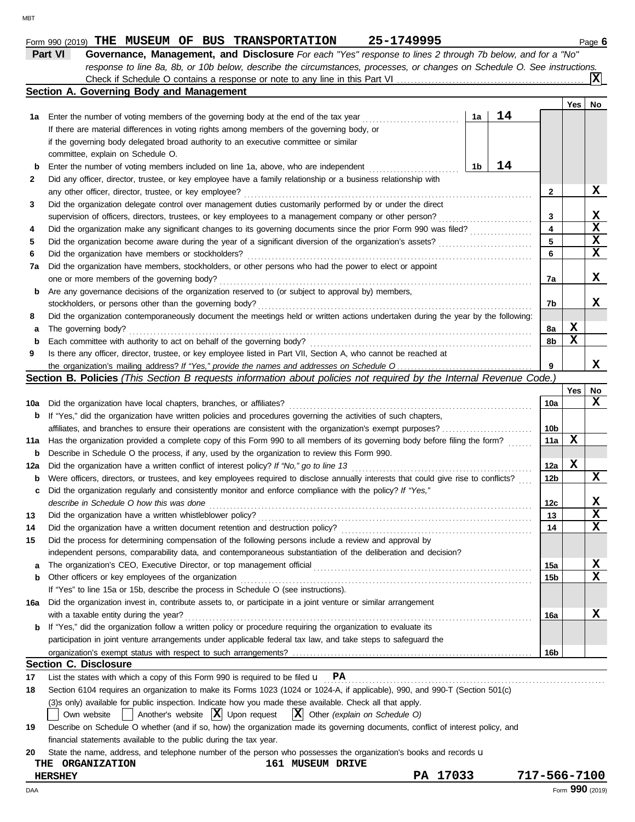|        | 25-1749995<br>Form 990 (2019) THE MUSEUM OF BUS TRANSPORTATION                                                                      |    |                 |          | Page 6      |  |  |  |  |  |  |
|--------|-------------------------------------------------------------------------------------------------------------------------------------|----|-----------------|----------|-------------|--|--|--|--|--|--|
|        | Part VI<br>Governance, Management, and Disclosure For each "Yes" response to lines 2 through 7b below, and for a "No"               |    |                 |          |             |  |  |  |  |  |  |
|        | response to line 8a, 8b, or 10b below, describe the circumstances, processes, or changes on Schedule O. See instructions.           |    |                 |          |             |  |  |  |  |  |  |
|        |                                                                                                                                     |    |                 |          |             |  |  |  |  |  |  |
|        | Section A. Governing Body and Management                                                                                            |    |                 |          |             |  |  |  |  |  |  |
|        |                                                                                                                                     |    |                 | Yes   No |             |  |  |  |  |  |  |
| 1а     | 1a<br>Enter the number of voting members of the governing body at the end of the tax year                                           | 14 |                 |          |             |  |  |  |  |  |  |
|        | If there are material differences in voting rights among members of the governing body, or                                          |    |                 |          |             |  |  |  |  |  |  |
|        | if the governing body delegated broad authority to an executive committee or similar                                                |    |                 |          |             |  |  |  |  |  |  |
|        | committee, explain on Schedule O.                                                                                                   |    |                 |          |             |  |  |  |  |  |  |
| b      | 1b<br>Enter the number of voting members included on line 1a, above, who are independent                                            | 14 |                 |          |             |  |  |  |  |  |  |
| 2      | Did any officer, director, trustee, or key employee have a family relationship or a business relationship with                      |    |                 |          |             |  |  |  |  |  |  |
|        | any other officer, director, trustee, or key employee?                                                                              |    | 2               |          | X           |  |  |  |  |  |  |
| 3      | Did the organization delegate control over management duties customarily performed by or under the direct                           |    |                 |          |             |  |  |  |  |  |  |
|        | supervision of officers, directors, trustees, or key employees to a management company or other person?                             |    | 3               |          | X           |  |  |  |  |  |  |
| 4      | Did the organization make any significant changes to its governing documents since the prior Form 990 was filed?                    |    | 4               |          | $\mathbf x$ |  |  |  |  |  |  |
| 5      | Did the organization become aware during the year of a significant diversion of the organization's assets?                          |    | 5               |          | $\mathbf x$ |  |  |  |  |  |  |
| 6      | Did the organization have members or stockholders?                                                                                  |    | 6               |          | $\mathbf x$ |  |  |  |  |  |  |
| 7a     | Did the organization have members, stockholders, or other persons who had the power to elect or appoint                             |    |                 |          |             |  |  |  |  |  |  |
|        | one or more members of the governing body?                                                                                          |    | 7a              |          | X           |  |  |  |  |  |  |
| b      | Are any governance decisions of the organization reserved to (or subject to approval by) members,                                   |    |                 |          |             |  |  |  |  |  |  |
|        | stockholders, or persons other than the governing body?                                                                             |    | 7b              |          | x           |  |  |  |  |  |  |
| 8      | Did the organization contemporaneously document the meetings held or written actions undertaken during the year by the following:   |    |                 |          |             |  |  |  |  |  |  |
|        | The governing body?                                                                                                                 |    | 8a              | X        |             |  |  |  |  |  |  |
| а<br>b | Each committee with authority to act on behalf of the governing body?                                                               |    | 8b              | X        |             |  |  |  |  |  |  |
| 9      | Is there any officer, director, trustee, or key employee listed in Part VII, Section A, who cannot be reached at                    |    |                 |          |             |  |  |  |  |  |  |
|        |                                                                                                                                     |    | 9               |          | x           |  |  |  |  |  |  |
|        | Section B. Policies (This Section B requests information about policies not required by the Internal Revenue Code.)                 |    |                 |          |             |  |  |  |  |  |  |
|        |                                                                                                                                     |    |                 |          | No          |  |  |  |  |  |  |
|        |                                                                                                                                     |    |                 | Yes      | X           |  |  |  |  |  |  |
| 10a    | Did the organization have local chapters, branches, or affiliates?                                                                  |    | 10a             |          |             |  |  |  |  |  |  |
| b      | If "Yes," did the organization have written policies and procedures governing the activities of such chapters,                      |    |                 |          |             |  |  |  |  |  |  |
|        | affiliates, and branches to ensure their operations are consistent with the organization's exempt purposes?                         |    | 10b             |          |             |  |  |  |  |  |  |
| 11a    | Has the organization provided a complete copy of this Form 990 to all members of its governing body before filing the form?         |    | 11a             | X        |             |  |  |  |  |  |  |
| b      | Describe in Schedule O the process, if any, used by the organization to review this Form 990.                                       |    |                 |          |             |  |  |  |  |  |  |
| 12a    | Did the organization have a written conflict of interest policy? If "No," go to line 13                                             |    | 12a             | X        |             |  |  |  |  |  |  |
| b      | Were officers, directors, or trustees, and key employees required to disclose annually interests that could give rise to conflicts? |    | 12b             |          | X           |  |  |  |  |  |  |
| c      | Did the organization regularly and consistently monitor and enforce compliance with the policy? If "Yes,"                           |    |                 |          |             |  |  |  |  |  |  |
|        | describe in Schedule O how this was done                                                                                            |    | 12 <sub>c</sub> |          | A           |  |  |  |  |  |  |
| 13     | Did the organization have a written whistleblower policy?                                                                           |    | 13              |          | $\mathbf x$ |  |  |  |  |  |  |
| 14     | Did the organization have a written document retention and destruction policy?                                                      |    | 14              |          | х           |  |  |  |  |  |  |
| 15     | Did the process for determining compensation of the following persons include a review and approval by                              |    |                 |          |             |  |  |  |  |  |  |
|        | independent persons, comparability data, and contemporaneous substantiation of the deliberation and decision?                       |    |                 |          |             |  |  |  |  |  |  |
| а      | The organization's CEO, Executive Director, or top management official                                                              |    | 15a             |          | X           |  |  |  |  |  |  |
| b      | Other officers or key employees of the organization                                                                                 |    | 15b             |          | X           |  |  |  |  |  |  |
|        | If "Yes" to line 15a or 15b, describe the process in Schedule O (see instructions).                                                 |    |                 |          |             |  |  |  |  |  |  |
| 16а    | Did the organization invest in, contribute assets to, or participate in a joint venture or similar arrangement                      |    |                 |          |             |  |  |  |  |  |  |
|        | with a taxable entity during the year?                                                                                              |    | 16a             |          | x           |  |  |  |  |  |  |
| b      | If "Yes," did the organization follow a written policy or procedure requiring the organization to evaluate its                      |    |                 |          |             |  |  |  |  |  |  |
|        | participation in joint venture arrangements under applicable federal tax law, and take steps to safeguard the                       |    |                 |          |             |  |  |  |  |  |  |
|        |                                                                                                                                     |    | 16b             |          |             |  |  |  |  |  |  |
|        | <b>Section C. Disclosure</b>                                                                                                        |    |                 |          |             |  |  |  |  |  |  |
| 17     | List the states with which a copy of this Form 990 is required to be filed $\mathbf{u}$ PA                                          |    |                 |          |             |  |  |  |  |  |  |
| 18     | Section 6104 requires an organization to make its Forms 1023 (1024 or 1024-A, if applicable), 990, and 990-T (Section 501(c)        |    |                 |          |             |  |  |  |  |  |  |
|        | (3)s only) available for public inspection. Indicate how you made these available. Check all that apply.                            |    |                 |          |             |  |  |  |  |  |  |
|        | $ \mathbf{X} $ Other (explain on Schedule O)<br>Another's website $ \mathbf{X} $ Upon request<br>Own website                        |    |                 |          |             |  |  |  |  |  |  |
| 19     | Describe on Schedule O whether (and if so, how) the organization made its governing documents, conflict of interest policy, and     |    |                 |          |             |  |  |  |  |  |  |
|        | financial statements available to the public during the tax year.                                                                   |    |                 |          |             |  |  |  |  |  |  |
| 20.    | State the name, address, and telephone number of the person who possesses the organization's books and records <b>u</b>             |    |                 |          |             |  |  |  |  |  |  |

# **THE ORGANIZATION 161 MUSEUM DRIVE**

**HERSHEY PA 17033 717-566-7100**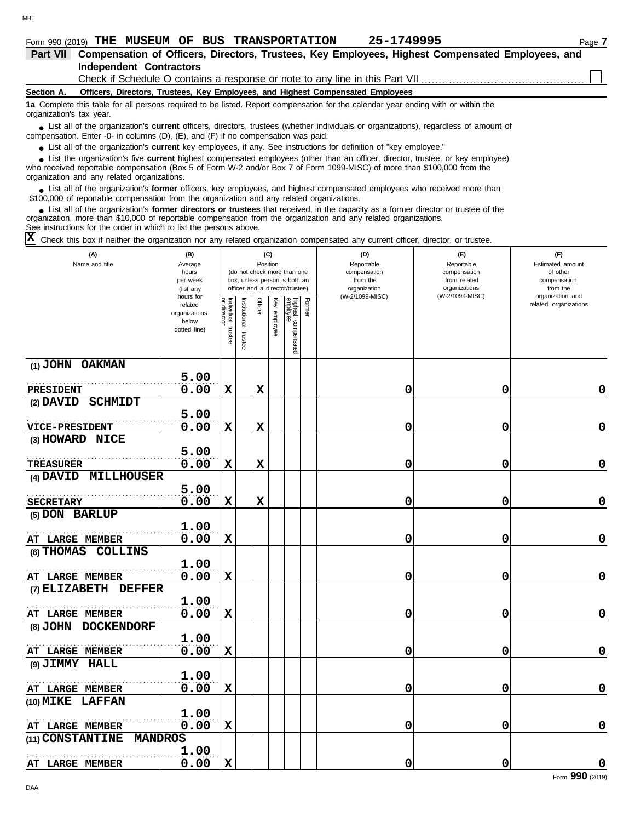### **Form 990 (2019) THE MUSEUM OF BUS TRANSPORTATION 25-1749995** Page 7

|            | Part VII Compensation of Officers, Directors, Trustees, Key Employees, Highest Compensated Employees, and                                   |
|------------|---------------------------------------------------------------------------------------------------------------------------------------------|
|            | Independent Contractors                                                                                                                     |
|            | Check if Schedule O contains a response or note to any line in this Part VII $\ldots$ $\ldots$ $\ldots$ $\ldots$ $\ldots$ $\ldots$ $\ldots$ |
| Section A. | Officers, Directors, Trustees, Key Employees, and Highest Compensated Employees                                                             |

**1a** Complete this table for all persons required to be listed. Report compensation for the calendar year ending with or within the organization's tax year.

■ List all of the organization's **current** officers, directors, trustees (whether individuals or organizations), regardless of amount of the companies of amount of compensation. Enter -0- in columns (D), (E), and (F) if no compensation was paid.

● List all of the organization's **current** key employees, if any. See instructions for definition of "key employee."

■ List the organization's five **current** highest compensated employees (other than an officer, director, trustee, or key employee)<br> **•** Preceived reportable compensation (Box 5 of Form *M, 2 and/or Box 7 of Form 1000 MISC* 

who received reportable compensation (Box 5 of Form W-2 and/or Box 7 of Form 1099-MISC) of more than \$100,000 from the organization and any related organizations.

■ List all of the organization's **former** officers, key employees, and highest compensated employees who received more than<br> **•** 00.000 of reportable compensation from the ergonization and any related ergonizations \$100,000 of reportable compensation from the organization and any related organizations.

■ List all of the organization's **former directors or trustees** that received, in the capacity as a former director or trustee of the<br>paization, more than \$10,000 of reportable compensation from the organization and any r organization, more than \$10,000 of reportable compensation from the organization and any related organizations. See instructions for the order in which to list the persons above.

 $\overline{X}$  Check this box if neither the organization nor any related organization compensated any current officer, director, or trustee.

| (A)<br>Name and title           | (B)<br>Average<br>hours<br>per week<br>(list any<br>hours for |                                      |                         |             | (C)<br>Position | (do not check more than one<br>box, unless person is both an<br>officer and a director/trustee) |        | (D)<br>Reportable<br>compensation<br>from the<br>organization<br>(W-2/1099-MISC) | (E)<br>Reportable<br>compensation<br>from related<br>organizations<br>(W-2/1099-MISC) | (F)<br>Estimated amount<br>of other<br>compensation<br>from the<br>organization and |
|---------------------------------|---------------------------------------------------------------|--------------------------------------|-------------------------|-------------|-----------------|-------------------------------------------------------------------------------------------------|--------|----------------------------------------------------------------------------------|---------------------------------------------------------------------------------------|-------------------------------------------------------------------------------------|
|                                 | related<br>organizations<br>below<br>dotted line)             | Individual<br>or director<br>trustee | nstitutional<br>trustee | Officer     | Key employee    | Highest compensated<br>employee                                                                 | Former |                                                                                  |                                                                                       | related organizations                                                               |
| (1) JOHN OAKMAN                 | 5.00                                                          |                                      |                         |             |                 |                                                                                                 |        |                                                                                  |                                                                                       |                                                                                     |
| PRESIDENT                       | 0.00                                                          | $\mathbf x$                          |                         | $\mathbf x$ |                 |                                                                                                 |        | 0                                                                                | 0                                                                                     | $\mathbf 0$                                                                         |
| <b>SCHMIDT</b><br>$(2)$ DAVID   | 5.00                                                          |                                      |                         |             |                 |                                                                                                 |        |                                                                                  |                                                                                       |                                                                                     |
| <b>VICE-PRESIDENT</b>           | 0.00                                                          | $\mathbf x$                          |                         | $\mathbf x$ |                 |                                                                                                 |        | 0                                                                                | 0                                                                                     | $\mathbf 0$                                                                         |
| (3) HOWARD NICE                 |                                                               |                                      |                         |             |                 |                                                                                                 |        |                                                                                  |                                                                                       |                                                                                     |
|                                 | 5.00                                                          |                                      |                         |             |                 |                                                                                                 |        |                                                                                  |                                                                                       |                                                                                     |
| TREASURER                       | 0.00                                                          | $\mathbf x$                          |                         | $\mathbf x$ |                 |                                                                                                 |        | 0                                                                                | 0                                                                                     | 0                                                                                   |
| (4) DAVID MILLHOUSER            |                                                               |                                      |                         |             |                 |                                                                                                 |        |                                                                                  |                                                                                       |                                                                                     |
|                                 | 5.00                                                          |                                      |                         |             |                 |                                                                                                 |        |                                                                                  |                                                                                       |                                                                                     |
| <b>SECRETARY</b>                | 0.00                                                          | $\mathbf x$                          |                         | $\mathbf x$ |                 |                                                                                                 |        | 0                                                                                | 0                                                                                     | $\mathbf 0$                                                                         |
| (5) DON BARLUP                  |                                                               |                                      |                         |             |                 |                                                                                                 |        |                                                                                  |                                                                                       |                                                                                     |
|                                 | 1.00                                                          |                                      |                         |             |                 |                                                                                                 |        |                                                                                  |                                                                                       |                                                                                     |
| AT LARGE MEMBER                 | 0.00                                                          | $\mathbf x$                          |                         |             |                 |                                                                                                 |        | 0                                                                                | 0                                                                                     | $\mathbf 0$                                                                         |
| (6) THOMAS COLLINS              |                                                               |                                      |                         |             |                 |                                                                                                 |        |                                                                                  |                                                                                       |                                                                                     |
|                                 | 1.00                                                          |                                      |                         |             |                 |                                                                                                 |        |                                                                                  |                                                                                       |                                                                                     |
| AT LARGE MEMBER                 | 0.00                                                          | $\mathbf x$                          |                         |             |                 |                                                                                                 |        | 0                                                                                | 0                                                                                     | 0                                                                                   |
| (7) ELIZABETH DEFFER            |                                                               |                                      |                         |             |                 |                                                                                                 |        |                                                                                  |                                                                                       |                                                                                     |
|                                 | 1.00                                                          |                                      |                         |             |                 |                                                                                                 |        |                                                                                  |                                                                                       |                                                                                     |
| AT LARGE MEMBER                 | 0.00                                                          | $\mathbf x$                          |                         |             |                 |                                                                                                 |        | 0                                                                                | 0                                                                                     | 0                                                                                   |
| <b>DOCKENDORF</b><br>$(8)$ JOHN | 1.00                                                          |                                      |                         |             |                 |                                                                                                 |        |                                                                                  |                                                                                       |                                                                                     |
| AT LARGE MEMBER                 | 0.00                                                          | $\mathbf x$                          |                         |             |                 |                                                                                                 |        | 0                                                                                | 0                                                                                     | 0                                                                                   |
| (9) JIMMY<br><b>HALL</b>        |                                                               |                                      |                         |             |                 |                                                                                                 |        |                                                                                  |                                                                                       |                                                                                     |
|                                 | 1.00                                                          |                                      |                         |             |                 |                                                                                                 |        |                                                                                  |                                                                                       |                                                                                     |
| AT LARGE MEMBER                 | 0.00                                                          | $\mathbf x$                          |                         |             |                 |                                                                                                 |        | 0                                                                                | 0                                                                                     | $\mathbf 0$                                                                         |
| (10) MIKE LAFFAN                |                                                               |                                      |                         |             |                 |                                                                                                 |        |                                                                                  |                                                                                       |                                                                                     |
|                                 | 1.00                                                          |                                      |                         |             |                 |                                                                                                 |        |                                                                                  |                                                                                       |                                                                                     |
| AT LARGE MEMBER                 | 0.00                                                          | $\mathbf x$                          |                         |             |                 |                                                                                                 |        | 0                                                                                | 0                                                                                     | $\mathbf 0$                                                                         |
| (11) CONSTANTINE                | <b>MANDROS</b>                                                |                                      |                         |             |                 |                                                                                                 |        |                                                                                  |                                                                                       |                                                                                     |
|                                 | 1.00                                                          |                                      |                         |             |                 |                                                                                                 |        |                                                                                  |                                                                                       |                                                                                     |
| AT LARGE MEMBER                 | 0.00                                                          | $\mathbf x$                          |                         |             |                 |                                                                                                 |        | 0                                                                                | 0                                                                                     | 0                                                                                   |

Form **990** (2019)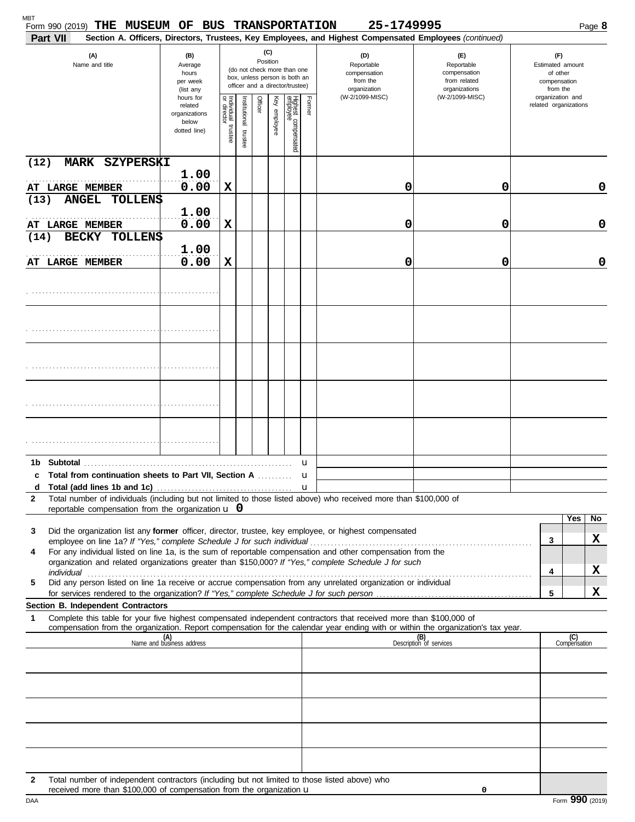| Form 990 (2019) THE MUSEUM OF BUS TRANSPORTATION<br>Part VII                                                                                                                                                                         |                                                                |                         |                       |                 |              |                                                                                                 |        | 25-1749995<br>Section A. Officers, Directors, Trustees, Key Employees, and Highest Compensated Employees (continued) |                                                                    |                                                                 | Page 8              |             |
|--------------------------------------------------------------------------------------------------------------------------------------------------------------------------------------------------------------------------------------|----------------------------------------------------------------|-------------------------|-----------------------|-----------------|--------------|-------------------------------------------------------------------------------------------------|--------|----------------------------------------------------------------------------------------------------------------------|--------------------------------------------------------------------|-----------------------------------------------------------------|---------------------|-------------|
| (A)<br>Name and title                                                                                                                                                                                                                | (B)<br>Average<br>hours<br>per week<br>(list any               |                         |                       | (C)<br>Position |              | (do not check more than one<br>box, unless person is both an<br>officer and a director/trustee) |        | (D)<br>Reportable<br>compensation<br>from the<br>organization                                                        | (E)<br>Reportable<br>compensation<br>from related<br>organizations | (F)<br>Estimated amount<br>of other<br>compensation<br>from the |                     |             |
|                                                                                                                                                                                                                                      | hours for<br>related<br>organizations<br>below<br>dotted line) | Individual 1<br>trustee | Institutional trustee | Officer         | Key employee | Highest compensated<br>employee                                                                 | Former | (W-2/1099-MISC)                                                                                                      | (W-2/1099-MISC)                                                    | organization and<br>related organizations                       |                     |             |
| MARK SZYPERSKI<br>(12)                                                                                                                                                                                                               |                                                                |                         |                       |                 |              |                                                                                                 |        |                                                                                                                      |                                                                    |                                                                 |                     |             |
| .<br><b>AT LARGE MEMBER</b><br><b>ANGEL</b><br><b>TOLLENS</b><br>(13)                                                                                                                                                                | 1.00<br>0.00                                                   | $\mathbf x$             |                       |                 |              |                                                                                                 |        | 0                                                                                                                    | 0                                                                  |                                                                 |                     | 0           |
| <b>AT LARGE MEMBER</b>                                                                                                                                                                                                               | 1.00<br>0.00                                                   | $\mathbf x$             |                       |                 |              |                                                                                                 |        | 0                                                                                                                    | 0                                                                  |                                                                 |                     | 0           |
| <b>BECKY</b><br><b>TOLLENS</b><br>(14)                                                                                                                                                                                               |                                                                |                         |                       |                 |              |                                                                                                 |        |                                                                                                                      |                                                                    |                                                                 |                     |             |
| <b>AT LARGE MEMBER</b>                                                                                                                                                                                                               | 1.00<br>0.00                                                   | $\mathbf x$             |                       |                 |              |                                                                                                 |        | 0                                                                                                                    | 0                                                                  |                                                                 |                     | $\mathbf 0$ |
|                                                                                                                                                                                                                                      |                                                                |                         |                       |                 |              |                                                                                                 |        |                                                                                                                      |                                                                    |                                                                 |                     |             |
|                                                                                                                                                                                                                                      |                                                                |                         |                       |                 |              |                                                                                                 |        |                                                                                                                      |                                                                    |                                                                 |                     |             |
|                                                                                                                                                                                                                                      |                                                                |                         |                       |                 |              |                                                                                                 |        |                                                                                                                      |                                                                    |                                                                 |                     |             |
|                                                                                                                                                                                                                                      |                                                                |                         |                       |                 |              |                                                                                                 |        |                                                                                                                      |                                                                    |                                                                 |                     |             |
|                                                                                                                                                                                                                                      |                                                                |                         |                       |                 |              |                                                                                                 |        |                                                                                                                      |                                                                    |                                                                 |                     |             |
| Subtotal<br>1b                                                                                                                                                                                                                       |                                                                |                         |                       |                 |              |                                                                                                 | u      |                                                                                                                      |                                                                    |                                                                 |                     |             |
| c Total from continuation sheets to Part VII, Section A<br>Total (add lines 1b and 1c)<br>d                                                                                                                                          |                                                                |                         |                       |                 |              |                                                                                                 | u<br>u |                                                                                                                      |                                                                    |                                                                 |                     |             |
| Total number of individuals (including but not limited to those listed above) who received more than \$100,000 of<br>$\mathbf{2}$<br>reportable compensation from the organization $\bf{u}$ 0                                        |                                                                |                         |                       |                 |              |                                                                                                 |        |                                                                                                                      |                                                                    |                                                                 |                     |             |
|                                                                                                                                                                                                                                      |                                                                |                         |                       |                 |              |                                                                                                 |        |                                                                                                                      |                                                                    |                                                                 | Yes<br>No           |             |
| Did the organization list any former officer, director, trustee, key employee, or highest compensated<br>3<br>employee on line 1a? If "Yes," complete Schedule J for such individual                                                 |                                                                |                         |                       |                 |              |                                                                                                 |        |                                                                                                                      |                                                                    | 3                                                               | x                   |             |
| For any individual listed on line 1a, is the sum of reportable compensation and other compensation from the<br>4<br>organization and related organizations greater than \$150,000? If "Yes," complete Schedule J for such            |                                                                |                         |                       |                 |              |                                                                                                 |        |                                                                                                                      |                                                                    |                                                                 |                     |             |
| individual www.communications.com/www.communications.com/www.communications.com/www.communications.com/www.com<br>Did any person listed on line 1a receive or accrue compensation from any unrelated organization or individual<br>5 |                                                                |                         |                       |                 |              |                                                                                                 |        |                                                                                                                      |                                                                    | 4                                                               | X                   |             |
| for services rendered to the organization? If "Yes," complete Schedule J for such person<br>Section B. Independent Contractors                                                                                                       |                                                                |                         |                       |                 |              |                                                                                                 |        |                                                                                                                      |                                                                    | 5                                                               | x                   |             |
| Complete this table for your five highest compensated independent contractors that received more than \$100,000 of<br>1                                                                                                              |                                                                |                         |                       |                 |              |                                                                                                 |        |                                                                                                                      |                                                                    |                                                                 |                     |             |
| compensation from the organization. Report compensation for the calendar year ending with or within the organization's tax year.                                                                                                     | (A)<br>Name and business address                               |                         |                       |                 |              |                                                                                                 |        |                                                                                                                      | (B)<br>Description of services                                     |                                                                 | (C)<br>Compensation |             |
|                                                                                                                                                                                                                                      |                                                                |                         |                       |                 |              |                                                                                                 |        |                                                                                                                      |                                                                    |                                                                 |                     |             |
|                                                                                                                                                                                                                                      |                                                                |                         |                       |                 |              |                                                                                                 |        |                                                                                                                      |                                                                    |                                                                 |                     |             |
|                                                                                                                                                                                                                                      |                                                                |                         |                       |                 |              |                                                                                                 |        |                                                                                                                      |                                                                    |                                                                 |                     |             |
|                                                                                                                                                                                                                                      |                                                                |                         |                       |                 |              |                                                                                                 |        |                                                                                                                      |                                                                    |                                                                 |                     |             |
| Total number of independent contractors (including but not limited to those listed above) who<br>2<br>received more than \$100,000 of compensation from the organization u                                                           |                                                                |                         |                       |                 |              |                                                                                                 |        |                                                                                                                      | 0                                                                  |                                                                 |                     |             |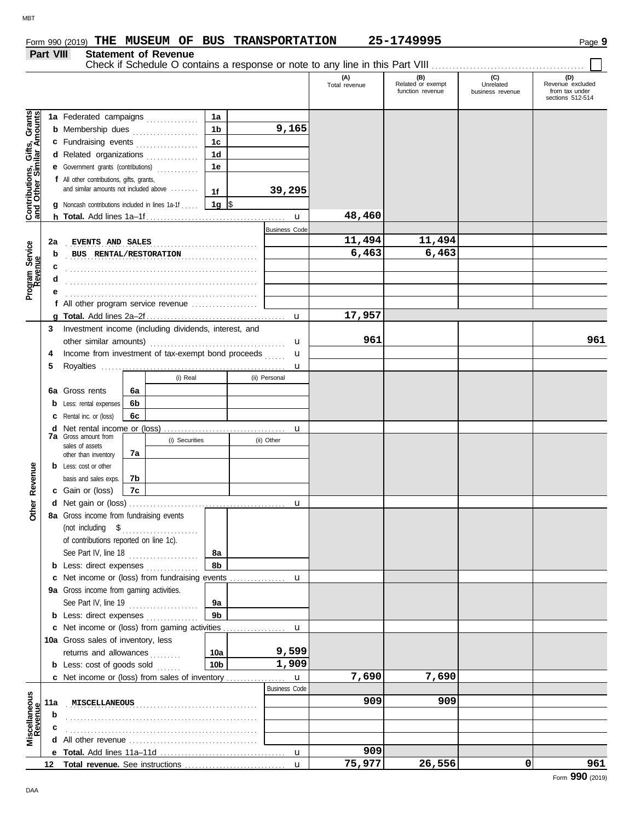### Form 990 (2019) Page **9 THE MUSEUM OF BUS TRANSPORTATION 25-1749995**

### **Part VIII Statement of Revenue**

|                                                                  | <b>Fail VIII</b> |                                                                                     |    | <b>OLGICITICITI OF IVEVELIUS</b>                                                                                     |                 |                      |                      |                                              |                                      |                                                               |
|------------------------------------------------------------------|------------------|-------------------------------------------------------------------------------------|----|----------------------------------------------------------------------------------------------------------------------|-----------------|----------------------|----------------------|----------------------------------------------|--------------------------------------|---------------------------------------------------------------|
|                                                                  |                  |                                                                                     |    |                                                                                                                      |                 |                      | (A)<br>Total revenue | (B)<br>Related or exempt<br>function revenue | (C)<br>Unrelated<br>business revenue | (D)<br>Revenue excluded<br>from tax under<br>sections 512-514 |
|                                                                  |                  | 1a Federated campaigns                                                              |    |                                                                                                                      | 1a              |                      |                      |                                              |                                      |                                                               |
|                                                                  |                  | <b>b</b> Membership dues                                                            |    |                                                                                                                      | 1 <sub>b</sub>  | 9,165                |                      |                                              |                                      |                                                               |
|                                                                  |                  | c Fundraising events                                                                |    |                                                                                                                      | 1 <sub>c</sub>  |                      |                      |                                              |                                      |                                                               |
|                                                                  |                  | d Related organizations                                                             |    | <u> 1986 - Jan Barat, politik politik politik politik politik politik politik politik politik politik politik po</u> | 1 <sub>d</sub>  |                      |                      |                                              |                                      |                                                               |
|                                                                  |                  | e Government grants (contributions)                                                 |    |                                                                                                                      | 1e              |                      |                      |                                              |                                      |                                                               |
|                                                                  |                  | f All other contributions, gifts, grants,                                           |    |                                                                                                                      |                 |                      |                      |                                              |                                      |                                                               |
|                                                                  |                  | and similar amounts not included above                                              |    |                                                                                                                      | 1f              | 39,295               |                      |                                              |                                      |                                                               |
| <b>Contributions, Gifts, Grants</b><br>and Other Similar Amounts |                  | <b>g</b> Noncash contributions included in lines 1a-1f                              |    |                                                                                                                      | 1g $\vert$ \$   |                      |                      |                                              |                                      |                                                               |
|                                                                  |                  |                                                                                     |    |                                                                                                                      |                 |                      | 48,460               |                                              |                                      |                                                               |
|                                                                  |                  |                                                                                     |    |                                                                                                                      |                 | <b>Business Code</b> |                      |                                              |                                      |                                                               |
|                                                                  | 2a               | EVENTS AND SALES                                                                    |    |                                                                                                                      |                 |                      | 11,494               | 11,494                                       |                                      |                                                               |
|                                                                  | b                | BUS RENTAL/RESTORATION                                                              |    |                                                                                                                      |                 |                      | 6,463                | 6,463                                        |                                      |                                                               |
| Program Service<br>Revenue                                       | c                |                                                                                     |    |                                                                                                                      |                 |                      |                      |                                              |                                      |                                                               |
|                                                                  |                  |                                                                                     |    |                                                                                                                      |                 |                      |                      |                                              |                                      |                                                               |
|                                                                  |                  |                                                                                     |    |                                                                                                                      |                 |                      |                      |                                              |                                      |                                                               |
|                                                                  |                  | f All other program service revenue                                                 |    |                                                                                                                      |                 |                      |                      |                                              |                                      |                                                               |
|                                                                  |                  |                                                                                     |    |                                                                                                                      |                 |                      | 17,957               |                                              |                                      |                                                               |
|                                                                  | 3                | Investment income (including dividends, interest, and                               |    |                                                                                                                      |                 |                      | 961                  |                                              |                                      | 961                                                           |
|                                                                  |                  |                                                                                     |    |                                                                                                                      |                 | u                    |                      |                                              |                                      |                                                               |
|                                                                  | 4<br>5           | Income from investment of tax-exempt bond proceeds                                  |    |                                                                                                                      |                 | u                    |                      |                                              |                                      |                                                               |
|                                                                  |                  |                                                                                     |    | (i) Real                                                                                                             |                 | u<br>(ii) Personal   |                      |                                              |                                      |                                                               |
|                                                                  |                  | 6a Gross rents                                                                      | 6a |                                                                                                                      |                 |                      |                      |                                              |                                      |                                                               |
|                                                                  | b                | Less: rental expenses                                                               | 6b |                                                                                                                      |                 |                      |                      |                                              |                                      |                                                               |
|                                                                  |                  | <b>c</b> Rental inc. or (loss)                                                      | 6c |                                                                                                                      |                 |                      |                      |                                              |                                      |                                                               |
|                                                                  |                  |                                                                                     |    |                                                                                                                      |                 | u                    |                      |                                              |                                      |                                                               |
|                                                                  |                  | <b>7a</b> Gross amount from                                                         |    | (i) Securities                                                                                                       |                 | (ii) Other           |                      |                                              |                                      |                                                               |
|                                                                  |                  | sales of assets<br>other than inventory                                             | 7а |                                                                                                                      |                 |                      |                      |                                              |                                      |                                                               |
|                                                                  |                  | <b>b</b> Less: cost or other                                                        |    |                                                                                                                      |                 |                      |                      |                                              |                                      |                                                               |
|                                                                  |                  | basis and sales exps.                                                               | 7b |                                                                                                                      |                 |                      |                      |                                              |                                      |                                                               |
| Revenue                                                          |                  | c Gain or (loss)                                                                    | 7c |                                                                                                                      |                 |                      |                      |                                              |                                      |                                                               |
| <b>Other</b>                                                     |                  |                                                                                     |    |                                                                                                                      |                 | u                    |                      |                                              |                                      |                                                               |
|                                                                  |                  | 8a Gross income from fundraising events                                             |    |                                                                                                                      |                 |                      |                      |                                              |                                      |                                                               |
|                                                                  |                  | (not including \$                                                                   |    |                                                                                                                      |                 |                      |                      |                                              |                                      |                                                               |
|                                                                  |                  | of contributions reported on line 1c).                                              |    |                                                                                                                      |                 |                      |                      |                                              |                                      |                                                               |
|                                                                  |                  | See Part IV, line 18                                                                |    |                                                                                                                      | 8а              |                      |                      |                                              |                                      |                                                               |
|                                                                  |                  | <b>b</b> Less: direct expenses                                                      |    |                                                                                                                      | 8b              |                      |                      |                                              |                                      |                                                               |
|                                                                  |                  | c Net income or (loss) from fundraising events                                      |    |                                                                                                                      |                 | u                    |                      |                                              |                                      |                                                               |
|                                                                  |                  | 9a Gross income from gaming activities.                                             |    |                                                                                                                      |                 |                      |                      |                                              |                                      |                                                               |
|                                                                  |                  | See Part IV, line 19                                                                |    | .                                                                                                                    | 9а              |                      |                      |                                              |                                      |                                                               |
|                                                                  |                  | <b>b</b> Less: direct expenses                                                      |    |                                                                                                                      | 9b              |                      |                      |                                              |                                      |                                                               |
|                                                                  |                  | c Net income or (loss) from gaming activities                                       |    |                                                                                                                      |                 | u                    |                      |                                              |                                      |                                                               |
|                                                                  |                  | 10a Gross sales of inventory, less                                                  |    |                                                                                                                      |                 | 9,599                |                      |                                              |                                      |                                                               |
|                                                                  |                  | returns and allowances                                                              |    |                                                                                                                      | 10a             | 1,909                |                      |                                              |                                      |                                                               |
|                                                                  |                  | <b>b</b> Less: cost of goods sold<br>c Net income or (loss) from sales of inventory |    |                                                                                                                      | 10 <sub>b</sub> | $\mathbf{u}$         | 7,690                | 7,690                                        |                                      |                                                               |
|                                                                  |                  |                                                                                     |    |                                                                                                                      |                 | <b>Business Code</b> |                      |                                              |                                      |                                                               |
|                                                                  | 11a              | <b>MISCELLANEOUS</b>                                                                |    |                                                                                                                      |                 |                      | 909                  | 909                                          |                                      |                                                               |
|                                                                  | b                |                                                                                     |    |                                                                                                                      |                 |                      |                      |                                              |                                      |                                                               |
| Miscellaneous<br>Revenue                                         | c                |                                                                                     |    |                                                                                                                      |                 |                      |                      |                                              |                                      |                                                               |
|                                                                  |                  |                                                                                     |    |                                                                                                                      |                 |                      |                      |                                              |                                      |                                                               |
|                                                                  |                  |                                                                                     |    |                                                                                                                      |                 | u                    | 909                  |                                              |                                      |                                                               |
|                                                                  |                  |                                                                                     |    |                                                                                                                      |                 | $\mathbf{u}$         | 75,977               | 26,556                                       | 0                                    | 961                                                           |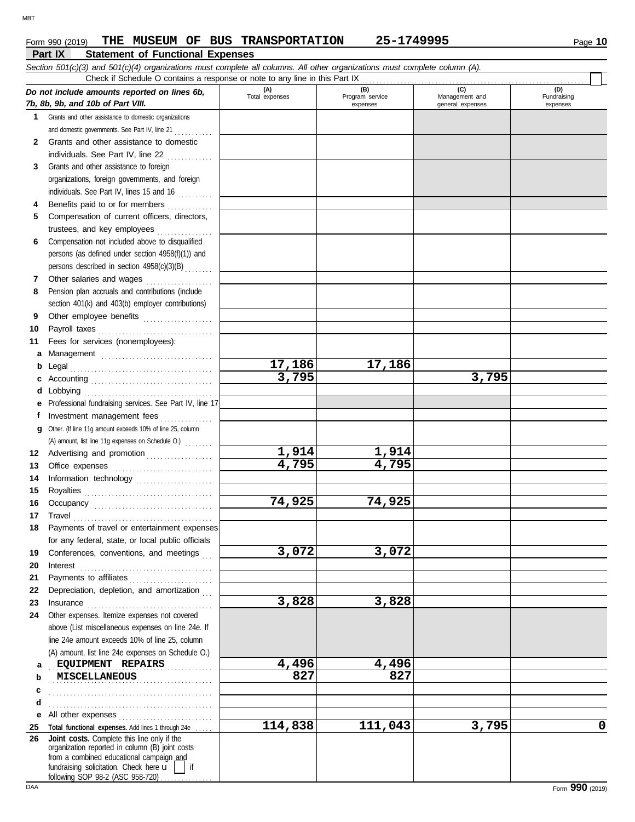### **Part IX Statement of Functional Expenses** Form 990 (2019) Page **10 THE MUSEUM OF BUS TRANSPORTATION 25-1749995**

|          | Section 501(c)(3) and 501(c)(4) organizations must complete all columns. All other organizations must complete column (A).<br>Check if Schedule O contains a response or note to any line in this Part IX |                |                             |                                    |                         |
|----------|-----------------------------------------------------------------------------------------------------------------------------------------------------------------------------------------------------------|----------------|-----------------------------|------------------------------------|-------------------------|
|          | Do not include amounts reported on lines 6b,                                                                                                                                                              | (A)            | (B)                         | (C)                                | (D)                     |
|          | 7b, 8b, 9b, and 10b of Part VIII.                                                                                                                                                                         | Total expenses | Program service<br>expenses | Management and<br>general expenses | Fundraising<br>expenses |
|          | 1 Grants and other assistance to domestic organizations                                                                                                                                                   |                |                             |                                    |                         |
|          | and domestic governments. See Part IV, line 21                                                                                                                                                            |                |                             |                                    |                         |
| 2        | Grants and other assistance to domestic                                                                                                                                                                   |                |                             |                                    |                         |
|          | individuals. See Part IV, line 22                                                                                                                                                                         |                |                             |                                    |                         |
| 3        | Grants and other assistance to foreign                                                                                                                                                                    |                |                             |                                    |                         |
|          | organizations, foreign governments, and foreign                                                                                                                                                           |                |                             |                                    |                         |
|          | individuals. See Part IV, lines 15 and 16                                                                                                                                                                 |                |                             |                                    |                         |
| 4        | Benefits paid to or for members                                                                                                                                                                           |                |                             |                                    |                         |
| 5        | Compensation of current officers, directors,                                                                                                                                                              |                |                             |                                    |                         |
|          | trustees, and key employees                                                                                                                                                                               |                |                             |                                    |                         |
| 6        | Compensation not included above to disqualified                                                                                                                                                           |                |                             |                                    |                         |
|          | persons (as defined under section 4958(f)(1)) and                                                                                                                                                         |                |                             |                                    |                         |
|          | persons described in section 4958(c)(3)(B)                                                                                                                                                                |                |                             |                                    |                         |
| 7        | Other salaries and wages                                                                                                                                                                                  |                |                             |                                    |                         |
| 8        | Pension plan accruals and contributions (include                                                                                                                                                          |                |                             |                                    |                         |
|          | section 401(k) and 403(b) employer contributions)                                                                                                                                                         |                |                             |                                    |                         |
| 9        | Other employee benefits                                                                                                                                                                                   |                |                             |                                    |                         |
| 10       | Payroll taxes                                                                                                                                                                                             |                |                             |                                    |                         |
| 11       | Fees for services (nonemployees):                                                                                                                                                                         |                |                             |                                    |                         |
| а        | Management                                                                                                                                                                                                |                |                             |                                    |                         |
| b        |                                                                                                                                                                                                           | 17,186         | 17,186                      |                                    |                         |
| c        |                                                                                                                                                                                                           | 3,795          |                             | 3,795                              |                         |
| d        | Lobbying                                                                                                                                                                                                  |                |                             |                                    |                         |
| е        | Professional fundraising services. See Part IV, line 17                                                                                                                                                   |                |                             |                                    |                         |
| f        | Investment management fees                                                                                                                                                                                |                |                             |                                    |                         |
| g        | Other. (If line 11g amount exceeds 10% of line 25, column                                                                                                                                                 |                |                             |                                    |                         |
|          | (A) amount, list line 11g expenses on Schedule O.)                                                                                                                                                        |                |                             |                                    |                         |
| 12       | Advertising and promotion                                                                                                                                                                                 | 1,914          | 1,914                       |                                    |                         |
| 13       |                                                                                                                                                                                                           | 4,795          | $\overline{4,795}$          |                                    |                         |
| 14       |                                                                                                                                                                                                           |                |                             |                                    |                         |
| 15       |                                                                                                                                                                                                           | 74,925         |                             |                                    |                         |
| 16       |                                                                                                                                                                                                           |                | 74,925                      |                                    |                         |
| 17       | $\begin{minipage}{0.5\textwidth} \centering \begin{tabular}{@{}c@{}} \textbf{True} & \textbf{True} \\ \textbf{True} & \textbf{True} \\ \textbf{True} & \textbf{True} \\ \end{tabular} \end{minipage}$     |                |                             |                                    |                         |
|          | Payments of travel or entertainment expenses                                                                                                                                                              |                |                             |                                    |                         |
|          | for any federal, state, or local public officials                                                                                                                                                         | 3,072          | 3,072                       |                                    |                         |
| 19<br>20 | Conferences, conventions, and meetings<br>Interest                                                                                                                                                        |                |                             |                                    |                         |
| 21       | Payments to affiliates                                                                                                                                                                                    |                |                             |                                    |                         |
| 22       | Depreciation, depletion, and amortization                                                                                                                                                                 |                |                             |                                    |                         |
| 23       |                                                                                                                                                                                                           | 3,828          | 3,828                       |                                    |                         |
| 24       | Other expenses. Itemize expenses not covered                                                                                                                                                              |                |                             |                                    |                         |
|          | above (List miscellaneous expenses on line 24e. If                                                                                                                                                        |                |                             |                                    |                         |
|          | line 24e amount exceeds 10% of line 25, column                                                                                                                                                            |                |                             |                                    |                         |
|          | (A) amount, list line 24e expenses on Schedule O.)                                                                                                                                                        |                |                             |                                    |                         |
| a        | EQUIPMENT REPAIRS                                                                                                                                                                                         | 4,496          | 4,496                       |                                    |                         |
| b        | <b>MISCELLANEOUS</b>                                                                                                                                                                                      | 827            | 827                         |                                    |                         |
| c        |                                                                                                                                                                                                           |                |                             |                                    |                         |
| d        |                                                                                                                                                                                                           |                |                             |                                    |                         |
| е        | All other expenses                                                                                                                                                                                        |                |                             |                                    |                         |
| 25       | Total functional expenses. Add lines 1 through 24e                                                                                                                                                        | 114,838        | 111,043                     | 3,795                              | $\mathbf 0$             |
| 26       | Joint costs. Complete this line only if the                                                                                                                                                               |                |                             |                                    |                         |
|          | organization reported in column (B) joint costs<br>from a combined educational campaign and                                                                                                               |                |                             |                                    |                         |
|          | fundraising solicitation. Check here $\mathbf{u}$  <br>if                                                                                                                                                 |                |                             |                                    |                         |
|          | following SOP 98-2 (ASC 958-720)                                                                                                                                                                          |                |                             |                                    |                         |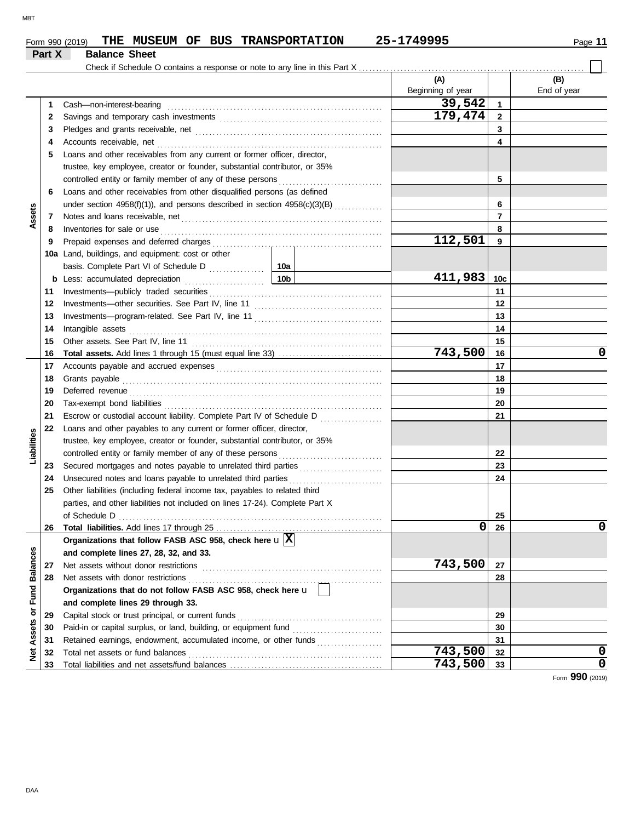|                      | Part X | <b>Balance Sheet</b>                                                                                                                                                                                                                 |                 |                   |                 |             |
|----------------------|--------|--------------------------------------------------------------------------------------------------------------------------------------------------------------------------------------------------------------------------------------|-----------------|-------------------|-----------------|-------------|
|                      |        |                                                                                                                                                                                                                                      |                 |                   |                 |             |
|                      |        |                                                                                                                                                                                                                                      |                 | (A)               |                 | (B)         |
|                      |        |                                                                                                                                                                                                                                      |                 | Beginning of year |                 | End of year |
|                      | 1      | Cash-non-interest-bearing                                                                                                                                                                                                            |                 | 39,542            | $\mathbf{1}$    |             |
|                      | 2      |                                                                                                                                                                                                                                      |                 | 179,474           | $\overline{2}$  |             |
|                      | 3      |                                                                                                                                                                                                                                      |                 |                   | 3               |             |
|                      | 4      | Accounts receivable, net                                                                                                                                                                                                             |                 |                   | 4               |             |
|                      | 5      | Loans and other receivables from any current or former officer, director,                                                                                                                                                            |                 |                   |                 |             |
|                      |        | trustee, key employee, creator or founder, substantial contributor, or 35%                                                                                                                                                           |                 |                   |                 |             |
|                      |        | controlled entity or family member of any of these persons                                                                                                                                                                           |                 |                   | 5               |             |
|                      | 6      | Loans and other receivables from other disqualified persons (as defined                                                                                                                                                              |                 |                   |                 |             |
|                      |        | under section 4958(f)(1)), and persons described in section 4958(c)(3)(B)                                                                                                                                                            |                 |                   | 6               |             |
| Assets               | 7      |                                                                                                                                                                                                                                      |                 |                   | $\overline{7}$  |             |
|                      | 8      | Inventories for sale or use                                                                                                                                                                                                          |                 |                   | 8               |             |
|                      | 9      | Prepaid expenses and deferred charges                                                                                                                                                                                                |                 | 112,501           | 9               |             |
|                      | 10a    | Land, buildings, and equipment: cost or other                                                                                                                                                                                        |                 |                   |                 |             |
|                      |        |                                                                                                                                                                                                                                      | 10a             |                   |                 |             |
|                      | b      | Less: accumulated depreciation                                                                                                                                                                                                       | 10 <sub>b</sub> | 411,983           | 10 <sub>c</sub> |             |
|                      | 11     |                                                                                                                                                                                                                                      |                 |                   | 11              |             |
|                      | 12     |                                                                                                                                                                                                                                      |                 |                   | 12              |             |
|                      | 13     |                                                                                                                                                                                                                                      |                 |                   | 13              |             |
|                      | 14     | Intangible assets                                                                                                                                                                                                                    |                 | 14                |                 |             |
|                      | 15     |                                                                                                                                                                                                                                      |                 |                   | 15              |             |
|                      | 16     |                                                                                                                                                                                                                                      |                 | 743,500           | 16              | 0           |
|                      | 17     |                                                                                                                                                                                                                                      |                 |                   | 17              |             |
|                      | 18     | Grants payable                                                                                                                                                                                                                       |                 |                   | 18              |             |
|                      | 19     | Deferred revenue <b>contract and the contract of the contract of the contract of the contract of the contract of the contract of the contract of the contract of the contract of the contract of the contract of the contract of</b> |                 | 19                |                 |             |
|                      | 20     |                                                                                                                                                                                                                                      |                 | 20                |                 |             |
|                      | 21     | Escrow or custodial account liability. Complete Part IV of Schedule D                                                                                                                                                                |                 |                   | 21              |             |
|                      | 22     | Loans and other payables to any current or former officer, director,                                                                                                                                                                 |                 |                   |                 |             |
|                      |        | trustee, key employee, creator or founder, substantial contributor, or 35%                                                                                                                                                           |                 |                   |                 |             |
| Liabilities          |        | controlled entity or family member of any of these persons                                                                                                                                                                           |                 |                   | 22              |             |
|                      | 23     |                                                                                                                                                                                                                                      |                 |                   | 23              |             |
|                      | 24     | Unsecured notes and loans payable to unrelated third parties                                                                                                                                                                         |                 |                   | 24              |             |
|                      | 25     | Other liabilities (including federal income tax, payables to related third                                                                                                                                                           |                 |                   |                 |             |
|                      |        | parties, and other liabilities not included on lines 17-24). Complete Part X                                                                                                                                                         |                 |                   |                 |             |
|                      |        | of Schedule D                                                                                                                                                                                                                        |                 |                   | 25              |             |
|                      | 26     |                                                                                                                                                                                                                                      |                 | $\mathbf 0$       | 26              | $\mathbf 0$ |
|                      |        | Organizations that follow FASB ASC 958, check here $\mathbf{u}$ $\overline{\mathbf{X}}$                                                                                                                                              |                 |                   |                 |             |
|                      |        | and complete lines 27, 28, 32, and 33.                                                                                                                                                                                               |                 |                   |                 |             |
|                      | 27     | Net assets without donor restrictions                                                                                                                                                                                                |                 | 743,500           | 27              |             |
|                      | 28     | Net assets with donor restrictions                                                                                                                                                                                                   |                 |                   | 28              |             |
| <b>Fund Balances</b> |        | Organizations that do not follow FASB ASC 958, check here u                                                                                                                                                                          |                 |                   |                 |             |
|                      |        | and complete lines 29 through 33.                                                                                                                                                                                                    |                 |                   |                 |             |
| Assets or            | 29     | Capital stock or trust principal, or current funds                                                                                                                                                                                   |                 |                   | 29              |             |
|                      | 30     | Paid-in or capital surplus, or land, building, or equipment fund                                                                                                                                                                     |                 |                   | 30              |             |
|                      | 31     | Retained earnings, endowment, accumulated income, or other funds                                                                                                                                                                     |                 |                   | 31              |             |
| ğ                    | 32     | Total net assets or fund balances                                                                                                                                                                                                    |                 | 743,500           | 32              | 0           |
|                      | 33     |                                                                                                                                                                                                                                      |                 | 743,500           | 33              | $\mathbf 0$ |

**THE MUSEUM OF BUS TRANSPORTATION 25-1749995**

Form 990 (2019)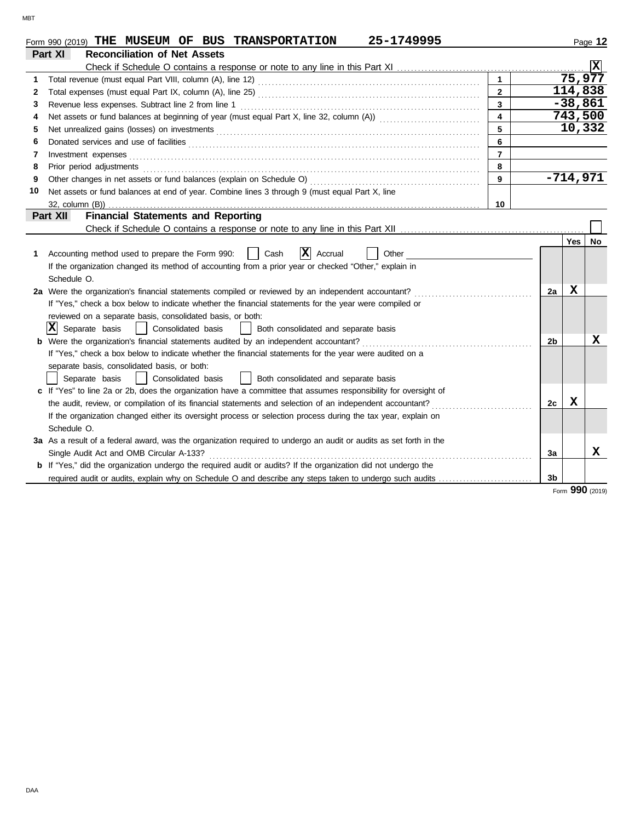|    | 25-1749995<br>Form 990 (2019) THE MUSEUM OF BUS TRANSPORTATION                                                                                                                                                                 |                         |                |            | Page 12 |  |  |
|----|--------------------------------------------------------------------------------------------------------------------------------------------------------------------------------------------------------------------------------|-------------------------|----------------|------------|---------|--|--|
|    | <b>Reconciliation of Net Assets</b><br>Part XI                                                                                                                                                                                 |                         |                |            |         |  |  |
|    |                                                                                                                                                                                                                                |                         |                |            | 図       |  |  |
|    |                                                                                                                                                                                                                                | $\mathbf{1}$            |                | 75,977     |         |  |  |
| 2  |                                                                                                                                                                                                                                | $\overline{2}$          |                | 114,838    |         |  |  |
| 3  | Revenue less expenses. Subtract line 2 from line 1                                                                                                                                                                             | $\overline{\mathbf{3}}$ |                | $-38,861$  |         |  |  |
| 4  |                                                                                                                                                                                                                                | $\overline{4}$          |                | 743,500    |         |  |  |
| 5  |                                                                                                                                                                                                                                | 5                       |                |            | 10,332  |  |  |
| 6  | 6                                                                                                                                                                                                                              |                         |                |            |         |  |  |
| 7  |                                                                                                                                                                                                                                | $\overline{7}$          |                |            |         |  |  |
| 8  | Prior period adjustments entertainments and adjustments of the contract of the contract of the contract of the contract of the contract of the contract of the contract of the contract of the contract of the contract of the | 8                       |                |            |         |  |  |
| 9  |                                                                                                                                                                                                                                | 9                       |                | $-714,971$ |         |  |  |
| 10 | Net assets or fund balances at end of year. Combine lines 3 through 9 (must equal Part X, line                                                                                                                                 |                         |                |            |         |  |  |
|    |                                                                                                                                                                                                                                | 10                      |                |            |         |  |  |
|    | <b>Financial Statements and Reporting</b><br>Part XII                                                                                                                                                                          |                         |                |            |         |  |  |
|    |                                                                                                                                                                                                                                |                         |                |            |         |  |  |
|    |                                                                                                                                                                                                                                |                         |                | Yes $ $    | No      |  |  |
| 1  | $ \mathbf{X} $ Accrual<br>Accounting method used to prepare the Form 990:<br>Cash<br>Other                                                                                                                                     |                         |                |            |         |  |  |
|    | If the organization changed its method of accounting from a prior year or checked "Other," explain in                                                                                                                          |                         |                |            |         |  |  |
|    | Schedule O.                                                                                                                                                                                                                    |                         |                |            |         |  |  |
|    | 2a Were the organization's financial statements compiled or reviewed by an independent accountant?                                                                                                                             |                         | 2a             | X          |         |  |  |
|    | If "Yes," check a box below to indicate whether the financial statements for the year were compiled or                                                                                                                         |                         |                |            |         |  |  |
|    | reviewed on a separate basis, consolidated basis, or both:                                                                                                                                                                     |                         |                |            |         |  |  |
|    | $ \mathbf{X} $ Separate basis<br>  Consolidated basis<br>  Both consolidated and separate basis                                                                                                                                |                         |                |            |         |  |  |
| b  | Were the organization's financial statements audited by an independent accountant?<br>Were the organization's financial statements audited by an independent accountant?                                                       |                         | 2 <sub>b</sub> |            | x       |  |  |
|    | If "Yes," check a box below to indicate whether the financial statements for the year were audited on a                                                                                                                        |                         |                |            |         |  |  |
|    | separate basis, consolidated basis, or both:                                                                                                                                                                                   |                         |                |            |         |  |  |
|    | Consolidated basis<br>  Both consolidated and separate basis<br>Separate basis                                                                                                                                                 |                         |                |            |         |  |  |
|    | c If "Yes" to line 2a or 2b, does the organization have a committee that assumes responsibility for oversight of                                                                                                               |                         |                |            |         |  |  |
|    | the audit, review, or compilation of its financial statements and selection of an independent accountant?                                                                                                                      |                         | 2c             | X          |         |  |  |
|    | If the organization changed either its oversight process or selection process during the tax year, explain on                                                                                                                  |                         |                |            |         |  |  |
|    | Schedule O.                                                                                                                                                                                                                    |                         |                |            |         |  |  |
|    | 3a As a result of a federal award, was the organization required to undergo an audit or audits as set forth in the                                                                                                             |                         |                |            |         |  |  |
|    | Single Audit Act and OMB Circular A-133?                                                                                                                                                                                       |                         | За             |            | x       |  |  |
|    | b If "Yes," did the organization undergo the required audit or audits? If the organization did not undergo the                                                                                                                 |                         |                |            |         |  |  |
|    | required audit or audits, explain why on Schedule O and describe any steps taken to undergo such audits                                                                                                                        |                         | 3 <sub>b</sub> |            |         |  |  |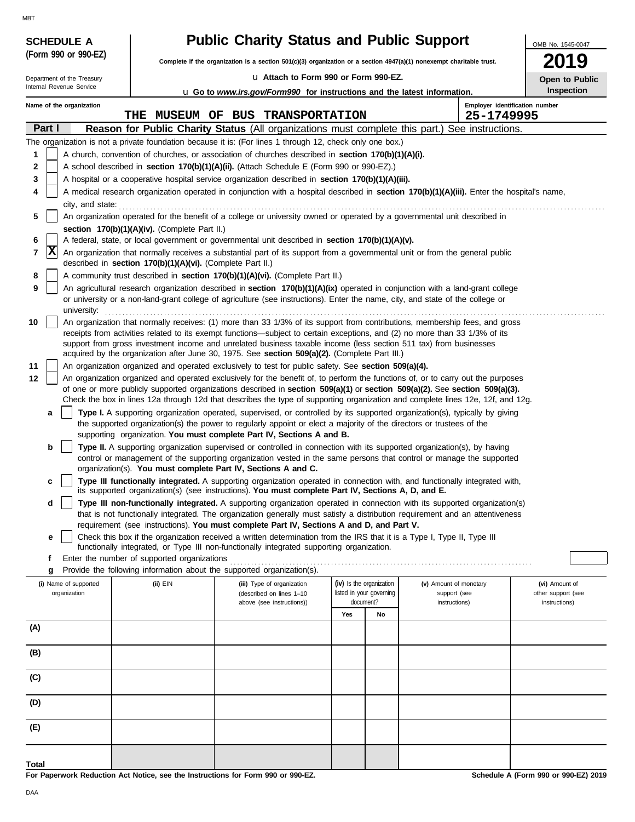|       |        | <b>SCHEDULE A</b>                     |                                                            | <b>Public Charity Status and Public Support</b>                                                                                                                                                                                                                                                                                                       |     |                                                      |                                        | OMB No. 1545-0047                    |
|-------|--------|---------------------------------------|------------------------------------------------------------|-------------------------------------------------------------------------------------------------------------------------------------------------------------------------------------------------------------------------------------------------------------------------------------------------------------------------------------------------------|-----|------------------------------------------------------|----------------------------------------|--------------------------------------|
|       |        | (Form 990 or 990-EZ)                  |                                                            | Complete if the organization is a section 501(c)(3) organization or a section 4947(a)(1) nonexempt charitable trust.                                                                                                                                                                                                                                  |     |                                                      |                                        | 19                                   |
|       |        | Department of the Treasury            |                                                            | La Attach to Form 990 or Form 990-EZ.                                                                                                                                                                                                                                                                                                                 |     |                                                      |                                        | Open to Public                       |
|       |        | Internal Revenue Service              |                                                            | <b>u</b> Go to <i>www.irs.gov/Form990</i> for instructions and the latest information.                                                                                                                                                                                                                                                                |     |                                                      |                                        | Inspection                           |
|       |        | Name of the organization              |                                                            | THE MUSEUM OF BUS TRANSPORTATION                                                                                                                                                                                                                                                                                                                      |     |                                                      | 25-1749995                             | Employer identification number       |
|       | Part I |                                       |                                                            | Reason for Public Charity Status (All organizations must complete this part.) See instructions.                                                                                                                                                                                                                                                       |     |                                                      |                                        |                                      |
|       |        |                                       |                                                            | The organization is not a private foundation because it is: (For lines 1 through 12, check only one box.)                                                                                                                                                                                                                                             |     |                                                      |                                        |                                      |
| 1     |        |                                       |                                                            | A church, convention of churches, or association of churches described in <b>section 170(b)(1)(A)(i).</b>                                                                                                                                                                                                                                             |     |                                                      |                                        |                                      |
| 2     |        |                                       |                                                            | A school described in section 170(b)(1)(A)(ii). (Attach Schedule E (Form 990 or 990-EZ).)                                                                                                                                                                                                                                                             |     |                                                      |                                        |                                      |
| 3     |        |                                       |                                                            | A hospital or a cooperative hospital service organization described in section 170(b)(1)(A)(iii).                                                                                                                                                                                                                                                     |     |                                                      |                                        |                                      |
| 4     |        | city, and state:                      |                                                            | A medical research organization operated in conjunction with a hospital described in section 170(b)(1)(A)(iii). Enter the hospital's name,                                                                                                                                                                                                            |     |                                                      |                                        |                                      |
| 5     |        |                                       |                                                            | An organization operated for the benefit of a college or university owned or operated by a governmental unit described in                                                                                                                                                                                                                             |     |                                                      |                                        |                                      |
| 6     |        |                                       | section 170(b)(1)(A)(iv). (Complete Part II.)              | A federal, state, or local government or governmental unit described in section 170(b)(1)(A)(v).                                                                                                                                                                                                                                                      |     |                                                      |                                        |                                      |
| 7     | X      |                                       | described in section 170(b)(1)(A)(vi). (Complete Part II.) | An organization that normally receives a substantial part of its support from a governmental unit or from the general public                                                                                                                                                                                                                          |     |                                                      |                                        |                                      |
| 8     |        |                                       |                                                            | A community trust described in section 170(b)(1)(A)(vi). (Complete Part II.)                                                                                                                                                                                                                                                                          |     |                                                      |                                        |                                      |
| 9     |        | university:                           |                                                            | An agricultural research organization described in section 170(b)(1)(A)(ix) operated in conjunction with a land-grant college<br>or university or a non-land-grant college of agriculture (see instructions). Enter the name, city, and state of the college or                                                                                       |     |                                                      |                                        |                                      |
| 10    |        |                                       |                                                            | An organization that normally receives: (1) more than 33 1/3% of its support from contributions, membership fees, and gross<br>receipts from activities related to its exempt functions—subject to certain exceptions, and (2) no more than 33 1/3% of its                                                                                            |     |                                                      |                                        |                                      |
|       |        |                                       |                                                            | support from gross investment income and unrelated business taxable income (less section 511 tax) from businesses                                                                                                                                                                                                                                     |     |                                                      |                                        |                                      |
|       |        |                                       |                                                            | acquired by the organization after June 30, 1975. See section 509(a)(2). (Complete Part III.)                                                                                                                                                                                                                                                         |     |                                                      |                                        |                                      |
| 11    |        |                                       |                                                            | An organization organized and operated exclusively to test for public safety. See section 509(a)(4).                                                                                                                                                                                                                                                  |     |                                                      |                                        |                                      |
| 12    |        |                                       |                                                            | An organization organized and operated exclusively for the benefit of, to perform the functions of, or to carry out the purposes<br>of one or more publicly supported organizations described in section 509(a)(1) or section 509(a)(2). See section 509(a)(3).                                                                                       |     |                                                      |                                        |                                      |
|       |        |                                       |                                                            | Check the box in lines 12a through 12d that describes the type of supporting organization and complete lines 12e, 12f, and 12g.                                                                                                                                                                                                                       |     |                                                      |                                        |                                      |
|       | a      |                                       |                                                            | Type I. A supporting organization operated, supervised, or controlled by its supported organization(s), typically by giving<br>the supported organization(s) the power to regularly appoint or elect a majority of the directors or trustees of the                                                                                                   |     |                                                      |                                        |                                      |
|       | b      |                                       |                                                            | supporting organization. You must complete Part IV, Sections A and B.<br>Type II. A supporting organization supervised or controlled in connection with its supported organization(s), by having                                                                                                                                                      |     |                                                      |                                        |                                      |
|       |        |                                       |                                                            | control or management of the supporting organization vested in the same persons that control or manage the supported<br>organization(s). You must complete Part IV, Sections A and C.                                                                                                                                                                 |     |                                                      |                                        |                                      |
|       | c      |                                       |                                                            | Type III functionally integrated. A supporting organization operated in connection with, and functionally integrated with,                                                                                                                                                                                                                            |     |                                                      |                                        |                                      |
|       |        |                                       |                                                            | its supported organization(s) (see instructions). You must complete Part IV, Sections A, D, and E.                                                                                                                                                                                                                                                    |     |                                                      |                                        |                                      |
|       | d      |                                       |                                                            | Type III non-functionally integrated. A supporting organization operated in connection with its supported organization(s)<br>that is not functionally integrated. The organization generally must satisfy a distribution requirement and an attentiveness<br>requirement (see instructions). You must complete Part IV, Sections A and D, and Part V. |     |                                                      |                                        |                                      |
|       | е      |                                       |                                                            | Check this box if the organization received a written determination from the IRS that it is a Type I, Type II, Type III                                                                                                                                                                                                                               |     |                                                      |                                        |                                      |
|       |        |                                       |                                                            | functionally integrated, or Type III non-functionally integrated supporting organization.                                                                                                                                                                                                                                                             |     |                                                      |                                        |                                      |
|       | f      |                                       | Enter the number of supported organizations                |                                                                                                                                                                                                                                                                                                                                                       |     |                                                      |                                        |                                      |
|       | g      |                                       |                                                            | Provide the following information about the supported organization(s).                                                                                                                                                                                                                                                                                |     |                                                      |                                        |                                      |
|       |        | (i) Name of supported<br>organization | (ii) EIN                                                   | (iii) Type of organization<br>(described on lines 1-10                                                                                                                                                                                                                                                                                                |     | (iv) Is the organization<br>listed in your governing | (v) Amount of monetary<br>support (see | (vi) Amount of<br>other support (see |
|       |        |                                       |                                                            | above (see instructions))                                                                                                                                                                                                                                                                                                                             |     | document?                                            | instructions)                          | instructions)                        |
| (A)   |        |                                       |                                                            |                                                                                                                                                                                                                                                                                                                                                       | Yes | No                                                   |                                        |                                      |
|       |        |                                       |                                                            |                                                                                                                                                                                                                                                                                                                                                       |     |                                                      |                                        |                                      |
| (B)   |        |                                       |                                                            |                                                                                                                                                                                                                                                                                                                                                       |     |                                                      |                                        |                                      |
| (C)   |        |                                       |                                                            |                                                                                                                                                                                                                                                                                                                                                       |     |                                                      |                                        |                                      |
| (D)   |        |                                       |                                                            |                                                                                                                                                                                                                                                                                                                                                       |     |                                                      |                                        |                                      |
| (E)   |        |                                       |                                                            |                                                                                                                                                                                                                                                                                                                                                       |     |                                                      |                                        |                                      |
|       |        |                                       |                                                            |                                                                                                                                                                                                                                                                                                                                                       |     |                                                      |                                        |                                      |
| Total |        |                                       |                                                            |                                                                                                                                                                                                                                                                                                                                                       |     |                                                      |                                        |                                      |

**For Paperwork Reduction Act Notice, see the Instructions for Form 990 or 990-EZ.**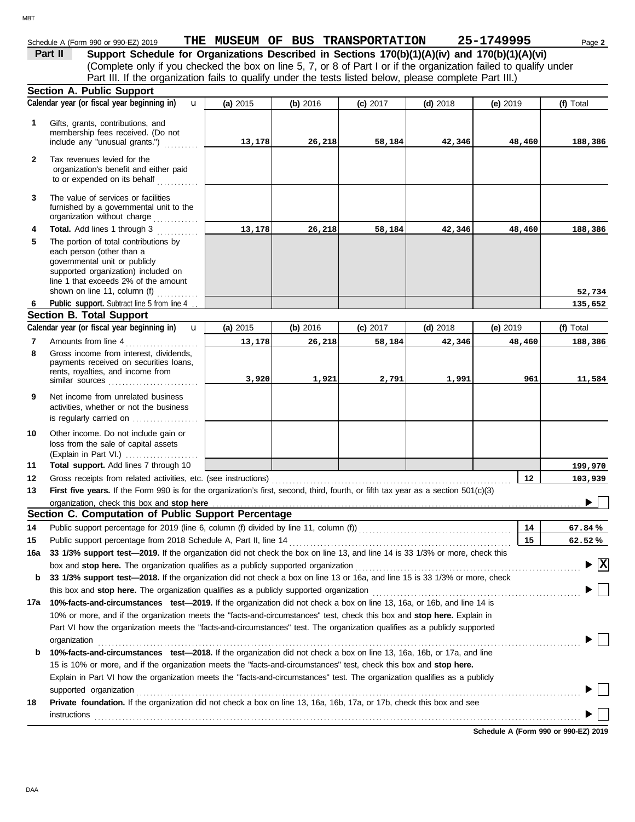(Complete only if you checked the box on line 5, 7, or 8 of Part I or if the organization failed to qualify under **Part II** Support Schedule for Organizations Described in Sections 170(b)(1)(A)(iv) and 170(b)(1)(A)(vi) Part III. If the organization fails to qualify under the tests listed below, please complete Part III.)

|        | <b>Section A. Public Support</b>                                                                                                                                                                                               |                 |                 |                 |                 |               |                                          |
|--------|--------------------------------------------------------------------------------------------------------------------------------------------------------------------------------------------------------------------------------|-----------------|-----------------|-----------------|-----------------|---------------|------------------------------------------|
|        | Calendar year (or fiscal year beginning in)<br>$\mathbf{u}$                                                                                                                                                                    | (a) 2015        | (b) 2016        | (c) 2017        | $(d)$ 2018      | (e) $2019$    | (f) Total                                |
| 1      | Gifts, grants, contributions, and<br>membership fees received. (Do not<br>include any "unusual grants.")                                                                                                                       | 13,178          | 26,218          | 58,184          | 42,346          | 48,460        | 188,386                                  |
| 2      | Tax revenues levied for the<br>organization's benefit and either paid<br>to or expended on its behalf                                                                                                                          |                 |                 |                 |                 |               |                                          |
| 3      | The value of services or facilities<br>furnished by a governmental unit to the<br>organization without charge                                                                                                                  |                 |                 |                 |                 |               |                                          |
| 4      | Total. Add lines 1 through 3                                                                                                                                                                                                   | 13, 178         | 26,218          | 58,184          | 42,346          | 48,460        | 188,386                                  |
| 5      | The portion of total contributions by<br>each person (other than a<br>governmental unit or publicly<br>supported organization) included on<br>line 1 that exceeds 2% of the amount                                             |                 |                 |                 |                 |               |                                          |
|        | shown on line 11, column (f) $\ldots$                                                                                                                                                                                          |                 |                 |                 |                 |               | 52,734                                   |
| 6      | Public support. Subtract line 5 from line 4.                                                                                                                                                                                   |                 |                 |                 |                 |               | 135,652                                  |
|        | <b>Section B. Total Support</b><br>Calendar year (or fiscal year beginning in)                                                                                                                                                 |                 |                 |                 |                 |               |                                          |
|        | $\mathbf{u}$                                                                                                                                                                                                                   | (a) 2015        | (b) 2016        | (c) 2017        | $(d)$ 2018      | (e) $2019$    | (f) Total                                |
| 7<br>8 | Amounts from line 4<br><u> 1966 - Alexandr Steinberg, ameri</u> kan<br>Gross income from interest, dividends,<br>payments received on securities loans,<br>rents, royalties, and income from<br>similar sources                | 13,178<br>3,920 | 26,218<br>1,921 | 58,184<br>2,791 | 42,346<br>1,991 | 48,460<br>961 | 188,386<br>11,584                        |
| 9      | Net income from unrelated business<br>activities, whether or not the business                                                                                                                                                  |                 |                 |                 |                 |               |                                          |
| 10     | Other income. Do not include gain or<br>loss from the sale of capital assets<br>(Explain in Part VI.)                                                                                                                          |                 |                 |                 |                 |               |                                          |
| 11     | Total support. Add lines 7 through 10                                                                                                                                                                                          |                 |                 |                 |                 |               | 199,970                                  |
| 12     |                                                                                                                                                                                                                                |                 |                 |                 |                 | 12            | 103,939                                  |
| 13     | First five years. If the Form 990 is for the organization's first, second, third, fourth, or fifth tax year as a section 501(c)(3)                                                                                             |                 |                 |                 |                 |               |                                          |
|        |                                                                                                                                                                                                                                |                 |                 |                 |                 |               |                                          |
|        | Section C. Computation of Public Support Percentage                                                                                                                                                                            |                 |                 |                 |                 |               |                                          |
| 14     | Public support percentage for 2019 (line 6, column (f) divided by line 11, column (f)) [[[[[[[[[[[[[[[[[[[[[[                                                                                                                  |                 |                 |                 |                 | 14            | 67.84%                                   |
| 15     |                                                                                                                                                                                                                                |                 |                 |                 |                 | 15            | 62.52%                                   |
| 16а    | 33 1/3% support test-2019. If the organization did not check the box on line 13, and line 14 is 33 1/3% or more, check this                                                                                                    |                 |                 |                 |                 |               |                                          |
|        | box and stop here. The organization qualifies as a publicly supported organization                                                                                                                                             |                 |                 |                 |                 |               | $\blacktriangleright$ $\boxed{\text{X}}$ |
| b      | 33 1/3% support test-2018. If the organization did not check a box on line 13 or 16a, and line 15 is 33 1/3% or more, check                                                                                                    |                 |                 |                 |                 |               |                                          |
| 17a    | 10%-facts-and-circumstances test-2019. If the organization did not check a box on line 13, 16a, or 16b, and line 14 is                                                                                                         |                 |                 |                 |                 |               |                                          |
|        | 10% or more, and if the organization meets the "facts-and-circumstances" test, check this box and stop here. Explain in                                                                                                        |                 |                 |                 |                 |               |                                          |
|        | Part VI how the organization meets the "facts-and-circumstances" test. The organization qualifies as a publicly supported<br>organization                                                                                      |                 |                 |                 |                 |               |                                          |
| b      | 10%-facts-and-circumstances test-2018. If the organization did not check a box on line 13, 16a, 16b, or 17a, and line                                                                                                          |                 |                 |                 |                 |               |                                          |
|        | 15 is 10% or more, and if the organization meets the "facts-and-circumstances" test, check this box and stop here.                                                                                                             |                 |                 |                 |                 |               |                                          |
|        | Explain in Part VI how the organization meets the "facts-and-circumstances" test. The organization qualifies as a publicly                                                                                                     |                 |                 |                 |                 |               |                                          |
|        | supported organization with the contract of the contract or contract or contract or contract or contract or contract or contract or contract or contract or contract or contract or contract or contract or contract or contra |                 |                 |                 |                 |               |                                          |
| 18     | Private foundation. If the organization did not check a box on line 13, 16a, 16b, 17a, or 17b, check this box and see                                                                                                          |                 |                 |                 |                 |               |                                          |
|        | $instructions$                                                                                                                                                                                                                 |                 |                 |                 |                 |               |                                          |
|        |                                                                                                                                                                                                                                |                 |                 |                 |                 |               |                                          |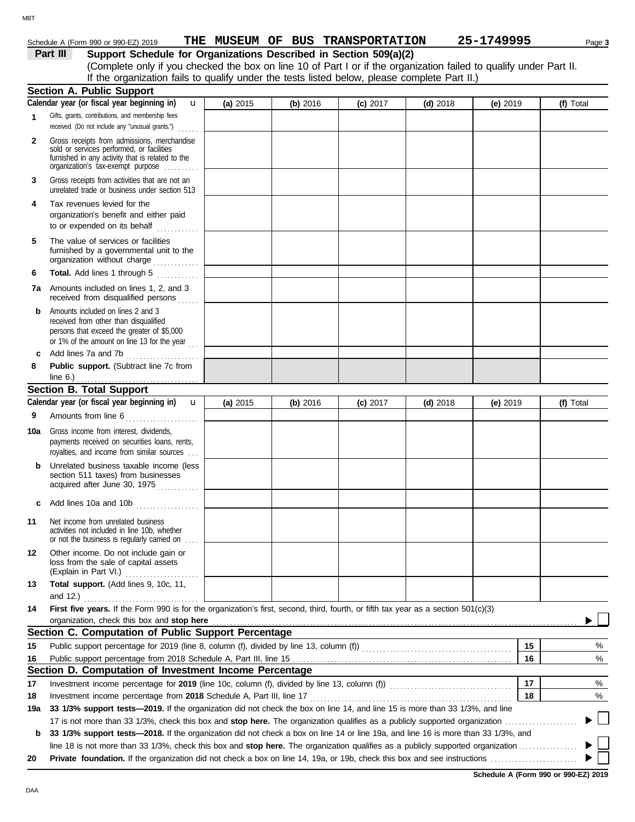| 25-1749995<br>THE MUSEUM OF BUS TRANSPORTATION<br>Schedule A (Form 990 or 990-EZ) 2019<br>Part III<br>Support Schedule for Organizations Described in Section 509(a)(2)<br>(Complete only if you checked the box on line 10 of Part I or if the organization failed to qualify under Part II.<br>If the organization fails to qualify under the tests listed below, please complete Part II.)<br><b>Section A. Public Support</b><br>Calendar year (or fiscal year beginning in)<br>$\mathbf{u}$<br>(a) 2015<br>(b) 2016<br>$(c)$ 2017<br>$(d)$ 2018<br>(e) $2019$<br>(f) Total<br>Gifts, grants, contributions, and membership fees<br>1<br>received. (Do not include any "unusual grants.")<br>Gross receipts from admissions, merchandise<br>$\mathbf{2}$<br>sold or services performed, or facilities<br>furnished in any activity that is related to the<br>organization's tax-exempt purpose<br>Gross receipts from activities that are not an<br>3<br>unrelated trade or business under section 513<br>Tax revenues levied for the<br>4<br>organization's benefit and either paid<br>to or expended on its behalf<br>The value of services or facilities<br>5<br>furnished by a governmental unit to the<br>organization without charge<br>Total. Add lines 1 through 5<br>6<br>7a Amounts included on lines 1, 2, and 3<br>received from disqualified persons<br>Amounts included on lines 2 and 3<br>b<br>received from other than disqualified<br>persons that exceed the greater of \$5,000<br>or 1% of the amount on line 13 for the year<br>Add lines 7a and 7b<br>Public support. (Subtract line 7c from<br>8<br>line $6.$ )<br><b>Section B. Total Support</b><br>Calendar year (or fiscal year beginning in)<br>$\mathbf{u}$<br>(a) 2015<br>(b) 2016<br>(c) 2017<br>$(d)$ 2018<br>(e) 2019<br>(f) Total<br>Amounts from line 6<br>9<br><b>10a</b> Gross income from interest, dividends,<br>payments received on securities loans, rents,<br>royalties, and income from similar sources<br><b>b</b> Unrelated business taxable income (less<br>section 511 taxes) from businesses<br>acquired after June 30, 1975<br>c<br>Net income from unrelated business<br>activities not included in line 10b, whether<br>or not the business is regularly carried on<br>Other income. Do not include gain or<br>loss from the sale of capital assets<br>(Explain in Part VI.)<br>Total support. (Add lines 9, 10c, 11,<br>and 12.) $\qquad \qquad$<br>First five years. If the Form 990 is for the organization's first, second, third, fourth, or fifth tax year as a section 501(c)(3)<br>organization, check this box and stop here<br>Section C. Computation of Public Support Percentage<br>15<br>16<br>Section D. Computation of Investment Income Percentage<br>17<br>18<br>33 1/3% support tests-2019. If the organization did not check the box on line 14, and line 15 is more than 33 1/3%, and line | /IBT |  |  |  |        |
|------------------------------------------------------------------------------------------------------------------------------------------------------------------------------------------------------------------------------------------------------------------------------------------------------------------------------------------------------------------------------------------------------------------------------------------------------------------------------------------------------------------------------------------------------------------------------------------------------------------------------------------------------------------------------------------------------------------------------------------------------------------------------------------------------------------------------------------------------------------------------------------------------------------------------------------------------------------------------------------------------------------------------------------------------------------------------------------------------------------------------------------------------------------------------------------------------------------------------------------------------------------------------------------------------------------------------------------------------------------------------------------------------------------------------------------------------------------------------------------------------------------------------------------------------------------------------------------------------------------------------------------------------------------------------------------------------------------------------------------------------------------------------------------------------------------------------------------------------------------------------------------------------------------------------------------------------------------------------------------------------------------------------------------------------------------------------------------------------------------------------------------------------------------------------------------------------------------------------------------------------------------------------------------------------------------------------------------------------------------------------------------------------------------------------------------------------------------------------------------------------------------------------------------------------------------------------------------------------------------------------------------------------------------------------------------------------------------------------------------------------------------------------------------------------------------------------------------------------------------------------------------------------------------------|------|--|--|--|--------|
|                                                                                                                                                                                                                                                                                                                                                                                                                                                                                                                                                                                                                                                                                                                                                                                                                                                                                                                                                                                                                                                                                                                                                                                                                                                                                                                                                                                                                                                                                                                                                                                                                                                                                                                                                                                                                                                                                                                                                                                                                                                                                                                                                                                                                                                                                                                                                                                                                                                                                                                                                                                                                                                                                                                                                                                                                                                                                                                        |      |  |  |  | Page 3 |
|                                                                                                                                                                                                                                                                                                                                                                                                                                                                                                                                                                                                                                                                                                                                                                                                                                                                                                                                                                                                                                                                                                                                                                                                                                                                                                                                                                                                                                                                                                                                                                                                                                                                                                                                                                                                                                                                                                                                                                                                                                                                                                                                                                                                                                                                                                                                                                                                                                                                                                                                                                                                                                                                                                                                                                                                                                                                                                                        |      |  |  |  |        |
|                                                                                                                                                                                                                                                                                                                                                                                                                                                                                                                                                                                                                                                                                                                                                                                                                                                                                                                                                                                                                                                                                                                                                                                                                                                                                                                                                                                                                                                                                                                                                                                                                                                                                                                                                                                                                                                                                                                                                                                                                                                                                                                                                                                                                                                                                                                                                                                                                                                                                                                                                                                                                                                                                                                                                                                                                                                                                                                        |      |  |  |  |        |
|                                                                                                                                                                                                                                                                                                                                                                                                                                                                                                                                                                                                                                                                                                                                                                                                                                                                                                                                                                                                                                                                                                                                                                                                                                                                                                                                                                                                                                                                                                                                                                                                                                                                                                                                                                                                                                                                                                                                                                                                                                                                                                                                                                                                                                                                                                                                                                                                                                                                                                                                                                                                                                                                                                                                                                                                                                                                                                                        |      |  |  |  |        |
|                                                                                                                                                                                                                                                                                                                                                                                                                                                                                                                                                                                                                                                                                                                                                                                                                                                                                                                                                                                                                                                                                                                                                                                                                                                                                                                                                                                                                                                                                                                                                                                                                                                                                                                                                                                                                                                                                                                                                                                                                                                                                                                                                                                                                                                                                                                                                                                                                                                                                                                                                                                                                                                                                                                                                                                                                                                                                                                        |      |  |  |  |        |
|                                                                                                                                                                                                                                                                                                                                                                                                                                                                                                                                                                                                                                                                                                                                                                                                                                                                                                                                                                                                                                                                                                                                                                                                                                                                                                                                                                                                                                                                                                                                                                                                                                                                                                                                                                                                                                                                                                                                                                                                                                                                                                                                                                                                                                                                                                                                                                                                                                                                                                                                                                                                                                                                                                                                                                                                                                                                                                                        |      |  |  |  |        |
|                                                                                                                                                                                                                                                                                                                                                                                                                                                                                                                                                                                                                                                                                                                                                                                                                                                                                                                                                                                                                                                                                                                                                                                                                                                                                                                                                                                                                                                                                                                                                                                                                                                                                                                                                                                                                                                                                                                                                                                                                                                                                                                                                                                                                                                                                                                                                                                                                                                                                                                                                                                                                                                                                                                                                                                                                                                                                                                        |      |  |  |  |        |
|                                                                                                                                                                                                                                                                                                                                                                                                                                                                                                                                                                                                                                                                                                                                                                                                                                                                                                                                                                                                                                                                                                                                                                                                                                                                                                                                                                                                                                                                                                                                                                                                                                                                                                                                                                                                                                                                                                                                                                                                                                                                                                                                                                                                                                                                                                                                                                                                                                                                                                                                                                                                                                                                                                                                                                                                                                                                                                                        |      |  |  |  |        |
|                                                                                                                                                                                                                                                                                                                                                                                                                                                                                                                                                                                                                                                                                                                                                                                                                                                                                                                                                                                                                                                                                                                                                                                                                                                                                                                                                                                                                                                                                                                                                                                                                                                                                                                                                                                                                                                                                                                                                                                                                                                                                                                                                                                                                                                                                                                                                                                                                                                                                                                                                                                                                                                                                                                                                                                                                                                                                                                        |      |  |  |  |        |
|                                                                                                                                                                                                                                                                                                                                                                                                                                                                                                                                                                                                                                                                                                                                                                                                                                                                                                                                                                                                                                                                                                                                                                                                                                                                                                                                                                                                                                                                                                                                                                                                                                                                                                                                                                                                                                                                                                                                                                                                                                                                                                                                                                                                                                                                                                                                                                                                                                                                                                                                                                                                                                                                                                                                                                                                                                                                                                                        |      |  |  |  |        |
|                                                                                                                                                                                                                                                                                                                                                                                                                                                                                                                                                                                                                                                                                                                                                                                                                                                                                                                                                                                                                                                                                                                                                                                                                                                                                                                                                                                                                                                                                                                                                                                                                                                                                                                                                                                                                                                                                                                                                                                                                                                                                                                                                                                                                                                                                                                                                                                                                                                                                                                                                                                                                                                                                                                                                                                                                                                                                                                        |      |  |  |  |        |
|                                                                                                                                                                                                                                                                                                                                                                                                                                                                                                                                                                                                                                                                                                                                                                                                                                                                                                                                                                                                                                                                                                                                                                                                                                                                                                                                                                                                                                                                                                                                                                                                                                                                                                                                                                                                                                                                                                                                                                                                                                                                                                                                                                                                                                                                                                                                                                                                                                                                                                                                                                                                                                                                                                                                                                                                                                                                                                                        |      |  |  |  |        |
|                                                                                                                                                                                                                                                                                                                                                                                                                                                                                                                                                                                                                                                                                                                                                                                                                                                                                                                                                                                                                                                                                                                                                                                                                                                                                                                                                                                                                                                                                                                                                                                                                                                                                                                                                                                                                                                                                                                                                                                                                                                                                                                                                                                                                                                                                                                                                                                                                                                                                                                                                                                                                                                                                                                                                                                                                                                                                                                        |      |  |  |  |        |
|                                                                                                                                                                                                                                                                                                                                                                                                                                                                                                                                                                                                                                                                                                                                                                                                                                                                                                                                                                                                                                                                                                                                                                                                                                                                                                                                                                                                                                                                                                                                                                                                                                                                                                                                                                                                                                                                                                                                                                                                                                                                                                                                                                                                                                                                                                                                                                                                                                                                                                                                                                                                                                                                                                                                                                                                                                                                                                                        |      |  |  |  |        |
|                                                                                                                                                                                                                                                                                                                                                                                                                                                                                                                                                                                                                                                                                                                                                                                                                                                                                                                                                                                                                                                                                                                                                                                                                                                                                                                                                                                                                                                                                                                                                                                                                                                                                                                                                                                                                                                                                                                                                                                                                                                                                                                                                                                                                                                                                                                                                                                                                                                                                                                                                                                                                                                                                                                                                                                                                                                                                                                        |      |  |  |  |        |
|                                                                                                                                                                                                                                                                                                                                                                                                                                                                                                                                                                                                                                                                                                                                                                                                                                                                                                                                                                                                                                                                                                                                                                                                                                                                                                                                                                                                                                                                                                                                                                                                                                                                                                                                                                                                                                                                                                                                                                                                                                                                                                                                                                                                                                                                                                                                                                                                                                                                                                                                                                                                                                                                                                                                                                                                                                                                                                                        |      |  |  |  |        |
|                                                                                                                                                                                                                                                                                                                                                                                                                                                                                                                                                                                                                                                                                                                                                                                                                                                                                                                                                                                                                                                                                                                                                                                                                                                                                                                                                                                                                                                                                                                                                                                                                                                                                                                                                                                                                                                                                                                                                                                                                                                                                                                                                                                                                                                                                                                                                                                                                                                                                                                                                                                                                                                                                                                                                                                                                                                                                                                        |      |  |  |  |        |
|                                                                                                                                                                                                                                                                                                                                                                                                                                                                                                                                                                                                                                                                                                                                                                                                                                                                                                                                                                                                                                                                                                                                                                                                                                                                                                                                                                                                                                                                                                                                                                                                                                                                                                                                                                                                                                                                                                                                                                                                                                                                                                                                                                                                                                                                                                                                                                                                                                                                                                                                                                                                                                                                                                                                                                                                                                                                                                                        |      |  |  |  |        |
|                                                                                                                                                                                                                                                                                                                                                                                                                                                                                                                                                                                                                                                                                                                                                                                                                                                                                                                                                                                                                                                                                                                                                                                                                                                                                                                                                                                                                                                                                                                                                                                                                                                                                                                                                                                                                                                                                                                                                                                                                                                                                                                                                                                                                                                                                                                                                                                                                                                                                                                                                                                                                                                                                                                                                                                                                                                                                                                        |      |  |  |  |        |
|                                                                                                                                                                                                                                                                                                                                                                                                                                                                                                                                                                                                                                                                                                                                                                                                                                                                                                                                                                                                                                                                                                                                                                                                                                                                                                                                                                                                                                                                                                                                                                                                                                                                                                                                                                                                                                                                                                                                                                                                                                                                                                                                                                                                                                                                                                                                                                                                                                                                                                                                                                                                                                                                                                                                                                                                                                                                                                                        |      |  |  |  |        |
|                                                                                                                                                                                                                                                                                                                                                                                                                                                                                                                                                                                                                                                                                                                                                                                                                                                                                                                                                                                                                                                                                                                                                                                                                                                                                                                                                                                                                                                                                                                                                                                                                                                                                                                                                                                                                                                                                                                                                                                                                                                                                                                                                                                                                                                                                                                                                                                                                                                                                                                                                                                                                                                                                                                                                                                                                                                                                                                        |      |  |  |  |        |
|                                                                                                                                                                                                                                                                                                                                                                                                                                                                                                                                                                                                                                                                                                                                                                                                                                                                                                                                                                                                                                                                                                                                                                                                                                                                                                                                                                                                                                                                                                                                                                                                                                                                                                                                                                                                                                                                                                                                                                                                                                                                                                                                                                                                                                                                                                                                                                                                                                                                                                                                                                                                                                                                                                                                                                                                                                                                                                                        |      |  |  |  |        |
|                                                                                                                                                                                                                                                                                                                                                                                                                                                                                                                                                                                                                                                                                                                                                                                                                                                                                                                                                                                                                                                                                                                                                                                                                                                                                                                                                                                                                                                                                                                                                                                                                                                                                                                                                                                                                                                                                                                                                                                                                                                                                                                                                                                                                                                                                                                                                                                                                                                                                                                                                                                                                                                                                                                                                                                                                                                                                                                        |      |  |  |  |        |
|                                                                                                                                                                                                                                                                                                                                                                                                                                                                                                                                                                                                                                                                                                                                                                                                                                                                                                                                                                                                                                                                                                                                                                                                                                                                                                                                                                                                                                                                                                                                                                                                                                                                                                                                                                                                                                                                                                                                                                                                                                                                                                                                                                                                                                                                                                                                                                                                                                                                                                                                                                                                                                                                                                                                                                                                                                                                                                                        | 11   |  |  |  |        |
|                                                                                                                                                                                                                                                                                                                                                                                                                                                                                                                                                                                                                                                                                                                                                                                                                                                                                                                                                                                                                                                                                                                                                                                                                                                                                                                                                                                                                                                                                                                                                                                                                                                                                                                                                                                                                                                                                                                                                                                                                                                                                                                                                                                                                                                                                                                                                                                                                                                                                                                                                                                                                                                                                                                                                                                                                                                                                                                        | 12   |  |  |  |        |
|                                                                                                                                                                                                                                                                                                                                                                                                                                                                                                                                                                                                                                                                                                                                                                                                                                                                                                                                                                                                                                                                                                                                                                                                                                                                                                                                                                                                                                                                                                                                                                                                                                                                                                                                                                                                                                                                                                                                                                                                                                                                                                                                                                                                                                                                                                                                                                                                                                                                                                                                                                                                                                                                                                                                                                                                                                                                                                                        | 13   |  |  |  |        |
|                                                                                                                                                                                                                                                                                                                                                                                                                                                                                                                                                                                                                                                                                                                                                                                                                                                                                                                                                                                                                                                                                                                                                                                                                                                                                                                                                                                                                                                                                                                                                                                                                                                                                                                                                                                                                                                                                                                                                                                                                                                                                                                                                                                                                                                                                                                                                                                                                                                                                                                                                                                                                                                                                                                                                                                                                                                                                                                        | 14   |  |  |  |        |
|                                                                                                                                                                                                                                                                                                                                                                                                                                                                                                                                                                                                                                                                                                                                                                                                                                                                                                                                                                                                                                                                                                                                                                                                                                                                                                                                                                                                                                                                                                                                                                                                                                                                                                                                                                                                                                                                                                                                                                                                                                                                                                                                                                                                                                                                                                                                                                                                                                                                                                                                                                                                                                                                                                                                                                                                                                                                                                                        |      |  |  |  |        |
|                                                                                                                                                                                                                                                                                                                                                                                                                                                                                                                                                                                                                                                                                                                                                                                                                                                                                                                                                                                                                                                                                                                                                                                                                                                                                                                                                                                                                                                                                                                                                                                                                                                                                                                                                                                                                                                                                                                                                                                                                                                                                                                                                                                                                                                                                                                                                                                                                                                                                                                                                                                                                                                                                                                                                                                                                                                                                                                        |      |  |  |  |        |
|                                                                                                                                                                                                                                                                                                                                                                                                                                                                                                                                                                                                                                                                                                                                                                                                                                                                                                                                                                                                                                                                                                                                                                                                                                                                                                                                                                                                                                                                                                                                                                                                                                                                                                                                                                                                                                                                                                                                                                                                                                                                                                                                                                                                                                                                                                                                                                                                                                                                                                                                                                                                                                                                                                                                                                                                                                                                                                                        | 15   |  |  |  | %      |
|                                                                                                                                                                                                                                                                                                                                                                                                                                                                                                                                                                                                                                                                                                                                                                                                                                                                                                                                                                                                                                                                                                                                                                                                                                                                                                                                                                                                                                                                                                                                                                                                                                                                                                                                                                                                                                                                                                                                                                                                                                                                                                                                                                                                                                                                                                                                                                                                                                                                                                                                                                                                                                                                                                                                                                                                                                                                                                                        | 16   |  |  |  | %      |
|                                                                                                                                                                                                                                                                                                                                                                                                                                                                                                                                                                                                                                                                                                                                                                                                                                                                                                                                                                                                                                                                                                                                                                                                                                                                                                                                                                                                                                                                                                                                                                                                                                                                                                                                                                                                                                                                                                                                                                                                                                                                                                                                                                                                                                                                                                                                                                                                                                                                                                                                                                                                                                                                                                                                                                                                                                                                                                                        |      |  |  |  |        |
|                                                                                                                                                                                                                                                                                                                                                                                                                                                                                                                                                                                                                                                                                                                                                                                                                                                                                                                                                                                                                                                                                                                                                                                                                                                                                                                                                                                                                                                                                                                                                                                                                                                                                                                                                                                                                                                                                                                                                                                                                                                                                                                                                                                                                                                                                                                                                                                                                                                                                                                                                                                                                                                                                                                                                                                                                                                                                                                        | 17   |  |  |  | %      |
|                                                                                                                                                                                                                                                                                                                                                                                                                                                                                                                                                                                                                                                                                                                                                                                                                                                                                                                                                                                                                                                                                                                                                                                                                                                                                                                                                                                                                                                                                                                                                                                                                                                                                                                                                                                                                                                                                                                                                                                                                                                                                                                                                                                                                                                                                                                                                                                                                                                                                                                                                                                                                                                                                                                                                                                                                                                                                                                        | 18   |  |  |  | %      |
| 17 is not more than 33 1/3%, check this box and stop here. The organization qualifies as a publicly supported organization                                                                                                                                                                                                                                                                                                                                                                                                                                                                                                                                                                                                                                                                                                                                                                                                                                                                                                                                                                                                                                                                                                                                                                                                                                                                                                                                                                                                                                                                                                                                                                                                                                                                                                                                                                                                                                                                                                                                                                                                                                                                                                                                                                                                                                                                                                                                                                                                                                                                                                                                                                                                                                                                                                                                                                                             | 19a  |  |  |  |        |

17 is not more than 33 1/3%, check this box and **stop here.** The organization qualifies as a publicly supported organization . . . . . . . . . . . . . . . . . . . . . **b 33 1/3% support tests—2018.** If the organization did not check a box on line 14 or line 19a, and line 16 is more than 33 1/3%, and line 18 is not more than 33 1/3%, check this box and **stop here.** The organization qualifies as a publicly supported organization . . . . . . . . . . . . . . . . .

**20 Private foundation.** If the organization did not check a box on line 14, 19a, or 19b, check this box and see instructions . . . . . . . . . . . . . . . . . . . . . . . . .

**Schedule A (Form 990 or 990-EZ) 2019**

 $\blacktriangleright$  $\blacktriangleright$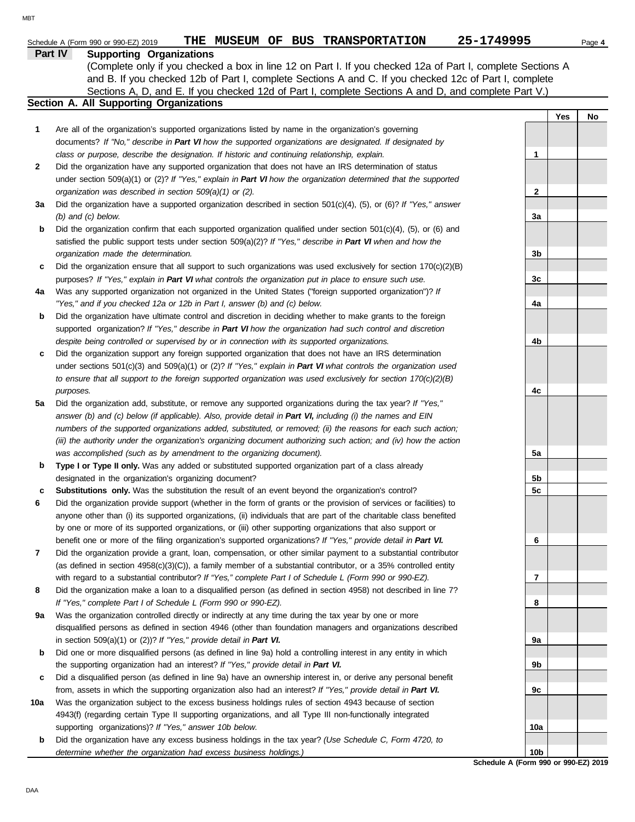**2**

**b**

*(b) and (c) below.*

**4a**

**c**

*purposes.*

|         | Schedule A (Form 990 or 990-EZ) 2019           |  |  | THE MUSEUM OF BUS TRANSPORTATION                                                                            | 25-1749995 |     | Page 4 |
|---------|------------------------------------------------|--|--|-------------------------------------------------------------------------------------------------------------|------------|-----|--------|
| Part IV | <b>Supporting Organizations</b>                |  |  |                                                                                                             |            |     |        |
|         |                                                |  |  | (Complete only if you checked a box in line 12 on Part I. If you checked 12a of Part I, complete Sections A |            |     |        |
|         |                                                |  |  | and B. If you checked 12b of Part I, complete Sections A and C. If you checked 12c of Part I, complete      |            |     |        |
|         |                                                |  |  | Sections A, D, and E. If you checked 12d of Part I, complete Sections A and D, and complete Part V.)        |            |     |        |
|         | <b>Section A. All Supporting Organizations</b> |  |  |                                                                                                             |            |     |        |
|         |                                                |  |  |                                                                                                             |            | Yes | No     |
|         |                                                |  |  | Are all of the organization's supported organizations listed by name in the organization's governing        |            |     |        |

| b  | <b>Type I or Type II only.</b> Was any added or substituted supported organization part of a class already          |
|----|---------------------------------------------------------------------------------------------------------------------|
|    | designated in the organization's organizing document?                                                               |
| c. | <b>Substitutions only.</b> Was the substitution the result of an event beyond the organization's control?           |
| -6 | Did the organization provide support (whether in the form of grants or the provision of services or facilities) to  |
|    | anyone other than (i) its supported organizations, (ii) individuals that are part of the charitable class benefited |
|    | by one or more of its supported organizations, or (iii) other supporting organizations that also support or         |
|    | benefit one or more of the filing organization's supported organizations? If "Yes," provide detail in Part VI.      |

documents? *If "No," describe in Part VI how the supported organizations are designated. If designated by* 

Did the organization have any supported organization that does not have an IRS determination of status under section 509(a)(1) or (2)? *If "Yes," explain in Part VI how the organization determined that the supported*

**3a** Did the organization have a supported organization described in section 501(c)(4), (5), or (6)? *If "Yes," answer*

**c** Did the organization ensure that all support to such organizations was used exclusively for section 170(c)(2)(B)

Did the organization confirm that each supported organization qualified under section 501(c)(4), (5), or (6) and satisfied the public support tests under section 509(a)(2)? *If "Yes," describe in Part VI when and how the*

**b** Did the organization have ultimate control and discretion in deciding whether to make grants to the foreign

*despite being controlled or supervised by or in connection with its supported organizations.*

supported organization? *If "Yes," describe in Part VI how the organization had such control and discretion*

Did the organization support any foreign supported organization that does not have an IRS determination under sections 501(c)(3) and 509(a)(1) or (2)? *If "Yes," explain in Part VI what controls the organization used to ensure that all support to the foreign supported organization was used exclusively for section 170(c)(2)(B)* 

*"Yes," and if you checked 12a or 12b in Part I, answer (b) and (c) below.*

*was accomplished (such as by amendment to the organizing document).*

purposes? *If "Yes," explain in Part VI what controls the organization put in place to ensure such use.* Was any supported organization not organized in the United States ("foreign supported organization")? *If*

**5a** Did the organization add, substitute, or remove any supported organizations during the tax year? *If "Yes,"*

answer (b) and (c) below (if applicable). Also, provide detail in Part VI, including (i) the names and EIN *numbers of the supported organizations added, substituted, or removed; (ii) the reasons for each such action; (iii) the authority under the organization's organizing document authorizing such action; and (iv) how the action*

*class or purpose, describe the designation. If historic and continuing relationship, explain.*

*organization was described in section 509(a)(1) or (2).*

*organization made the determination.*

| Did the organization provide a grant, loan, compensation, or other similar payment to a substantial contributor    |
|--------------------------------------------------------------------------------------------------------------------|
| (as defined in section $4958(c)(3)(C)$ ), a family member of a substantial contributor, or a 35% controlled entity |
| with regard to a substantial contributor? If "Yes," complete Part I of Schedule L (Form 990 or 990-EZ).            |

**8** Did the organization make a loan to a disqualified person (as defined in section 4958) not described in line 7? *If "Yes," complete Part I of Schedule L (Form 990 or 990-EZ).*

**9a** Was the organization controlled directly or indirectly at any time during the tax year by one or more disqualified persons as defined in section 4946 (other than foundation managers and organizations described in section 509(a)(1) or (2))? *If "Yes," provide detail in Part VI.*

**b** Did one or more disqualified persons (as defined in line 9a) hold a controlling interest in any entity in which the supporting organization had an interest? *If "Yes," provide detail in Part VI.*

**c** Did a disqualified person (as defined in line 9a) have an ownership interest in, or derive any personal benefit from, assets in which the supporting organization also had an interest? *If "Yes," provide detail in Part VI.*

**10a** Was the organization subject to the excess business holdings rules of section 4943 because of section 4943(f) (regarding certain Type II supporting organizations, and all Type III non-functionally integrated supporting organizations)? *If "Yes," answer 10b below.*

**b** Did the organization have any excess business holdings in the tax year? *(Use Schedule C, Form 4720, to determine whether the organization had excess business holdings.)*

**1 2 3a 3b 3c 4a 4b 4c 5a 5b 5c 6 7 8 9a 9b 9c 10a 10b**

**Schedule A (Form 990 or 990-EZ) 2019**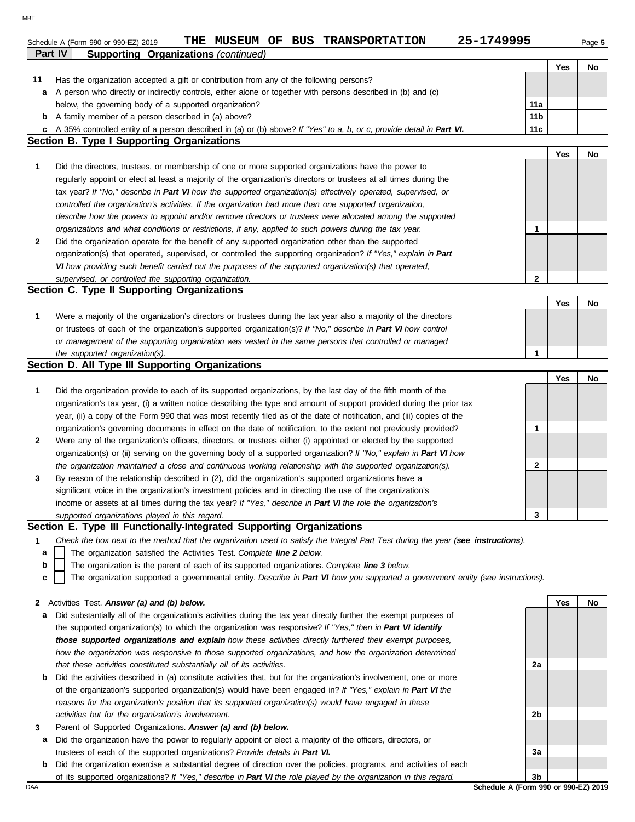# Schedule A (Form 990 or 990-EZ) 2019 **THE MUSEUM OF BUS TRANSPORTATION** 25-1749995 Page 5

|    | Part IV<br><b>Supporting Organizations (continued)</b>                                                                |                 |            |     |
|----|-----------------------------------------------------------------------------------------------------------------------|-----------------|------------|-----|
|    |                                                                                                                       |                 | <b>Yes</b> | No. |
| 11 | Has the organization accepted a gift or contribution from any of the following persons?                               |                 |            |     |
| a  | A person who directly or indirectly controls, either alone or together with persons described in (b) and (c)          |                 |            |     |
|    | below, the governing body of a supported organization?                                                                | 11a             |            |     |
| b  | A family member of a person described in (a) above?                                                                   | 11 <sub>b</sub> |            |     |
| c  | A 35% controlled entity of a person described in (a) or (b) above? If "Yes" to a, b, or c, provide detail in Part VI. | 11c             |            |     |
|    | Section B. Type I Supporting Organizations                                                                            |                 |            |     |
|    |                                                                                                                       |                 | Yes        | No. |
| 1  | Did the directors, trustees, or membership of one or more supported organizations have the power to                   |                 |            |     |
|    | regularly appoint or elect at least a majority of the organization's directors or trustees at all times during the    |                 |            |     |
|    | tax year? If "No," describe in Part VI how the supported organization(s) effectively operated, supervised, or         |                 |            |     |
|    | controlled the organization's activities. If the organization had more than one supported organization,               |                 |            |     |
|    | describe how the powers to appoint and/or remove directors or trustees were allocated among the supported             |                 |            |     |
|    | organizations and what conditions or restrictions, if any, applied to such powers during the tax year.                |                 |            |     |
| 2  | Did the organization operate for the benefit of any supported organization other than the supported                   |                 |            |     |
|    | organization(s) that operated, supervised, or controlled the supporting organization? If "Yes," explain in Part       |                 |            |     |
|    | VI how providing such benefit carried out the purposes of the supported organization(s) that operated,                |                 |            |     |

#### **Section C. Type II Supporting Organizations** Were a majority of the organization's directors or trustees during the tax year also a majority of the directors or trustees of each of the organization's supported organization(s)? *If "No," describe in Part VI how control* **1** *or management of the supporting organization was vested in the same persons that controlled or managed the supported organization(s).* **Yes No 1**

### **Section D. All Type III Supporting Organizations**

*supervised, or controlled the supporting organization.*

|                |                                                                                                                        |   | Yes | No |
|----------------|------------------------------------------------------------------------------------------------------------------------|---|-----|----|
| 1              | Did the organization provide to each of its supported organizations, by the last day of the fifth month of the         |   |     |    |
|                | organization's tax year, (i) a written notice describing the type and amount of support provided during the prior tax  |   |     |    |
|                | year, (ii) a copy of the Form 990 that was most recently filed as of the date of notification, and (iii) copies of the |   |     |    |
|                | organization's governing documents in effect on the date of notification, to the extent not previously provided?       |   |     |    |
| $\overline{2}$ | Were any of the organization's officers, directors, or trustees either (i) appointed or elected by the supported       |   |     |    |
|                | organization(s) or (ii) serving on the governing body of a supported organization? If "No," explain in Part VI how     |   |     |    |
|                | the organization maintained a close and continuous working relationship with the supported organization(s).            | , |     |    |
| $\mathbf{3}$   | By reason of the relationship described in (2), did the organization's supported organizations have a                  |   |     |    |
|                | significant voice in the organization's investment policies and in directing the use of the organization's             |   |     |    |
|                | income or assets at all times during the tax year? If "Yes," describe in Part VI the role the organization's           |   |     |    |
|                | supported organizations played in this regard.                                                                         | 3 |     |    |

### **Section E. Type III Functionally-Integrated Supporting Organizations**

**1** *Check the box next to the method that the organization used to satisfy the Integral Part Test during the year (see instructions).*

The organization satisfied the Activities Test. *Complete line 2 below.* **a**

The organization is the parent of each of its supported organizations. *Complete line 3 below.*

The organization supported a governmental entity. *Describe in Part VI how you supported a government entity (see instructions).* **c**

- **a** Did substantially all of the organization's activities during the tax year directly further the exempt purposes of the supported organization(s) to which the organization was responsive? *If "Yes," then in Part VI identify those supported organizations and explain how these activities directly furthered their exempt purposes,*  how the organization was responsive to those supported organizations, and how the organization determined *that these activities constituted substantially all of its activities.*
- **b** Did the activities described in (a) constitute activities that, but for the organization's involvement, one or more of the organization's supported organization(s) would have been engaged in? *If "Yes," explain in Part VI the reasons for the organization's position that its supported organization(s) would have engaged in these activities but for the organization's involvement.*
- **3** Parent of Supported Organizations. *Answer (a) and (b) below.*
- **a** Did the organization have the power to regularly appoint or elect a majority of the officers, directors, or trustees of each of the supported organizations? *Provide details in Part VI.*
- **b** Did the organization exercise a substantial degree of direction over the policies, programs, and activities of each of its supported organizations? *If "Yes," describe in Part VI the role played by the organization in this regard.*

**Yes No 2a 2b 3a 3b**

**2**

DAA **Schedule A (Form 990 or 990-EZ) 2019**

**b**

**<sup>2</sup>** Activities Test. *Answer (a) and (b) below.*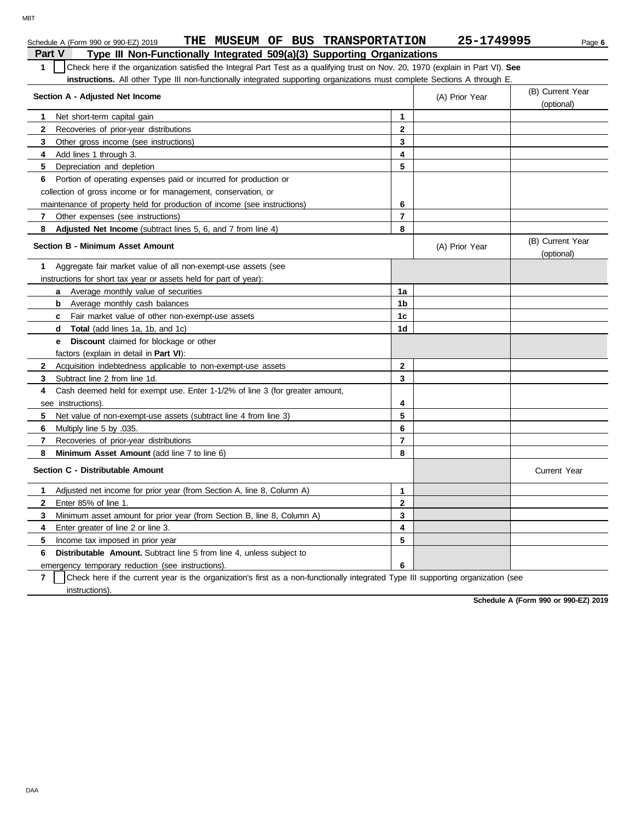| Schedule A (Form 990 or 990-EZ) 2019 | THE | <b>MUSEUM</b> | OF | <b>BUS</b> | <b>TRANSPORTATION</b> | 25-1749995 | Page 6 |
|--------------------------------------|-----|---------------|----|------------|-----------------------|------------|--------|
| ___<br>--- - -                       |     |               |    | __________ |                       |            |        |

**Part V Type III Non-Functionally Integrated 509(a)(3) Supporting Organizations 1** Check here if the organization satisfied the Integral Part Test as a qualifying trust on Nov. 20, 1970 (explain in Part VI). **See instructions.** All other Type III non-functionally integrated supporting organizations must complete Sections A through E.

| <b>Instructions.</b> All other type in non-lunctionally integrated supporting organizations must complete Sections A through E.<br>Section A - Adjusted Net Income |                | (A) Prior Year | (B) Current Year<br>(optional) |
|--------------------------------------------------------------------------------------------------------------------------------------------------------------------|----------------|----------------|--------------------------------|
| Net short-term capital gain<br>1.                                                                                                                                  | $\mathbf{1}$   |                |                                |
| $\mathbf{2}$<br>Recoveries of prior-year distributions                                                                                                             | $\mathbf{2}$   |                |                                |
| 3<br>Other gross income (see instructions)                                                                                                                         | 3              |                |                                |
| Add lines 1 through 3.<br>4                                                                                                                                        | 4              |                |                                |
| 5<br>Depreciation and depletion                                                                                                                                    | 5              |                |                                |
| Portion of operating expenses paid or incurred for production or<br>6.                                                                                             |                |                |                                |
| collection of gross income or for management, conservation, or                                                                                                     |                |                |                                |
| maintenance of property held for production of income (see instructions)                                                                                           | 6              |                |                                |
| Other expenses (see instructions)<br>$7^{\circ}$                                                                                                                   | $\overline{7}$ |                |                                |
| 8<br>Adjusted Net Income (subtract lines 5, 6, and 7 from line 4)                                                                                                  | 8              |                |                                |
| <b>Section B - Minimum Asset Amount</b>                                                                                                                            |                | (A) Prior Year | (B) Current Year<br>(optional) |
| Aggregate fair market value of all non-exempt-use assets (see<br>1                                                                                                 |                |                |                                |
| instructions for short tax year or assets held for part of year):                                                                                                  |                |                |                                |
| a Average monthly value of securities                                                                                                                              | 1a             |                |                                |
| <b>b</b> Average monthly cash balances                                                                                                                             | 1b             |                |                                |
| <b>c</b> Fair market value of other non-exempt-use assets                                                                                                          | 1 <sub>c</sub> |                |                                |
| <b>Total</b> (add lines 1a, 1b, and 1c)<br>d                                                                                                                       | 1 <sub>d</sub> |                |                                |
| <b>Discount</b> claimed for blockage or other<br>e                                                                                                                 |                |                |                                |
| factors (explain in detail in Part VI):                                                                                                                            |                |                |                                |
| $\mathbf{2}$<br>Acquisition indebtedness applicable to non-exempt-use assets                                                                                       | $\mathbf{2}$   |                |                                |
| 3<br>Subtract line 2 from line 1d.                                                                                                                                 | 3              |                |                                |
| Cash deemed held for exempt use. Enter 1-1/2% of line 3 (for greater amount,<br>4                                                                                  |                |                |                                |
| see instructions).                                                                                                                                                 | 4              |                |                                |
| 5.<br>Net value of non-exempt-use assets (subtract line 4 from line 3)                                                                                             | 5              |                |                                |
| 6<br>Multiply line 5 by .035.                                                                                                                                      | 6              |                |                                |
| Recoveries of prior-year distributions<br>7                                                                                                                        | $\overline{7}$ |                |                                |
| 8<br>Minimum Asset Amount (add line 7 to line 6)                                                                                                                   | 8              |                |                                |
| Section C - Distributable Amount                                                                                                                                   |                |                | <b>Current Year</b>            |
| Adjusted net income for prior year (from Section A, line 8, Column A)<br>1                                                                                         | 1              |                |                                |
| Enter 85% of line 1.<br>$\mathbf{2}$                                                                                                                               | $\mathbf{2}$   |                |                                |
| 3<br>Minimum asset amount for prior year (from Section B, line 8, Column A)                                                                                        | 3              |                |                                |
| 4<br>Enter greater of line 2 or line 3.                                                                                                                            | 4              |                |                                |
| 5<br>Income tax imposed in prior year                                                                                                                              | 5              |                |                                |
| <b>Distributable Amount.</b> Subtract line 5 from line 4, unless subject to<br>6                                                                                   |                |                |                                |
| emergency temporary reduction (see instructions).                                                                                                                  | 6              |                |                                |

**7** | Check here if the current year is the organization's first as a non-functionally integrated Type III supporting organization (see instructions).

**Schedule A (Form 990 or 990-EZ) 2019**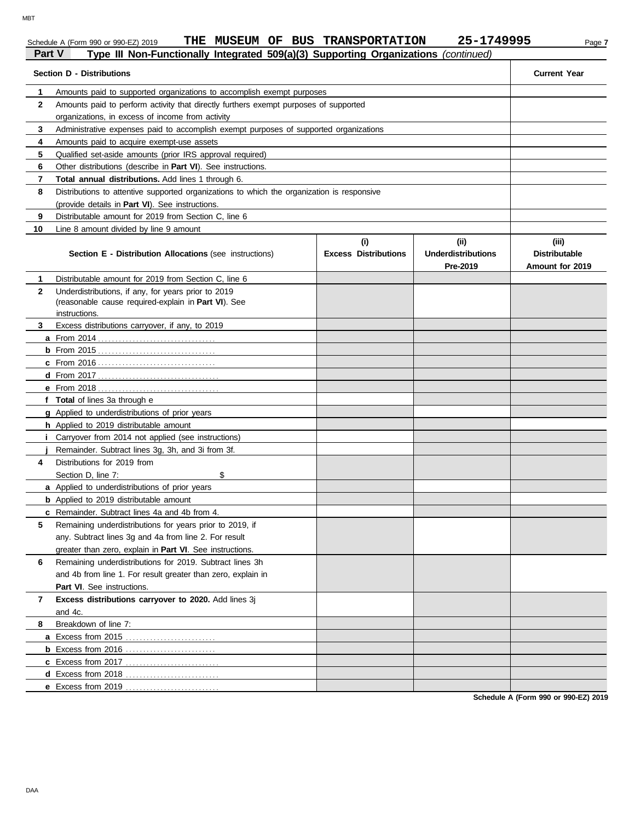### Schedule A (Form 990 or 990-EZ) 2019 **THE MUSEUM OF BUS TRANSPORTATION 25-1749995** Page 7 **Part V Type III Non-Functionally Integrated 509(a)(3) Supporting Organizations** *(continued)*

| rail V       | rype in Non-Functionally integrated 509(a)(5) Supporting Organizations ( <i>Continued</i> ) |                             |                                       |                                         |  |  |  |  |
|--------------|---------------------------------------------------------------------------------------------|-----------------------------|---------------------------------------|-----------------------------------------|--|--|--|--|
|              | <b>Section D - Distributions</b>                                                            |                             |                                       | <b>Current Year</b>                     |  |  |  |  |
| 1            | Amounts paid to supported organizations to accomplish exempt purposes                       |                             |                                       |                                         |  |  |  |  |
| $\mathbf{2}$ | Amounts paid to perform activity that directly furthers exempt purposes of supported        |                             |                                       |                                         |  |  |  |  |
|              | organizations, in excess of income from activity                                            |                             |                                       |                                         |  |  |  |  |
| 3            | Administrative expenses paid to accomplish exempt purposes of supported organizations       |                             |                                       |                                         |  |  |  |  |
| 4            | Amounts paid to acquire exempt-use assets                                                   |                             |                                       |                                         |  |  |  |  |
| 5            | Qualified set-aside amounts (prior IRS approval required)                                   |                             |                                       |                                         |  |  |  |  |
| 6            | Other distributions (describe in Part VI). See instructions.                                |                             |                                       |                                         |  |  |  |  |
| 7            | <b>Total annual distributions.</b> Add lines 1 through 6.                                   |                             |                                       |                                         |  |  |  |  |
| 8            | Distributions to attentive supported organizations to which the organization is responsive  |                             |                                       |                                         |  |  |  |  |
|              | (provide details in <b>Part VI</b> ). See instructions.                                     |                             |                                       |                                         |  |  |  |  |
| 9            | Distributable amount for 2019 from Section C, line 6                                        |                             |                                       |                                         |  |  |  |  |
| 10           | Line 8 amount divided by line 9 amount                                                      |                             |                                       |                                         |  |  |  |  |
|              |                                                                                             | (i)                         | (ii)                                  | (iii)                                   |  |  |  |  |
|              | <b>Section E - Distribution Allocations (see instructions)</b>                              | <b>Excess Distributions</b> | <b>Underdistributions</b><br>Pre-2019 | <b>Distributable</b><br>Amount for 2019 |  |  |  |  |
| 1            | Distributable amount for 2019 from Section C, line 6                                        |                             |                                       |                                         |  |  |  |  |
| $\mathbf{2}$ | Underdistributions, if any, for years prior to 2019                                         |                             |                                       |                                         |  |  |  |  |
|              | (reasonable cause required-explain in Part VI). See                                         |                             |                                       |                                         |  |  |  |  |
|              | instructions.                                                                               |                             |                                       |                                         |  |  |  |  |
| 3.           | Excess distributions carryover, if any, to 2019                                             |                             |                                       |                                         |  |  |  |  |
|              |                                                                                             |                             |                                       |                                         |  |  |  |  |
|              |                                                                                             |                             |                                       |                                         |  |  |  |  |
|              |                                                                                             |                             |                                       |                                         |  |  |  |  |
|              |                                                                                             |                             |                                       |                                         |  |  |  |  |
|              | <b>e</b> From 2018                                                                          |                             |                                       |                                         |  |  |  |  |
|              | f Total of lines 3a through e                                                               |                             |                                       |                                         |  |  |  |  |
|              | g Applied to underdistributions of prior years                                              |                             |                                       |                                         |  |  |  |  |
|              | h Applied to 2019 distributable amount                                                      |                             |                                       |                                         |  |  |  |  |
|              | <i>i</i> Carryover from 2014 not applied (see instructions)                                 |                             |                                       |                                         |  |  |  |  |
|              | Remainder. Subtract lines 3g, 3h, and 3i from 3f.                                           |                             |                                       |                                         |  |  |  |  |
| 4            | Distributions for 2019 from                                                                 |                             |                                       |                                         |  |  |  |  |
|              | \$<br>Section D, line 7:                                                                    |                             |                                       |                                         |  |  |  |  |
|              | a Applied to underdistributions of prior years                                              |                             |                                       |                                         |  |  |  |  |
|              | <b>b</b> Applied to 2019 distributable amount                                               |                             |                                       |                                         |  |  |  |  |
|              | c Remainder. Subtract lines 4a and 4b from 4.                                               |                             |                                       |                                         |  |  |  |  |
| 5            | Remaining underdistributions for years prior to 2019, if                                    |                             |                                       |                                         |  |  |  |  |
|              | any. Subtract lines 3g and 4a from line 2. For result                                       |                             |                                       |                                         |  |  |  |  |
|              | greater than zero, explain in Part VI. See instructions.                                    |                             |                                       |                                         |  |  |  |  |
| 6            | Remaining underdistributions for 2019. Subtract lines 3h                                    |                             |                                       |                                         |  |  |  |  |
|              | and 4b from line 1. For result greater than zero, explain in                                |                             |                                       |                                         |  |  |  |  |
|              | Part VI. See instructions.                                                                  |                             |                                       |                                         |  |  |  |  |
| 7            | Excess distributions carryover to 2020. Add lines 3j                                        |                             |                                       |                                         |  |  |  |  |
|              | and 4c.                                                                                     |                             |                                       |                                         |  |  |  |  |
| 8            | Breakdown of line 7:                                                                        |                             |                                       |                                         |  |  |  |  |
|              | a Excess from 2015                                                                          |                             |                                       |                                         |  |  |  |  |
|              |                                                                                             |                             |                                       |                                         |  |  |  |  |
|              | c Excess from 2017                                                                          |                             |                                       |                                         |  |  |  |  |
|              | d Excess from 2018                                                                          |                             |                                       |                                         |  |  |  |  |
|              | e Excess from 2019                                                                          |                             |                                       |                                         |  |  |  |  |

**Schedule A (Form 990 or 990-EZ) 2019**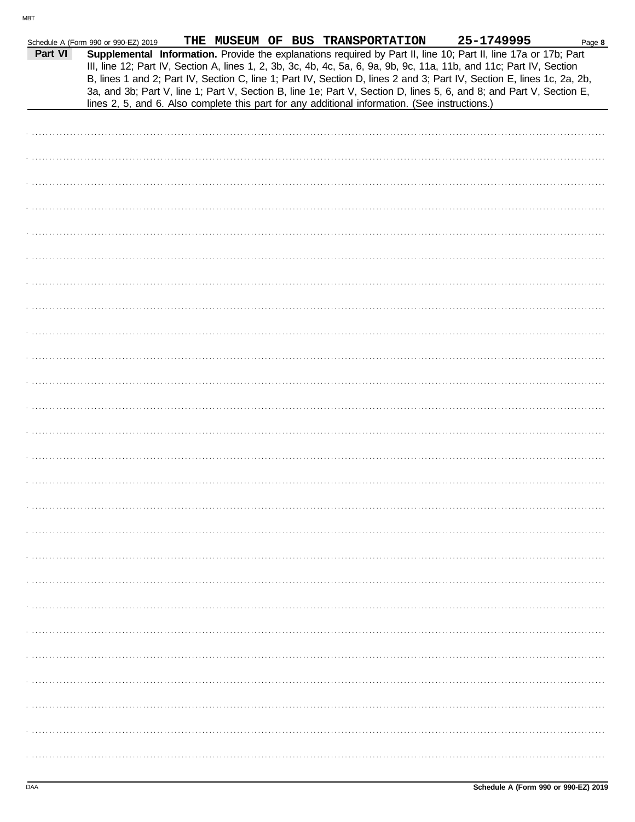|         | Schedule A (Form 990 or 990-EZ) 2019 |  |  | THE MUSEUM OF BUS TRANSPORTATION | 25-1749995                                                                                                                                                                                                                                                                                                                                                                                                                                                                                                                                                                                  | Page 8 |
|---------|--------------------------------------|--|--|----------------------------------|---------------------------------------------------------------------------------------------------------------------------------------------------------------------------------------------------------------------------------------------------------------------------------------------------------------------------------------------------------------------------------------------------------------------------------------------------------------------------------------------------------------------------------------------------------------------------------------------|--------|
| Part VI |                                      |  |  |                                  | Supplemental Information. Provide the explanations required by Part II, line 10; Part II, line 17a or 17b; Part<br>III, line 12; Part IV, Section A, lines 1, 2, 3b, 3c, 4b, 4c, 5a, 6, 9a, 9b, 9c, 11a, 11b, and 11c; Part IV, Section<br>B, lines 1 and 2; Part IV, Section C, line 1; Part IV, Section D, lines 2 and 3; Part IV, Section E, lines 1c, 2a, 2b,<br>3a, and 3b; Part V, line 1; Part V, Section B, line 1e; Part V, Section D, lines 5, 6, and 8; and Part V, Section E,<br>lines 2, 5, and 6. Also complete this part for any additional information. (See instructions.) |        |
|         |                                      |  |  |                                  |                                                                                                                                                                                                                                                                                                                                                                                                                                                                                                                                                                                             |        |
|         |                                      |  |  |                                  |                                                                                                                                                                                                                                                                                                                                                                                                                                                                                                                                                                                             |        |
|         |                                      |  |  |                                  |                                                                                                                                                                                                                                                                                                                                                                                                                                                                                                                                                                                             |        |
|         |                                      |  |  |                                  |                                                                                                                                                                                                                                                                                                                                                                                                                                                                                                                                                                                             |        |
|         |                                      |  |  |                                  |                                                                                                                                                                                                                                                                                                                                                                                                                                                                                                                                                                                             |        |
|         |                                      |  |  |                                  |                                                                                                                                                                                                                                                                                                                                                                                                                                                                                                                                                                                             |        |
|         |                                      |  |  |                                  |                                                                                                                                                                                                                                                                                                                                                                                                                                                                                                                                                                                             |        |
|         |                                      |  |  |                                  |                                                                                                                                                                                                                                                                                                                                                                                                                                                                                                                                                                                             |        |
|         |                                      |  |  |                                  |                                                                                                                                                                                                                                                                                                                                                                                                                                                                                                                                                                                             |        |
|         |                                      |  |  |                                  |                                                                                                                                                                                                                                                                                                                                                                                                                                                                                                                                                                                             |        |
|         |                                      |  |  |                                  |                                                                                                                                                                                                                                                                                                                                                                                                                                                                                                                                                                                             |        |
|         |                                      |  |  |                                  |                                                                                                                                                                                                                                                                                                                                                                                                                                                                                                                                                                                             |        |
|         |                                      |  |  |                                  |                                                                                                                                                                                                                                                                                                                                                                                                                                                                                                                                                                                             |        |
|         |                                      |  |  |                                  |                                                                                                                                                                                                                                                                                                                                                                                                                                                                                                                                                                                             |        |
|         |                                      |  |  |                                  |                                                                                                                                                                                                                                                                                                                                                                                                                                                                                                                                                                                             |        |
|         |                                      |  |  |                                  |                                                                                                                                                                                                                                                                                                                                                                                                                                                                                                                                                                                             |        |
|         |                                      |  |  |                                  |                                                                                                                                                                                                                                                                                                                                                                                                                                                                                                                                                                                             |        |
|         |                                      |  |  |                                  |                                                                                                                                                                                                                                                                                                                                                                                                                                                                                                                                                                                             |        |
|         |                                      |  |  |                                  |                                                                                                                                                                                                                                                                                                                                                                                                                                                                                                                                                                                             |        |
|         |                                      |  |  |                                  |                                                                                                                                                                                                                                                                                                                                                                                                                                                                                                                                                                                             |        |
|         |                                      |  |  |                                  |                                                                                                                                                                                                                                                                                                                                                                                                                                                                                                                                                                                             |        |
|         |                                      |  |  |                                  |                                                                                                                                                                                                                                                                                                                                                                                                                                                                                                                                                                                             |        |
|         |                                      |  |  |                                  |                                                                                                                                                                                                                                                                                                                                                                                                                                                                                                                                                                                             |        |
|         |                                      |  |  |                                  |                                                                                                                                                                                                                                                                                                                                                                                                                                                                                                                                                                                             |        |
|         |                                      |  |  |                                  |                                                                                                                                                                                                                                                                                                                                                                                                                                                                                                                                                                                             |        |
|         |                                      |  |  |                                  |                                                                                                                                                                                                                                                                                                                                                                                                                                                                                                                                                                                             |        |
|         |                                      |  |  |                                  |                                                                                                                                                                                                                                                                                                                                                                                                                                                                                                                                                                                             |        |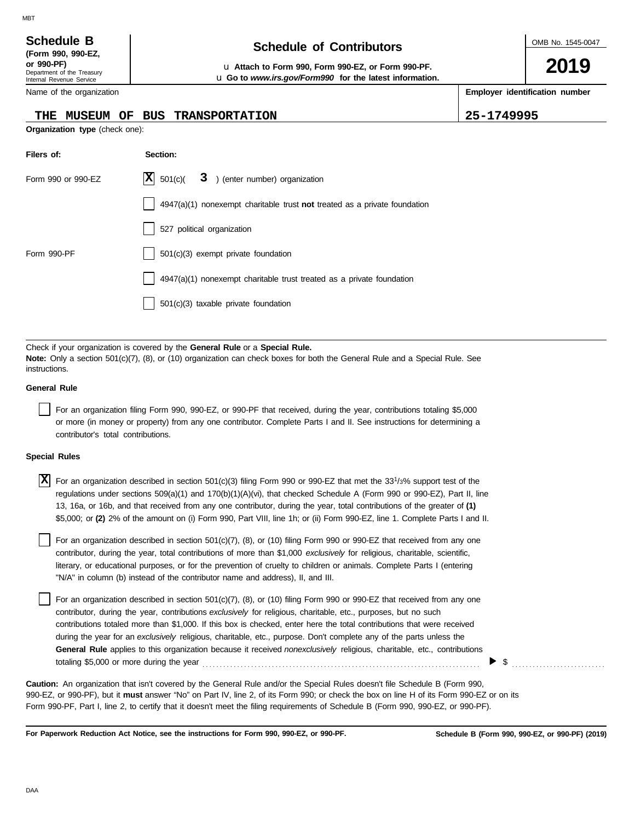MBT

Department of the Treasury Internal Revenue Service Name of the organization

**(Form 990, 990-EZ,**

## **Schedule of Contributors Schedule B**

OMB No. 1545-0047

**2019**

**or 990-PF)** u **Attach to Form 990, Form 990-EZ, or Form 990-PF.** u **Go to** *www.irs.gov/Form990* **for the latest information.**

**Employer identification number**

| <b>MUSEUM</b><br>OF<br>THE         | <b>BUS</b><br><b>TRANSPORTATION</b>                                                                                                                                                                                                                                                                                                                                                                                                                                                                                                                                                                                 | 25-1749995 |
|------------------------------------|---------------------------------------------------------------------------------------------------------------------------------------------------------------------------------------------------------------------------------------------------------------------------------------------------------------------------------------------------------------------------------------------------------------------------------------------------------------------------------------------------------------------------------------------------------------------------------------------------------------------|------------|
| Organization type (check one):     |                                                                                                                                                                                                                                                                                                                                                                                                                                                                                                                                                                                                                     |            |
| Filers of:                         | Section:                                                                                                                                                                                                                                                                                                                                                                                                                                                                                                                                                                                                            |            |
| Form 990 or 990-EZ                 | X <br>501(c)<br>3 ) (enter number) organization                                                                                                                                                                                                                                                                                                                                                                                                                                                                                                                                                                     |            |
|                                    | $4947(a)(1)$ nonexempt charitable trust not treated as a private foundation                                                                                                                                                                                                                                                                                                                                                                                                                                                                                                                                         |            |
|                                    | 527 political organization                                                                                                                                                                                                                                                                                                                                                                                                                                                                                                                                                                                          |            |
| Form 990-PF                        | 501(c)(3) exempt private foundation                                                                                                                                                                                                                                                                                                                                                                                                                                                                                                                                                                                 |            |
|                                    | 4947(a)(1) nonexempt charitable trust treated as a private foundation                                                                                                                                                                                                                                                                                                                                                                                                                                                                                                                                               |            |
|                                    | 501(c)(3) taxable private foundation                                                                                                                                                                                                                                                                                                                                                                                                                                                                                                                                                                                |            |
|                                    |                                                                                                                                                                                                                                                                                                                                                                                                                                                                                                                                                                                                                     |            |
| instructions.                      | Check if your organization is covered by the General Rule or a Special Rule.<br>Note: Only a section 501(c)(7), (8), or (10) organization can check boxes for both the General Rule and a Special Rule. See                                                                                                                                                                                                                                                                                                                                                                                                         |            |
| <b>General Rule</b>                |                                                                                                                                                                                                                                                                                                                                                                                                                                                                                                                                                                                                                     |            |
| contributor's total contributions. | For an organization filing Form 990, 990-EZ, or 990-PF that received, during the year, contributions totaling \$5,000<br>or more (in money or property) from any one contributor. Complete Parts I and II. See instructions for determining a                                                                                                                                                                                                                                                                                                                                                                       |            |
| <b>Special Rules</b>               |                                                                                                                                                                                                                                                                                                                                                                                                                                                                                                                                                                                                                     |            |
| ΙXΙ                                | For an organization described in section 501(c)(3) filing Form 990 or 990-EZ that met the 33 <sup>1</sup> /3% support test of the<br>regulations under sections 509(a)(1) and 170(b)(1)(A)(vi), that checked Schedule A (Form 990 or 990-EZ), Part II, line<br>13, 16a, or 16b, and that received from any one contributor, during the year, total contributions of the greater of (1)<br>\$5,000; or (2) 2% of the amount on (i) Form 990, Part VIII, line 1h; or (ii) Form 990-EZ, line 1. Complete Parts I and II.                                                                                               |            |
|                                    | For an organization described in section $501(c)(7)$ , (8), or (10) filing Form 990 or 990-EZ that received from any one<br>contributor, during the year, total contributions of more than \$1,000 exclusively for religious, charitable, scientific,<br>literary, or educational purposes, or for the prevention of cruelty to children or animals. Complete Parts I (entering<br>"N/A" in column (b) instead of the contributor name and address), II, and III.                                                                                                                                                   |            |
|                                    | For an organization described in section 501(c)(7), (8), or (10) filing Form 990 or 990-EZ that received from any one<br>contributor, during the year, contributions exclusively for religious, charitable, etc., purposes, but no such<br>contributions totaled more than \$1,000. If this box is checked, enter here the total contributions that were received<br>during the year for an exclusively religious, charitable, etc., purpose. Don't complete any of the parts unless the<br>General Rule applies to this organization because it received nonexclusively religious, charitable, etc., contributions | \$         |

990-EZ, or 990-PF), but it **must** answer "No" on Part IV, line 2, of its Form 990; or check the box on line H of its Form 990-EZ or on its Form 990-PF, Part I, line 2, to certify that it doesn't meet the filing requirements of Schedule B (Form 990, 990-EZ, or 990-PF). **Caution:** An organization that isn't covered by the General Rule and/or the Special Rules doesn't file Schedule B (Form 990,

**For Paperwork Reduction Act Notice, see the instructions for Form 990, 990-EZ, or 990-PF.**

\$ . . . . . . . . . . . . . . . . . . . . . . . . . . .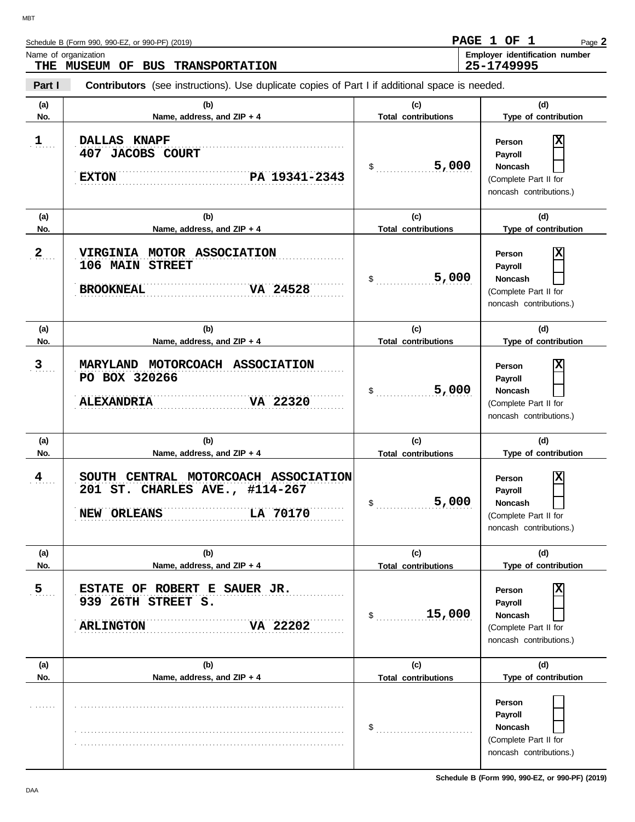| Schedule B (Form 990, 990-EZ, or 990-PF) (2019) | <b>PAGE</b> | OF | Page 2                         |
|-------------------------------------------------|-------------|----|--------------------------------|
| Name of organization                            |             |    | Employer identification number |
| THE MUSEUM OF BUS TRANSPORTATION                | 25-1749995  |    |                                |

| Part I            | <b>Contributors</b> (see instructions). Use duplicate copies of Part I if additional space is needed. |                                   |                                                                                              |
|-------------------|-------------------------------------------------------------------------------------------------------|-----------------------------------|----------------------------------------------------------------------------------------------|
| (a)<br>No.        | (b)<br>Name, address, and ZIP + 4                                                                     | (c)<br><b>Total contributions</b> | (d)<br>Type of contribution                                                                  |
| $\frac{1}{\cdot}$ | <b>DALLAS KNAPF</b><br><b>407 JACOBS COURT</b><br>PA 19341-2343<br><b>EXTON</b>                       | 5,000<br>$\mathsf{\$}$            | X<br>Person<br>Payroll<br><b>Noncash</b><br>(Complete Part II for<br>noncash contributions.) |
| (a)               | (b)                                                                                                   | (c)                               | (d)                                                                                          |
| No.               | Name, address, and ZIP + 4                                                                            | <b>Total contributions</b>        | Type of contribution                                                                         |
| 2 <sub>1</sub>    | VIRGINIA MOTOR ASSOCIATION<br>106 MAIN STREET<br><b>BROOKNEAL</b><br>VA 24528                         | 5,000<br>\$                       | X<br>Person<br>Payroll<br><b>Noncash</b><br>(Complete Part II for<br>noncash contributions.) |
| (a)               | (b)                                                                                                   | (c)                               | (d)                                                                                          |
| No.               | Name, address, and ZIP + 4                                                                            | <b>Total contributions</b>        | Type of contribution                                                                         |
| $\overline{3}$    | MARYLAND MOTORCOACH ASSOCIATION<br>PO BOX 320266<br><b>ALEXANDRIA</b><br>VA 22320                     | 5,000<br>\$                       | X<br>Person<br>Payroll<br><b>Noncash</b><br>(Complete Part II for<br>noncash contributions.) |
| (a)<br>No.        | (b)<br>Name, address, and ZIP + 4                                                                     | (c)<br><b>Total contributions</b> | (d)<br>Type of contribution                                                                  |
| $\frac{4}{1}$     | SOUTH CENTRAL MOTORCOACH ASSOCIATION<br>201 ST. CHARLES AVE., #114-267<br>LA 70170<br>NEW ORLEANS     | 5,000<br>\$                       | X<br>Person<br>Payroll<br><b>Noncash</b><br>(Complete Part II for<br>noncash contributions.) |
| (a)<br>No.        | (b)<br>Name, address, and ZIP + 4                                                                     | (c)<br><b>Total contributions</b> | (d)<br>Type of contribution                                                                  |
| $\overline{5}$    | ESTATE OF ROBERT E SAUER JR.<br>939 26TH STREET S.<br>VA 22202<br><b>ARLINGTON</b>                    | 15,000<br>\$                      | X<br>Person<br>Payroll<br><b>Noncash</b><br>(Complete Part II for<br>noncash contributions.) |
| (a)<br>No.        | (b)<br>Name, address, and ZIP + 4                                                                     | (c)                               | (d)<br>Type of contribution                                                                  |
|                   |                                                                                                       | <b>Total contributions</b>        |                                                                                              |
|                   |                                                                                                       | \$                                | Person<br>Payroll<br><b>Noncash</b><br>(Complete Part II for<br>noncash contributions.)      |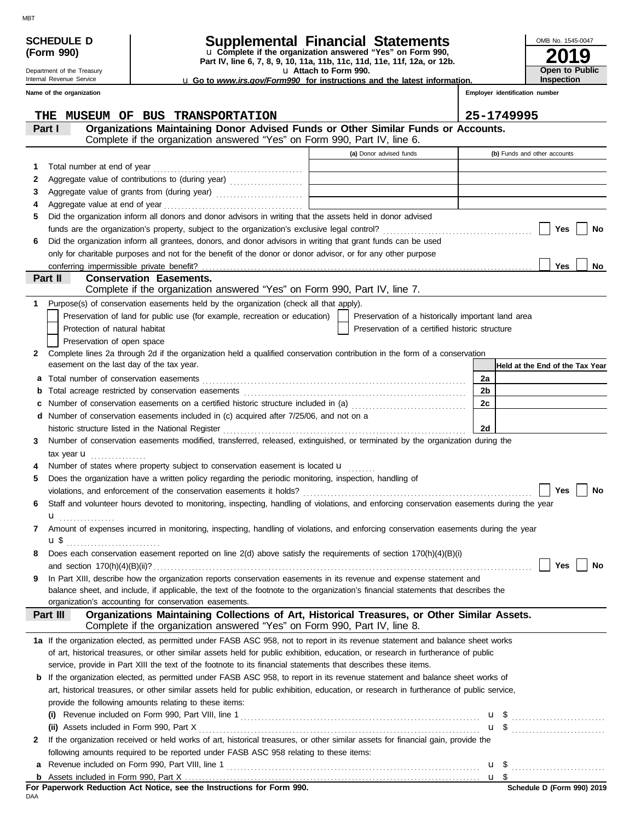|              | <b>SCHEDULE D</b>                                    |                                                                                                                                                                           | <b>Supplemental Financial Statements</b>                                                          |    | OMB No. 1545-0047               |
|--------------|------------------------------------------------------|---------------------------------------------------------------------------------------------------------------------------------------------------------------------------|---------------------------------------------------------------------------------------------------|----|---------------------------------|
|              | (Form 990)                                           |                                                                                                                                                                           | u Complete if the organization answered "Yes" on Form 990,                                        |    |                                 |
|              | Department of the Treasury                           |                                                                                                                                                                           | Part IV, line 6, 7, 8, 9, 10, 11a, 11b, 11c, 11d, 11e, 11f, 12a, or 12b.<br>u Attach to Form 990. |    | <b>Open to Public</b>           |
|              | Internal Revenue Service                             |                                                                                                                                                                           | u Go to www.irs.gov/Form990 for instructions and the latest information.                          |    | Inspection                      |
|              | Name of the organization                             |                                                                                                                                                                           |                                                                                                   |    | Employer identification number  |
|              |                                                      | THE MUSEUM OF BUS TRANSPORTATION                                                                                                                                          |                                                                                                   |    | 25-1749995                      |
|              | Part I                                               | Organizations Maintaining Donor Advised Funds or Other Similar Funds or Accounts.                                                                                         |                                                                                                   |    |                                 |
|              |                                                      | Complete if the organization answered "Yes" on Form 990, Part IV, line 6.                                                                                                 |                                                                                                   |    |                                 |
|              |                                                      |                                                                                                                                                                           | (a) Donor advised funds                                                                           |    | (b) Funds and other accounts    |
| 1            |                                                      |                                                                                                                                                                           |                                                                                                   |    |                                 |
| 2            |                                                      |                                                                                                                                                                           |                                                                                                   |    |                                 |
| 3            |                                                      |                                                                                                                                                                           |                                                                                                   |    |                                 |
|              |                                                      |                                                                                                                                                                           |                                                                                                   |    |                                 |
| 5            |                                                      | Did the organization inform all donors and donor advisors in writing that the assets held in donor advised                                                                |                                                                                                   |    |                                 |
|              |                                                      |                                                                                                                                                                           |                                                                                                   |    | Yes<br>No                       |
|              |                                                      | Did the organization inform all grantees, donors, and donor advisors in writing that grant funds can be used                                                              |                                                                                                   |    |                                 |
|              |                                                      | only for charitable purposes and not for the benefit of the donor or donor advisor, or for any other purpose                                                              |                                                                                                   |    |                                 |
|              | conferring impermissible private benefit?<br>Part II | <b>Conservation Easements.</b>                                                                                                                                            |                                                                                                   |    | Yes<br>No                       |
|              |                                                      | Complete if the organization answered "Yes" on Form 990, Part IV, line 7.                                                                                                 |                                                                                                   |    |                                 |
| 1            |                                                      | Purpose(s) of conservation easements held by the organization (check all that apply).                                                                                     |                                                                                                   |    |                                 |
|              |                                                      | Preservation of land for public use (for example, recreation or education)                                                                                                | Preservation of a historically important land area                                                |    |                                 |
|              | Protection of natural habitat                        |                                                                                                                                                                           | Preservation of a certified historic structure                                                    |    |                                 |
|              | Preservation of open space                           |                                                                                                                                                                           |                                                                                                   |    |                                 |
| $\mathbf{2}$ |                                                      | Complete lines 2a through 2d if the organization held a qualified conservation contribution in the form of a conservation                                                 |                                                                                                   |    |                                 |
|              | easement on the last day of the tax year.            |                                                                                                                                                                           |                                                                                                   |    | Held at the End of the Tax Year |
| а            |                                                      |                                                                                                                                                                           |                                                                                                   | 2a |                                 |
| b            |                                                      |                                                                                                                                                                           |                                                                                                   | 2b |                                 |
| с            |                                                      | Number of conservation easements on a certified historic structure included in (a) [[[[[[[[[[[[[[[[[[[[[[[[[]]]]]]]                                                       |                                                                                                   | 2c |                                 |
|              |                                                      | Number of conservation easements included in (c) acquired after 7/25/06, and not on a                                                                                     |                                                                                                   |    |                                 |
|              |                                                      | historic structure listed in the National Register                                                                                                                        |                                                                                                   | 2d |                                 |
| 3            |                                                      | Number of conservation easements modified, transferred, released, extinguished, or terminated by the organization during the                                              |                                                                                                   |    |                                 |
|              | tax year $\mathbf u$                                 |                                                                                                                                                                           |                                                                                                   |    |                                 |
|              |                                                      | Number of states where property subject to conservation easement is located u                                                                                             |                                                                                                   |    |                                 |
| 5            |                                                      | Does the organization have a written policy regarding the periodic monitoring, inspection, handling of                                                                    |                                                                                                   |    |                                 |
|              |                                                      | Staff and volunteer hours devoted to monitoring, inspecting, handling of violations, and enforcing conservation easements during the year                                 |                                                                                                   |    | Yes<br>No                       |
| 6            |                                                      |                                                                                                                                                                           |                                                                                                   |    |                                 |
| 7            | $\mathbf{u}$<br>.                                    | Amount of expenses incurred in monitoring, inspecting, handling of violations, and enforcing conservation easements during the year                                       |                                                                                                   |    |                                 |
|              | u \$                                                 |                                                                                                                                                                           |                                                                                                   |    |                                 |
| 8            |                                                      | Does each conservation easement reported on line 2(d) above satisfy the requirements of section 170(h)(4)(B)(i)                                                           |                                                                                                   |    |                                 |
|              |                                                      |                                                                                                                                                                           |                                                                                                   |    | Yes<br>No                       |
| 9            |                                                      | In Part XIII, describe how the organization reports conservation easements in its revenue and expense statement and                                                       |                                                                                                   |    |                                 |
|              |                                                      | balance sheet, and include, if applicable, the text of the footnote to the organization's financial statements that describes the                                         |                                                                                                   |    |                                 |
|              |                                                      | organization's accounting for conservation easements.                                                                                                                     |                                                                                                   |    |                                 |
|              | Part III                                             | Organizations Maintaining Collections of Art, Historical Treasures, or Other Similar Assets.<br>Complete if the organization answered "Yes" on Form 990, Part IV, line 8. |                                                                                                   |    |                                 |
|              |                                                      | 1a If the organization elected, as permitted under FASB ASC 958, not to report in its revenue statement and balance sheet works                                           |                                                                                                   |    |                                 |
|              |                                                      | of art, historical treasures, or other similar assets held for public exhibition, education, or research in furtherance of public                                         |                                                                                                   |    |                                 |
|              |                                                      | service, provide in Part XIII the text of the footnote to its financial statements that describes these items.                                                            |                                                                                                   |    |                                 |
| b            |                                                      | If the organization elected, as permitted under FASB ASC 958, to report in its revenue statement and balance sheet works of                                               |                                                                                                   |    |                                 |
|              |                                                      | art, historical treasures, or other similar assets held for public exhibition, education, or research in furtherance of public service,                                   |                                                                                                   |    |                                 |
|              |                                                      | provide the following amounts relating to these items:                                                                                                                    |                                                                                                   |    |                                 |
|              |                                                      |                                                                                                                                                                           |                                                                                                   |    | $\mathbf{u}$ \$                 |
|              | (ii) Assets included in Form 990, Part X             |                                                                                                                                                                           |                                                                                                   |    | $\mathbf{u}$ \$                 |
| $\mathbf{2}$ |                                                      | If the organization received or held works of art, historical treasures, or other similar assets for financial gain, provide the                                          |                                                                                                   |    |                                 |
|              |                                                      | following amounts required to be reported under FASB ASC 958 relating to these items:                                                                                     |                                                                                                   |    |                                 |
|              |                                                      |                                                                                                                                                                           |                                                                                                   |    |                                 |
|              |                                                      |                                                                                                                                                                           |                                                                                                   |    |                                 |

| For Paperwork Reduction Act Notice, see the Instructions for Form 990. |  |  |  |
|------------------------------------------------------------------------|--|--|--|
| DAA                                                                    |  |  |  |

OMB No. 1545-0047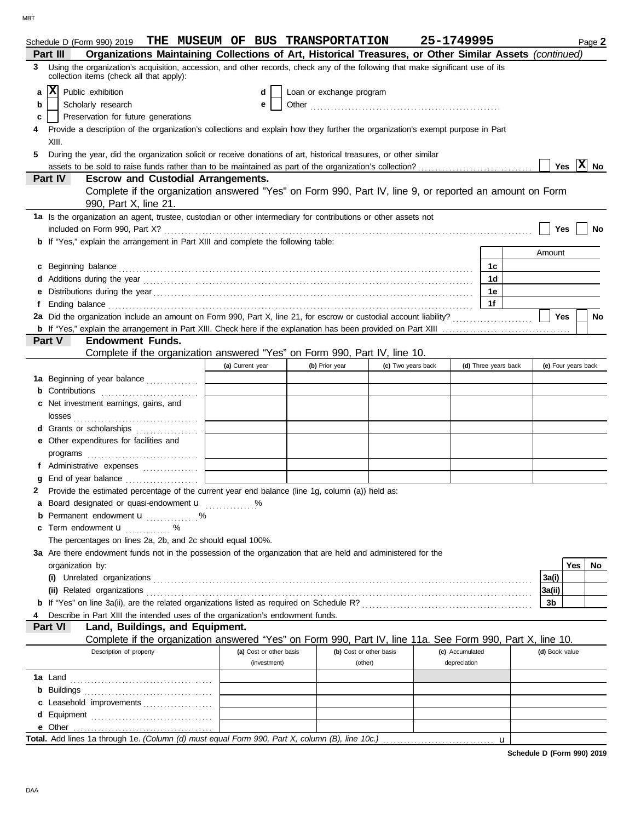|          | Schedule D (Form 990) 2019 THE MUSEUM OF BUS TRANSPORTATION                                                                                                                                                                    |                  |                         |                          |                         | 25-1749995      |                      |                     |                         | Page 2 |
|----------|--------------------------------------------------------------------------------------------------------------------------------------------------------------------------------------------------------------------------------|------------------|-------------------------|--------------------------|-------------------------|-----------------|----------------------|---------------------|-------------------------|--------|
| Part III | Organizations Maintaining Collections of Art, Historical Treasures, or Other Similar Assets (continued)                                                                                                                        |                  |                         |                          |                         |                 |                      |                     |                         |        |
|          | 3 Using the organization's acquisition, accession, and other records, check any of the following that make significant use of its<br>collection items (check all that apply):                                                  |                  |                         |                          |                         |                 |                      |                     |                         |        |
| a        | $\mathbf{x}$<br>Public exhibition                                                                                                                                                                                              |                  | d                       | Loan or exchange program |                         |                 |                      |                     |                         |        |
| b        | Scholarly research                                                                                                                                                                                                             |                  | e                       |                          |                         |                 |                      |                     |                         |        |
| c        | Preservation for future generations                                                                                                                                                                                            |                  |                         |                          |                         |                 |                      |                     |                         |        |
|          | Provide a description of the organization's collections and explain how they further the organization's exempt purpose in Part                                                                                                 |                  |                         |                          |                         |                 |                      |                     |                         |        |
|          | XIII.                                                                                                                                                                                                                          |                  |                         |                          |                         |                 |                      |                     |                         |        |
| 5.       | During the year, did the organization solicit or receive donations of art, historical treasures, or other similar                                                                                                              |                  |                         |                          |                         |                 |                      |                     |                         |        |
|          |                                                                                                                                                                                                                                |                  |                         |                          |                         |                 |                      |                     | Yes $ \overline{X} $ No |        |
|          | <b>Escrow and Custodial Arrangements.</b><br>Part IV                                                                                                                                                                           |                  |                         |                          |                         |                 |                      |                     |                         |        |
|          | Complete if the organization answered "Yes" on Form 990, Part IV, line 9, or reported an amount on Form                                                                                                                        |                  |                         |                          |                         |                 |                      |                     |                         |        |
|          | 990, Part X, line 21.                                                                                                                                                                                                          |                  |                         |                          |                         |                 |                      |                     |                         |        |
|          | 1a Is the organization an agent, trustee, custodian or other intermediary for contributions or other assets not                                                                                                                |                  |                         |                          |                         |                 |                      |                     |                         |        |
|          |                                                                                                                                                                                                                                |                  |                         |                          |                         |                 |                      | Yes                 |                         | No     |
|          | <b>b</b> If "Yes," explain the arrangement in Part XIII and complete the following table:                                                                                                                                      |                  |                         |                          |                         |                 |                      |                     |                         |        |
|          |                                                                                                                                                                                                                                |                  |                         |                          |                         |                 |                      | Amount              |                         |        |
| c        |                                                                                                                                                                                                                                |                  |                         |                          |                         |                 | 1c                   |                     |                         |        |
|          | Additions during the year contains and according to the year contained and according the year contains and according the year contains and according to the state of the state of the state of the state of the state of the s |                  |                         |                          |                         |                 | 1d                   |                     |                         |        |
|          |                                                                                                                                                                                                                                |                  |                         |                          |                         |                 | 1e                   |                     |                         |        |
|          | Ending balance contains and account of the contact of the contact of the contact of the contact of the contact of the contact of the contact of the contact of the contact of the contact of the contact of the contact of the |                  |                         |                          |                         |                 | 1f                   |                     |                         |        |
|          | 2a Did the organization include an amount on Form 990, Part X, line 21, for escrow or custodial account liability?                                                                                                             |                  |                         |                          |                         |                 |                      | Yes                 |                         | No     |
|          |                                                                                                                                                                                                                                |                  |                         |                          |                         |                 |                      |                     |                         |        |
|          | Part V<br><b>Endowment Funds.</b>                                                                                                                                                                                              |                  |                         |                          |                         |                 |                      |                     |                         |        |
|          | Complete if the organization answered "Yes" on Form 990, Part IV, line 10.                                                                                                                                                     |                  |                         |                          |                         |                 |                      |                     |                         |        |
|          |                                                                                                                                                                                                                                | (a) Current year |                         | (b) Prior year           | (c) Two years back      |                 | (d) Three years back | (e) Four years back |                         |        |
|          | 1a Beginning of year balance                                                                                                                                                                                                   |                  |                         |                          |                         |                 |                      |                     |                         |        |
|          | <b>b</b> Contributions                                                                                                                                                                                                         |                  |                         |                          |                         |                 |                      |                     |                         |        |
| c        | Net investment earnings, gains, and                                                                                                                                                                                            |                  |                         |                          |                         |                 |                      |                     |                         |        |
|          | losses                                                                                                                                                                                                                         |                  |                         |                          |                         |                 |                      |                     |                         |        |
|          | <b>d</b> Grants or scholarships                                                                                                                                                                                                |                  |                         |                          |                         |                 |                      |                     |                         |        |
|          | e Other expenditures for facilities and                                                                                                                                                                                        |                  |                         |                          |                         |                 |                      |                     |                         |        |
|          |                                                                                                                                                                                                                                |                  |                         |                          |                         |                 |                      |                     |                         |        |
|          |                                                                                                                                                                                                                                |                  |                         |                          |                         |                 |                      |                     |                         |        |
| a        | End of year balance <i>[[[[[[[[[[[[[[[[[[[[[[[[[[[[]]</i> ]]]]                                                                                                                                                                 |                  |                         |                          |                         |                 |                      |                     |                         |        |
| 2        | Provide the estimated percentage of the current year end balance (line 1g, column (a)) held as:                                                                                                                                |                  |                         |                          |                         |                 |                      |                     |                         |        |
|          | Board designated or quasi-endowment <b>u</b> %                                                                                                                                                                                 |                  |                         |                          |                         |                 |                      |                     |                         |        |
|          | <b>b</b> Permanent endowment <b>u</b> %                                                                                                                                                                                        |                  |                         |                          |                         |                 |                      |                     |                         |        |
| c        | Term endowment <b>u</b><br>$\%$                                                                                                                                                                                                |                  |                         |                          |                         |                 |                      |                     |                         |        |
|          | The percentages on lines 2a, 2b, and 2c should equal 100%.                                                                                                                                                                     |                  |                         |                          |                         |                 |                      |                     |                         |        |
|          |                                                                                                                                                                                                                                |                  |                         |                          |                         |                 |                      |                     |                         |        |
|          | 3a Are there endowment funds not in the possession of the organization that are held and administered for the                                                                                                                  |                  |                         |                          |                         |                 |                      |                     | Yes                     |        |
|          | organization by:                                                                                                                                                                                                               |                  |                         |                          |                         |                 |                      |                     |                         | No.    |
|          |                                                                                                                                                                                                                                |                  |                         |                          |                         |                 |                      | 3a(i)               |                         |        |
|          | (ii) Related organizations                                                                                                                                                                                                     |                  |                         |                          |                         |                 |                      | 3a(ii)              |                         |        |
|          |                                                                                                                                                                                                                                |                  |                         |                          |                         |                 |                      | 3b                  |                         |        |
|          | Describe in Part XIII the intended uses of the organization's endowment funds.                                                                                                                                                 |                  |                         |                          |                         |                 |                      |                     |                         |        |
|          | Part VI<br>Land, Buildings, and Equipment.                                                                                                                                                                                     |                  |                         |                          |                         |                 |                      |                     |                         |        |
|          | Complete if the organization answered "Yes" on Form 990, Part IV, line 11a. See Form 990, Part X, line 10.                                                                                                                     |                  |                         |                          |                         |                 |                      |                     |                         |        |
|          | Description of property                                                                                                                                                                                                        |                  | (a) Cost or other basis |                          | (b) Cost or other basis | (c) Accumulated |                      | (d) Book value      |                         |        |
|          |                                                                                                                                                                                                                                |                  | (investment)            |                          | (other)                 | depreciation    |                      |                     |                         |        |
| 1a Land  |                                                                                                                                                                                                                                |                  |                         |                          |                         |                 |                      |                     |                         |        |
|          |                                                                                                                                                                                                                                |                  |                         |                          |                         |                 |                      |                     |                         |        |
|          | c Leasehold improvements                                                                                                                                                                                                       |                  |                         |                          |                         |                 |                      |                     |                         |        |
|          |                                                                                                                                                                                                                                |                  |                         |                          |                         |                 |                      |                     |                         |        |
|          |                                                                                                                                                                                                                                |                  |                         |                          |                         |                 |                      |                     |                         |        |
|          |                                                                                                                                                                                                                                |                  |                         |                          |                         |                 |                      |                     |                         |        |

**Schedule D (Form 990) 2019**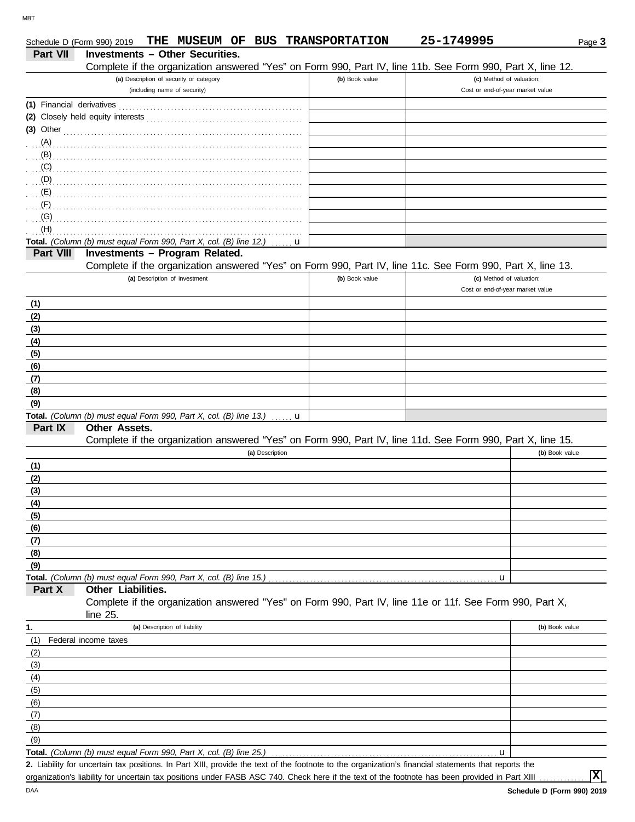DAA

| Schedule D (Form 990) 2019 | THE MUSEUM OF BUS TRANSPORTATION                                                                           |                | 25-1749995                       | Page 3         |
|----------------------------|------------------------------------------------------------------------------------------------------------|----------------|----------------------------------|----------------|
| <b>Part VII</b>            | <b>Investments - Other Securities.</b>                                                                     |                |                                  |                |
|                            | Complete if the organization answered "Yes" on Form 990, Part IV, line 11b. See Form 990, Part X, line 12. |                |                                  |                |
|                            | (a) Description of security or category                                                                    | (b) Book value | (c) Method of valuation:         |                |
|                            | (including name of security)                                                                               |                | Cost or end-of-year market value |                |
| (1) Financial derivatives  |                                                                                                            |                |                                  |                |
|                            |                                                                                                            |                |                                  |                |
| $(3)$ Other                |                                                                                                            |                |                                  |                |
| (A)                        |                                                                                                            |                |                                  |                |
|                            |                                                                                                            |                |                                  |                |
|                            | (C)                                                                                                        |                |                                  |                |
|                            |                                                                                                            |                |                                  |                |
|                            |                                                                                                            |                |                                  |                |
|                            |                                                                                                            |                |                                  |                |
| (G)<br>(H)                 |                                                                                                            |                |                                  |                |
|                            | Total. (Column (b) must equal Form 990, Part X, col. (B) line 12.)<br>u                                    |                |                                  |                |
| Part VIII                  | Investments - Program Related.                                                                             |                |                                  |                |
|                            | Complete if the organization answered "Yes" on Form 990, Part IV, line 11c. See Form 990, Part X, line 13. |                |                                  |                |
|                            | (a) Description of investment                                                                              | (b) Book value | (c) Method of valuation:         |                |
|                            |                                                                                                            |                | Cost or end-of-year market value |                |
| (1)                        |                                                                                                            |                |                                  |                |
| (2)                        |                                                                                                            |                |                                  |                |
| (3)                        |                                                                                                            |                |                                  |                |
| (4)                        |                                                                                                            |                |                                  |                |
| (5)                        |                                                                                                            |                |                                  |                |
| (6)                        |                                                                                                            |                |                                  |                |
| (7)                        |                                                                                                            |                |                                  |                |
| (8)                        |                                                                                                            |                |                                  |                |
| (9)                        |                                                                                                            |                |                                  |                |
|                            | Total. (Column (b) must equal Form 990, Part X, col. (B) line 13.)<br>u                                    |                |                                  |                |
| Part IX                    | <b>Other Assets.</b>                                                                                       |                |                                  |                |
|                            | Complete if the organization answered "Yes" on Form 990, Part IV, line 11d. See Form 990, Part X, line 15. |                |                                  |                |
|                            | (a) Description                                                                                            |                |                                  | (b) Book value |
| (1)                        |                                                                                                            |                |                                  |                |
| (2)                        |                                                                                                            |                |                                  |                |
| (3)                        |                                                                                                            |                |                                  |                |
| (4)                        |                                                                                                            |                |                                  |                |
| (5)                        |                                                                                                            |                |                                  |                |
| (6)                        |                                                                                                            |                |                                  |                |
| (7)                        |                                                                                                            |                |                                  |                |
| (8)                        |                                                                                                            |                |                                  |                |
| (9)                        | Total. (Column (b) must equal Form 990, Part X, col. (B) line 15.)                                         |                |                                  |                |
| Part X                     | Other Liabilities.                                                                                         |                | u                                |                |
|                            | Complete if the organization answered "Yes" on Form 990, Part IV, line 11e or 11f. See Form 990, Part X,   |                |                                  |                |
|                            | line 25.                                                                                                   |                |                                  |                |
| 1.                         | (a) Description of liability                                                                               |                |                                  | (b) Book value |
| (1)                        | Federal income taxes                                                                                       |                |                                  |                |
| (2)                        |                                                                                                            |                |                                  |                |
| (3)                        |                                                                                                            |                |                                  |                |
| (4)                        |                                                                                                            |                |                                  |                |
| (5)                        |                                                                                                            |                |                                  |                |
| (6)                        |                                                                                                            |                |                                  |                |
| (7)                        |                                                                                                            |                |                                  |                |
| (8)                        |                                                                                                            |                |                                  |                |
| (9)                        |                                                                                                            |                |                                  |                |
|                            | Total. (Column (b) must equal Form 990, Part X, col. (B) line 25.)                                         |                | u                                |                |
|                            |                                                                                                            |                |                                  |                |

Liability for uncertain tax positions. In Part XIII, provide the text of the footnote to the organization's financial statements that reports the **2.** organization's liability for uncertain tax positions under FASB ASC 740. Check here if the text of the footnote has been provided in Part XIII

**X**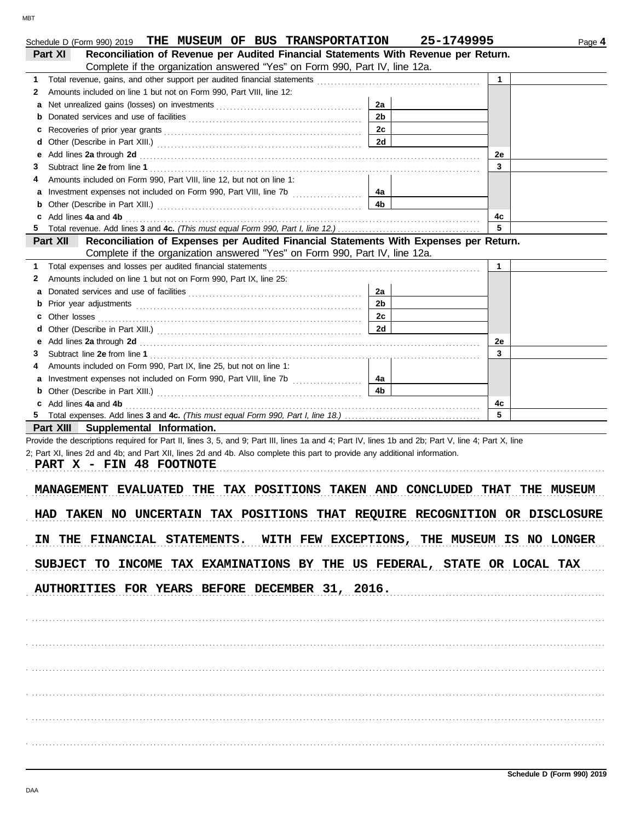| Schedule D (Form 990) 2019 THE MUSEUM OF BUS TRANSPORTATION                                                                                                                                                                             |                | 25-1749995   | Page 4               |
|-----------------------------------------------------------------------------------------------------------------------------------------------------------------------------------------------------------------------------------------|----------------|--------------|----------------------|
| Reconciliation of Revenue per Audited Financial Statements With Revenue per Return.<br>Part XI                                                                                                                                          |                |              |                      |
| Complete if the organization answered "Yes" on Form 990, Part IV, line 12a.                                                                                                                                                             |                |              |                      |
| 1                                                                                                                                                                                                                                       |                | $\mathbf{1}$ |                      |
| Amounts included on line 1 but not on Form 990, Part VIII, line 12:<br>2                                                                                                                                                                |                |              |                      |
| а                                                                                                                                                                                                                                       | 2a             |              |                      |
| b                                                                                                                                                                                                                                       | 2 <sub>b</sub> |              |                      |
| C.                                                                                                                                                                                                                                      | 2c             |              |                      |
|                                                                                                                                                                                                                                         | <b>2d</b>      |              |                      |
| Add lines 2a through 2d [11] Annual Material Add lines 2a through 2d [12] Add lines 2a through 2d<br>е                                                                                                                                  |                | 2e           |                      |
| З                                                                                                                                                                                                                                       |                | 3            |                      |
| Amounts included on Form 990, Part VIII, line 12, but not on line 1:                                                                                                                                                                    |                |              |                      |
|                                                                                                                                                                                                                                         | 4a             |              |                      |
|                                                                                                                                                                                                                                         | 4b             |              |                      |
| c Add lines 4a and 4b                                                                                                                                                                                                                   |                | 4c           |                      |
| 5                                                                                                                                                                                                                                       |                | 5            |                      |
| Reconciliation of Expenses per Audited Financial Statements With Expenses per Return.<br>Part XII                                                                                                                                       |                |              |                      |
| Complete if the organization answered "Yes" on Form 990, Part IV, line 12a.                                                                                                                                                             |                |              |                      |
| Total expenses and losses per audited financial statements [11] contains and an intervention of the statements<br>1                                                                                                                     |                | 1            |                      |
| Amounts included on line 1 but not on Form 990, Part IX, line 25:<br>2                                                                                                                                                                  |                |              |                      |
|                                                                                                                                                                                                                                         | 2a             |              |                      |
|                                                                                                                                                                                                                                         | 2 <sub>b</sub> |              |                      |
| Other losses <b>contracts on the contract of the contract of the contract of the contract of the contract of the contract of the contract of the contract of the contract of the contract of the contract of the contract of t</b><br>c | 2 <sub>c</sub> |              |                      |
|                                                                                                                                                                                                                                         | 2d             |              |                      |
| e Add lines 2a through 2d [11, 12] [12] And The Add lines 2a through 2d [12] And The Management Contract the Add lines 2a through 2d [12] And The Management Contract the Add Lines 2a through 2d [12] And The Management Cont          |                | 2e           |                      |
| 3                                                                                                                                                                                                                                       |                | 3            |                      |
| Amounts included on Form 990, Part IX, line 25, but not on line 1:                                                                                                                                                                      |                |              |                      |
| a Investment expenses not included on Form 990, Part VIII, line 7b                                                                                                                                                                      | 4a             |              |                      |
|                                                                                                                                                                                                                                         | 4b             |              |                      |
| c Add lines 4a and 4b (a) and the contract of the contract of the contract of the contract of the contract of the contract of the contract of the contract of the contract of the contract of the contract of the contract of           |                | 4c           |                      |
|                                                                                                                                                                                                                                         |                | 5            |                      |
| Part XIII Supplemental Information.                                                                                                                                                                                                     |                |              |                      |
| Provide the descriptions required for Part II, lines 3, 5, and 9; Part III, lines 1a and 4; Part IV, lines 1b and 2b; Part V, line 4; Part X, line                                                                                      |                |              |                      |
| 2; Part XI, lines 2d and 4b; and Part XII, lines 2d and 4b. Also complete this part to provide any additional information.                                                                                                              |                |              |                      |
| PART X - FIN 48 FOOTNOTE                                                                                                                                                                                                                |                |              |                      |
|                                                                                                                                                                                                                                         |                |              |                      |
| MANAGEMENT EVALUATED THE TAX POSITIONS TAKEN AND CONCLUDED THAT                                                                                                                                                                         |                |              | <b>MUSEUM</b><br>THE |
|                                                                                                                                                                                                                                         |                |              |                      |
| TAKEN NO UNCERTAIN TAX POSITIONS THAT REQUIRE RECOGNITION OR DISCLOSURE                                                                                                                                                                 |                |              |                      |
|                                                                                                                                                                                                                                         |                |              |                      |
| IN THE FINANCIAL STATEMENTS. WITH FEW EXCEPTIONS, THE MUSEUM IS NO LONGER                                                                                                                                                               |                |              |                      |
|                                                                                                                                                                                                                                         |                |              |                      |
| SUBJECT TO INCOME TAX EXAMINATIONS BY THE US FEDERAL, STATE OR LOCAL TAX                                                                                                                                                                |                |              |                      |
|                                                                                                                                                                                                                                         |                |              |                      |
| AUTHORITIES FOR YEARS BEFORE DECEMBER 31, 2016.                                                                                                                                                                                         |                |              |                      |
|                                                                                                                                                                                                                                         |                |              |                      |
|                                                                                                                                                                                                                                         |                |              |                      |
|                                                                                                                                                                                                                                         |                |              |                      |
|                                                                                                                                                                                                                                         |                |              |                      |
|                                                                                                                                                                                                                                         |                |              |                      |
|                                                                                                                                                                                                                                         |                |              |                      |
|                                                                                                                                                                                                                                         |                |              |                      |
|                                                                                                                                                                                                                                         |                |              |                      |
|                                                                                                                                                                                                                                         |                |              |                      |
|                                                                                                                                                                                                                                         |                |              |                      |
|                                                                                                                                                                                                                                         |                |              |                      |
|                                                                                                                                                                                                                                         |                |              |                      |
|                                                                                                                                                                                                                                         |                |              |                      |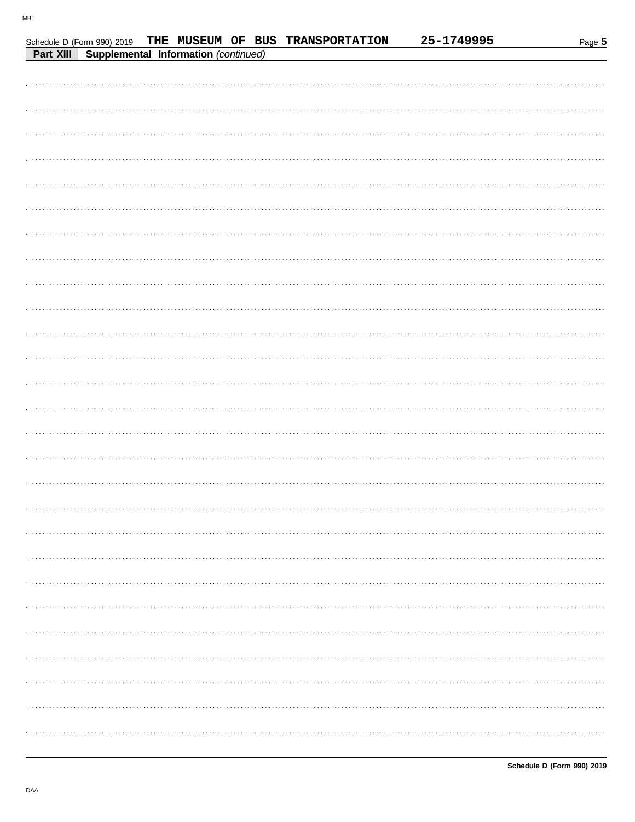|  |                                                | Schedule D (Form 990) 2019 THE MUSEUM OF BUS TRANSPORTATION | 25-1749995 | Page 5 |
|--|------------------------------------------------|-------------------------------------------------------------|------------|--------|
|  | Part XIII Supplemental Information (continued) |                                                             |            |        |
|  |                                                |                                                             |            |        |
|  |                                                |                                                             |            |        |
|  |                                                |                                                             |            |        |
|  |                                                |                                                             |            |        |
|  |                                                |                                                             |            |        |
|  |                                                |                                                             |            |        |
|  |                                                |                                                             |            |        |
|  |                                                |                                                             |            |        |
|  |                                                |                                                             |            |        |
|  |                                                |                                                             |            |        |
|  |                                                |                                                             |            |        |
|  |                                                |                                                             |            |        |
|  |                                                |                                                             |            |        |
|  |                                                |                                                             |            |        |
|  |                                                |                                                             |            |        |
|  |                                                |                                                             |            |        |
|  |                                                |                                                             |            |        |
|  |                                                |                                                             |            |        |
|  |                                                |                                                             |            |        |
|  |                                                |                                                             |            |        |
|  |                                                |                                                             |            |        |
|  |                                                |                                                             |            |        |
|  |                                                |                                                             |            |        |
|  |                                                |                                                             |            |        |
|  |                                                |                                                             |            |        |
|  |                                                |                                                             |            |        |
|  |                                                |                                                             |            |        |
|  |                                                |                                                             |            |        |
|  |                                                |                                                             |            |        |
|  |                                                |                                                             |            |        |
|  |                                                |                                                             |            |        |
|  |                                                |                                                             |            |        |
|  |                                                |                                                             |            |        |
|  |                                                |                                                             |            |        |
|  |                                                |                                                             |            |        |
|  |                                                |                                                             |            |        |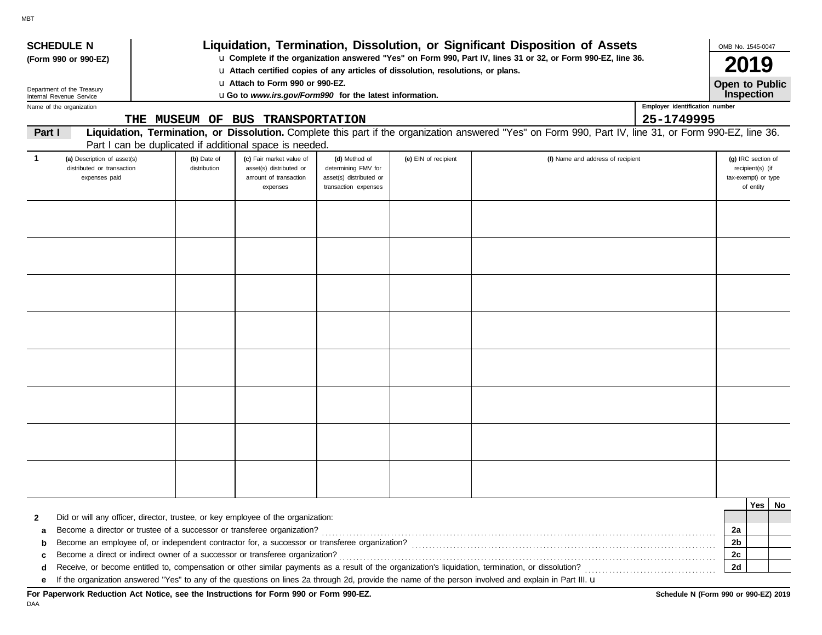| <b>SCHEDULE N</b><br>(Form 990 or 990-EZ)                                                        |                             | La Attach certified copies of any articles of dissolution, resolutions, or plans.         |                                                                                         |                      | Liquidation, Termination, Dissolution, or Significant Disposition of Assets<br>u Complete if the organization answered "Yes" on Form 990, Part IV, lines 31 or 32, or Form 990-EZ, line 36. |                                | OMB No. 1545-0047                          | 2019                                                                       |          |
|--------------------------------------------------------------------------------------------------|-----------------------------|-------------------------------------------------------------------------------------------|-----------------------------------------------------------------------------------------|----------------------|---------------------------------------------------------------------------------------------------------------------------------------------------------------------------------------------|--------------------------------|--------------------------------------------|----------------------------------------------------------------------------|----------|
| Department of the Treasury<br>Internal Revenue Service                                           |                             | u Attach to Form 990 or 990-EZ.<br>uGo to www.irs.gov/Form990 for the latest information. |                                                                                         |                      |                                                                                                                                                                                             |                                | <b>Open to Public</b><br><b>Inspection</b> |                                                                            |          |
| Name of the organization                                                                         |                             |                                                                                           |                                                                                         |                      |                                                                                                                                                                                             | Employer identification number |                                            |                                                                            |          |
|                                                                                                  |                             | THE MUSEUM OF BUS TRANSPORTATION                                                          |                                                                                         |                      |                                                                                                                                                                                             | 25-1749995                     |                                            |                                                                            |          |
| Part I                                                                                           |                             | Part I can be duplicated if additional space is needed.                                   |                                                                                         |                      | Liquidation, Termination, or Dissolution. Complete this part if the organization answered "Yes" on Form 990, Part IV, line 31, or Form 990-EZ, line 36.                                     |                                |                                            |                                                                            |          |
| $\mathbf 1$<br>(a) Description of asset(s)<br>distributed or transaction<br>expenses paid        | (b) Date of<br>distribution | (c) Fair market value of<br>asset(s) distributed or<br>amount of transaction<br>expenses  | (d) Method of<br>determining FMV for<br>asset(s) distributed or<br>transaction expenses | (e) EIN of recipient | (f) Name and address of recipient                                                                                                                                                           |                                |                                            | (g) IRC section of<br>recipient(s) (if<br>tax-exempt) or type<br>of entity |          |
|                                                                                                  |                             |                                                                                           |                                                                                         |                      |                                                                                                                                                                                             |                                |                                            |                                                                            |          |
|                                                                                                  |                             |                                                                                           |                                                                                         |                      |                                                                                                                                                                                             |                                |                                            |                                                                            |          |
|                                                                                                  |                             |                                                                                           |                                                                                         |                      |                                                                                                                                                                                             |                                |                                            |                                                                            |          |
|                                                                                                  |                             |                                                                                           |                                                                                         |                      |                                                                                                                                                                                             |                                |                                            |                                                                            |          |
|                                                                                                  |                             |                                                                                           |                                                                                         |                      |                                                                                                                                                                                             |                                |                                            |                                                                            |          |
|                                                                                                  |                             |                                                                                           |                                                                                         |                      |                                                                                                                                                                                             |                                |                                            |                                                                            |          |
|                                                                                                  |                             |                                                                                           |                                                                                         |                      |                                                                                                                                                                                             |                                |                                            |                                                                            |          |
|                                                                                                  |                             |                                                                                           |                                                                                         |                      |                                                                                                                                                                                             |                                |                                            |                                                                            |          |
|                                                                                                  |                             |                                                                                           |                                                                                         |                      |                                                                                                                                                                                             |                                |                                            |                                                                            |          |
|                                                                                                  |                             |                                                                                           |                                                                                         |                      |                                                                                                                                                                                             |                                |                                            |                                                                            |          |
|                                                                                                  |                             |                                                                                           |                                                                                         |                      |                                                                                                                                                                                             |                                |                                            |                                                                            | Yes   No |
| Did or will any officer, director, trustee, or key employee of the organization:<br>$\mathbf{2}$ |                             |                                                                                           |                                                                                         |                      |                                                                                                                                                                                             |                                |                                            |                                                                            |          |
| Become a director or trustee of a successor or transferee organization?<br>a                     |                             |                                                                                           |                                                                                         |                      |                                                                                                                                                                                             |                                | 2a                                         |                                                                            |          |
| b                                                                                                |                             |                                                                                           |                                                                                         |                      |                                                                                                                                                                                             |                                | 2 <sub>b</sub>                             |                                                                            |          |
| Become a direct or indirect owner of a successor or transferee organization?<br>c                |                             |                                                                                           |                                                                                         |                      |                                                                                                                                                                                             |                                | 2c                                         |                                                                            |          |

Receive, or become entitled to, compensation or other similar payments as a result of the organization's liquidation, termination, or dissolution? . . . . . . . . . . . . . . . . . . . . . . . . . . . . . . . . . . . . . . **d**

If the organization answered "Yes" to any of the questions on lines 2a through 2d, provide the name of the person involved and explain in Part III.  $\bf u$ **e**

**For Paperwork Reduction Act Notice, see the Instructions for Form 990 or Form 990-EZ. Schedule N (Form 990 or 990-EZ) 2019**

MBT

**2d**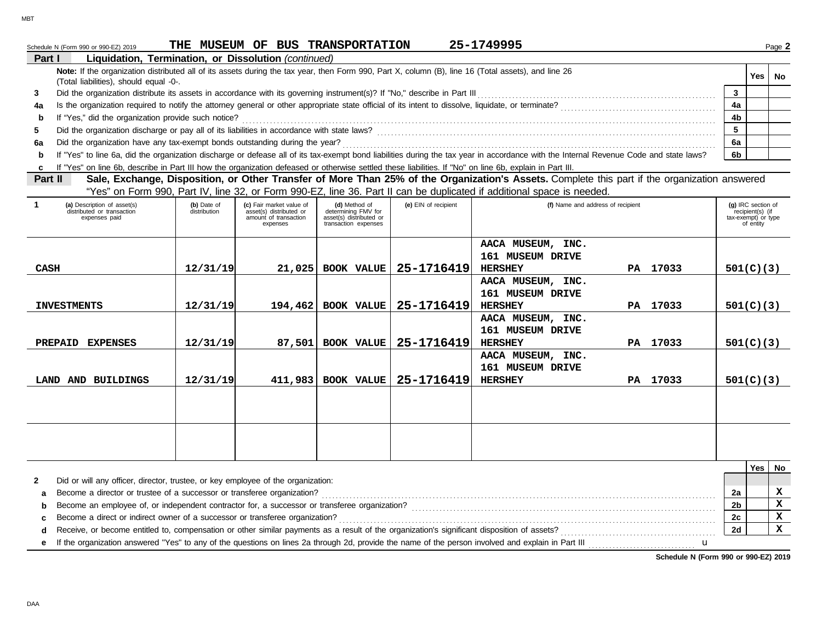|               | 25-1749995<br>THE MUSEUM OF BUS TRANSPORTATION<br>Schedule N (Form 990 or 990-EZ) 2019                                                                                                        |    |     | Page 2 |
|---------------|-----------------------------------------------------------------------------------------------------------------------------------------------------------------------------------------------|----|-----|--------|
| <b>Part I</b> | Liquidation, Termination, or Dissolution (continued)                                                                                                                                          |    |     |        |
|               | Note: If the organization distributed all of its assets during the tax year, then Form 990, Part X, column (B), line 16 (Total assets), and line 26<br>(Total liabilities), should equal -0-. |    | Yes | No     |
| 3             | Did the organization distribute its assets in accordance with its governing instrument(s)? If "No," describe in Part III                                                                      |    |     |        |
| 4a            | Is the organization required to notify the attorney general or other appropriate state official of its intent to dissolve, liquidate, or terminate?                                           |    |     |        |
| b             | If "Yes," did the organization provide such notice?                                                                                                                                           | 4b |     |        |
| 5.            | Did the organization discharge or pay all of its liabilities in accordance with state laws?                                                                                                   |    |     |        |
| 6а            | Did the organization have any tax-exempt bonds outstanding during the year?                                                                                                                   | 6а |     |        |
| b             | If "Yes" to line 6a, did the organization discharge or defease all of its tax-exempt bond liabilities during the tax year in accordance with the Internal Revenue Code and state laws?        | 6b |     |        |
|               | c If "Yes" on line 6b, describe in Part III how the organization defeased or otherwise settled these liabilities. If "No" on line 6b, explain in Part III.                                    |    |     |        |

"Yes" on Form 990, Part IV, line 32, or Form 990-EZ, line 36. Part II can be duplicated if additional space is needed. Part II Sale, Exchange, Disposition, or Other Transfer of More Than 25% of the Organization's Assets. Complete this part if the organization answered

| (a) Description of asset(s)<br>distributed or transaction<br>expenses paid | (b) Date of<br>distribution | (c) Fair market value of<br>asset(s) distributed or<br>amount of transaction<br>expenses | (d) Method of<br>determining FMV for<br>asset(s) distributed or<br>transaction expenses | (e) EIN of recipient | (f) Name and address of recipient | (g) IRC section of<br>recipient(s) (if<br>tax-exempt) or type<br>of entity |
|----------------------------------------------------------------------------|-----------------------------|------------------------------------------------------------------------------------------|-----------------------------------------------------------------------------------------|----------------------|-----------------------------------|----------------------------------------------------------------------------|
|                                                                            |                             |                                                                                          |                                                                                         |                      | AACA MUSEUM, INC.                 |                                                                            |
|                                                                            |                             |                                                                                          |                                                                                         |                      | 161 MUSEUM DRIVE                  |                                                                            |
| CASH                                                                       | 12/31/19                    | 21,025                                                                                   | <b>BOOK VALUE</b>                                                                       | 25-1716419           | PA 17033<br><b>HERSHEY</b>        | 501(C)(3)                                                                  |
|                                                                            |                             |                                                                                          |                                                                                         |                      | AACA MUSEUM, INC.                 |                                                                            |
|                                                                            |                             |                                                                                          |                                                                                         |                      | 161 MUSEUM DRIVE                  |                                                                            |
| <b>INVESTMENTS</b>                                                         | 12/31/19                    | 194,462                                                                                  | <b>BOOK VALUE</b>                                                                       | 25-1716419           | PA 17033<br><b>HERSHEY</b>        | 501(C)(3)                                                                  |
|                                                                            |                             |                                                                                          |                                                                                         |                      | AACA MUSEUM, INC.                 |                                                                            |
|                                                                            |                             |                                                                                          |                                                                                         |                      | 161 MUSEUM DRIVE                  |                                                                            |
| PREPAID<br>EXPENSES                                                        | 12/31/19                    | 87,501                                                                                   | <b>BOOK VALUE</b>                                                                       | 25-1716419           | 17033<br><b>HERSHEY</b><br>PA     | 501(C)(3)                                                                  |
|                                                                            |                             |                                                                                          |                                                                                         |                      | AACA MUSEUM, INC.                 |                                                                            |
|                                                                            |                             |                                                                                          |                                                                                         |                      | 161 MUSEUM DRIVE                  |                                                                            |
| AND<br><b>BUILDINGS</b><br>LAND                                            | 12/31/19                    | 411,983                                                                                  | <b>BOOK VALUE</b>                                                                       | 25-1716419           | PA 17033<br><b>HERSHEY</b>        | 501(C)(3)                                                                  |
|                                                                            |                             |                                                                                          |                                                                                         |                      |                                   |                                                                            |
|                                                                            |                             |                                                                                          |                                                                                         |                      |                                   |                                                                            |
|                                                                            |                             |                                                                                          |                                                                                         |                      |                                   |                                                                            |
|                                                                            |                             |                                                                                          |                                                                                         |                      |                                   |                                                                            |
|                                                                            |                             |                                                                                          |                                                                                         |                      |                                   |                                                                            |
|                                                                            |                             |                                                                                          |                                                                                         |                      |                                   |                                                                            |

|              |                                                                                                                                                      |    | No |
|--------------|------------------------------------------------------------------------------------------------------------------------------------------------------|----|----|
| $\mathbf{2}$ | Did or will any officer, director, trustee, or key employee of the organization:                                                                     |    |    |
| $\mathbf{a}$ | Become a director or trustee of a successor or transferee organization?                                                                              |    |    |
|              | <b>b</b> Become an employee of, or independent contractor for, a successor or transferee organization?                                               |    |    |
|              | c Become a direct or indirect owner of a successor or transferee organization?                                                                       | 2с |    |
| d.           | Receive, or become entitled to, compensation or other similar payments as a result of the organization's significant disposition of assets?          |    |    |
|              | e If the organization answered "Yes" to any of the questions on lines 2a through 2d, provide the name of the person involved and explain in Part III |    |    |

**Schedule N (Form 990 or 990-EZ) 2019**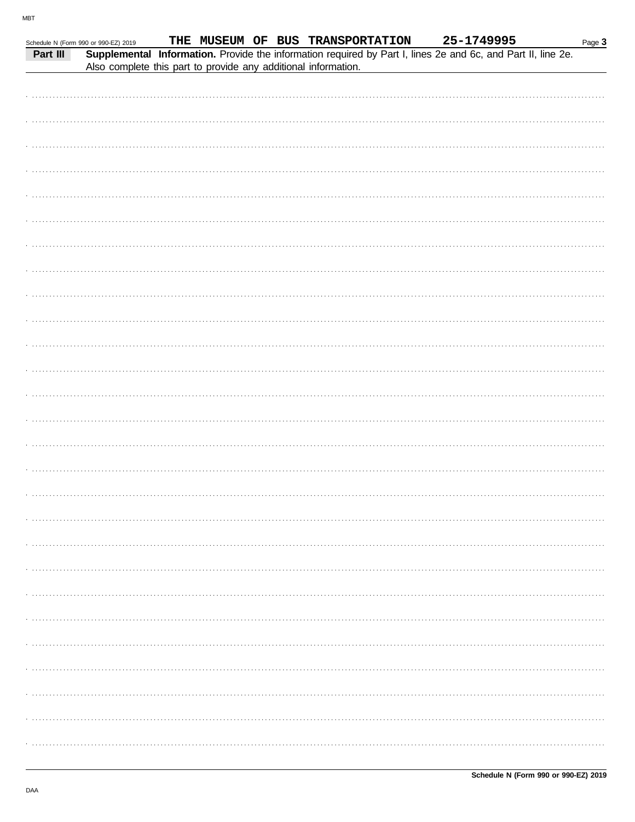| 25-1749995 |                              |  |
|------------|------------------------------|--|
|            | and Co. and Dart II. line 20 |  |

|          | Schedule N (Form 990 or 990-EZ) 2019                           |  |  | THE MUSEUM OF BUS TRANSPORTATION | 25-1749995                                                                                                   | Page 3 |
|----------|----------------------------------------------------------------|--|--|----------------------------------|--------------------------------------------------------------------------------------------------------------|--------|
| Part III |                                                                |  |  |                                  | Supplemental Information. Provide the information required by Part I, lines 2e and 6c, and Part II, line 2e. |        |
|          | Also complete this part to provide any additional information. |  |  |                                  |                                                                                                              |        |
|          |                                                                |  |  |                                  |                                                                                                              |        |
|          |                                                                |  |  |                                  |                                                                                                              |        |
|          |                                                                |  |  |                                  |                                                                                                              |        |
|          |                                                                |  |  |                                  |                                                                                                              |        |
|          |                                                                |  |  |                                  |                                                                                                              |        |
|          |                                                                |  |  |                                  |                                                                                                              |        |
|          |                                                                |  |  |                                  |                                                                                                              |        |
|          |                                                                |  |  |                                  |                                                                                                              |        |
|          |                                                                |  |  |                                  |                                                                                                              |        |
|          |                                                                |  |  |                                  |                                                                                                              |        |
|          |                                                                |  |  |                                  |                                                                                                              |        |
|          |                                                                |  |  |                                  |                                                                                                              |        |
|          |                                                                |  |  |                                  |                                                                                                              |        |
|          |                                                                |  |  |                                  |                                                                                                              |        |
|          |                                                                |  |  |                                  |                                                                                                              |        |
|          |                                                                |  |  |                                  |                                                                                                              |        |
|          |                                                                |  |  |                                  |                                                                                                              |        |
|          |                                                                |  |  |                                  |                                                                                                              |        |
|          |                                                                |  |  |                                  |                                                                                                              |        |
|          |                                                                |  |  |                                  |                                                                                                              |        |
|          |                                                                |  |  |                                  |                                                                                                              |        |
|          |                                                                |  |  |                                  |                                                                                                              |        |
|          |                                                                |  |  |                                  |                                                                                                              |        |
|          |                                                                |  |  |                                  |                                                                                                              |        |
|          |                                                                |  |  |                                  |                                                                                                              |        |
|          |                                                                |  |  |                                  |                                                                                                              |        |
|          |                                                                |  |  |                                  |                                                                                                              |        |
|          |                                                                |  |  |                                  |                                                                                                              |        |
|          |                                                                |  |  |                                  |                                                                                                              |        |
|          |                                                                |  |  |                                  |                                                                                                              |        |
|          |                                                                |  |  |                                  |                                                                                                              |        |
|          |                                                                |  |  |                                  |                                                                                                              |        |
|          |                                                                |  |  |                                  |                                                                                                              |        |
|          |                                                                |  |  |                                  |                                                                                                              |        |
|          |                                                                |  |  |                                  |                                                                                                              |        |
|          |                                                                |  |  |                                  |                                                                                                              |        |
|          |                                                                |  |  |                                  |                                                                                                              |        |
|          |                                                                |  |  |                                  |                                                                                                              |        |
|          |                                                                |  |  |                                  |                                                                                                              |        |
|          |                                                                |  |  |                                  |                                                                                                              |        |
|          |                                                                |  |  |                                  |                                                                                                              |        |
|          |                                                                |  |  |                                  |                                                                                                              |        |
|          |                                                                |  |  |                                  |                                                                                                              |        |
|          |                                                                |  |  |                                  |                                                                                                              |        |
|          |                                                                |  |  |                                  |                                                                                                              |        |
|          |                                                                |  |  |                                  |                                                                                                              |        |
|          |                                                                |  |  |                                  |                                                                                                              |        |
|          |                                                                |  |  |                                  |                                                                                                              |        |
|          |                                                                |  |  |                                  |                                                                                                              |        |
|          |                                                                |  |  |                                  |                                                                                                              |        |
|          |                                                                |  |  |                                  |                                                                                                              |        |
|          |                                                                |  |  |                                  |                                                                                                              |        |
|          |                                                                |  |  |                                  |                                                                                                              |        |
|          |                                                                |  |  |                                  |                                                                                                              |        |
|          |                                                                |  |  |                                  |                                                                                                              |        |
|          |                                                                |  |  |                                  |                                                                                                              |        |
|          |                                                                |  |  |                                  |                                                                                                              |        |
|          |                                                                |  |  |                                  |                                                                                                              |        |
|          |                                                                |  |  |                                  |                                                                                                              |        |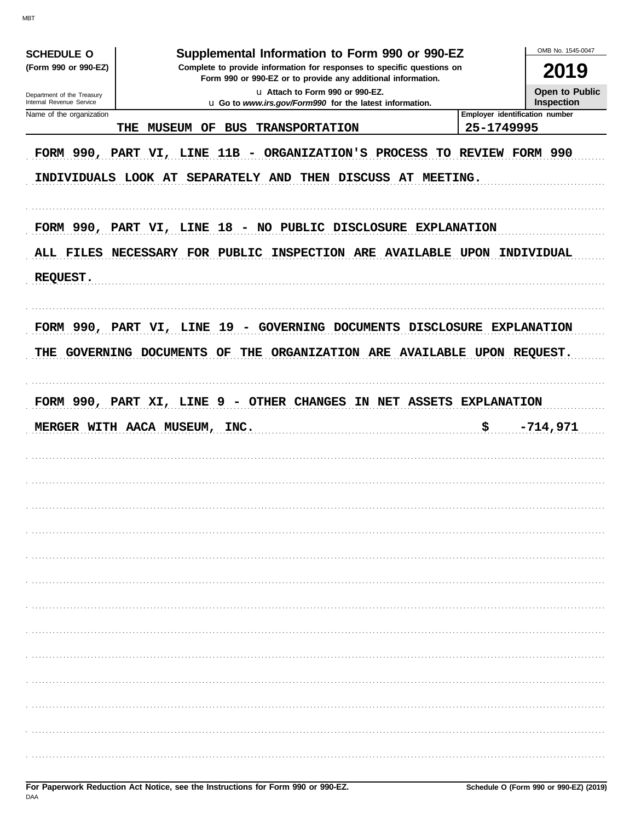| <b>SCHEDULE O</b>                                    | Supplemental Information to Form 990 or 990-EZ                                                                                                          |                                | OMB No. 1545-0047 |  |  |  |
|------------------------------------------------------|---------------------------------------------------------------------------------------------------------------------------------------------------------|--------------------------------|-------------------|--|--|--|
| (Form 990 or 990-EZ)                                 | Complete to provide information for responses to specific questions on                                                                                  | 2019                           |                   |  |  |  |
| Department of the Treasury                           | Form 990 or 990-EZ or to provide any additional information.<br>u Attach to Form 990 or 990-EZ.                                                         |                                |                   |  |  |  |
| Internal Revenue Service<br>Name of the organization | u Go to www.irs.gov/Form990 for the latest information.                                                                                                 | Employer identification number | Inspection        |  |  |  |
|                                                      | THE<br><b>MUSEUM</b><br>OF<br><b>BUS</b><br><b>TRANSPORTATION</b>                                                                                       | 25-1749995                     |                   |  |  |  |
| INDIVIDUALS LOOK AT                                  | FORM 990, PART VI, LINE<br>$11B -$<br>ORGANIZATION'S PROCESS<br>TO .<br><b>SEPARATELY AND</b><br>THEN DISCUSS AT MEETING.                               | <b>REVIEW FORM 990</b>         |                   |  |  |  |
| ALL FILES<br>REQUEST.                                | FORM 990, PART VI, LINE 18 - NO PUBLIC DISCLOSURE EXPLANATION<br>NECESSARY FOR PUBLIC<br>INSPECTION ARE AVAILABLE UPON INDIVIDUAL                       |                                |                   |  |  |  |
| THE                                                  | FORM 990, PART VI, LINE 19 - GOVERNING DOCUMENTS DISCLOSURE EXPLANATION<br>GOVERNING DOCUMENTS<br>ORGANIZATION ARE AVAILABLE UPON REQUEST.<br>OF<br>THE |                                |                   |  |  |  |
|                                                      | FORM 990, PART XI, LINE 9 - OTHER CHANGES<br>IN NET ASSETS EXPLANATION                                                                                  |                                |                   |  |  |  |
|                                                      | MERGER WITH AACA MUSEUM, INC.                                                                                                                           | \$                             | $-714,971$        |  |  |  |
|                                                      |                                                                                                                                                         |                                |                   |  |  |  |
|                                                      |                                                                                                                                                         |                                |                   |  |  |  |
|                                                      |                                                                                                                                                         |                                |                   |  |  |  |
|                                                      |                                                                                                                                                         |                                |                   |  |  |  |
|                                                      |                                                                                                                                                         |                                |                   |  |  |  |
|                                                      |                                                                                                                                                         |                                |                   |  |  |  |
|                                                      |                                                                                                                                                         |                                |                   |  |  |  |
|                                                      |                                                                                                                                                         |                                |                   |  |  |  |
|                                                      |                                                                                                                                                         |                                |                   |  |  |  |
|                                                      |                                                                                                                                                         |                                |                   |  |  |  |
|                                                      |                                                                                                                                                         |                                |                   |  |  |  |
|                                                      |                                                                                                                                                         |                                |                   |  |  |  |
|                                                      |                                                                                                                                                         |                                |                   |  |  |  |
|                                                      |                                                                                                                                                         |                                |                   |  |  |  |
|                                                      |                                                                                                                                                         |                                |                   |  |  |  |
|                                                      |                                                                                                                                                         |                                |                   |  |  |  |
|                                                      |                                                                                                                                                         |                                |                   |  |  |  |
|                                                      |                                                                                                                                                         |                                |                   |  |  |  |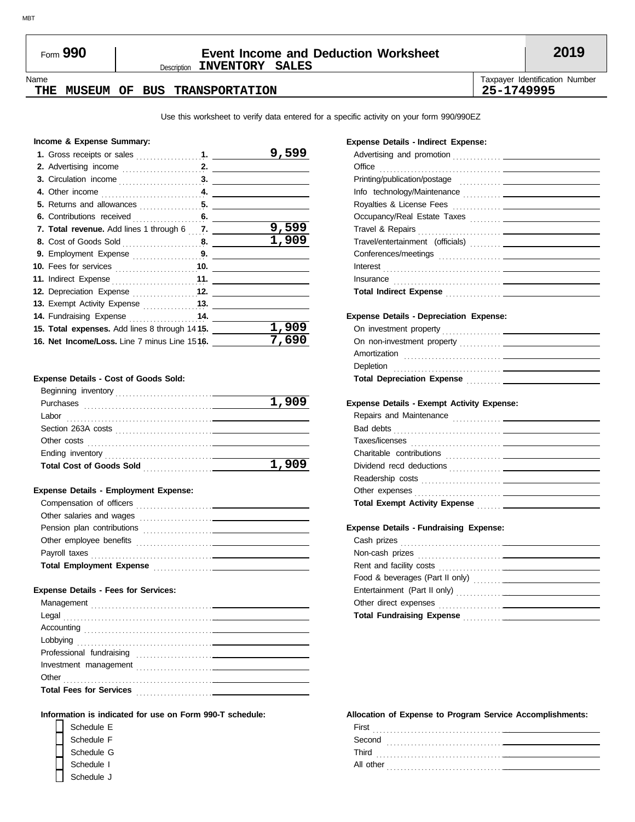### Description **INVENTORY SALES** Form **990 Event Income and Deduction Worksheet 2019**

### **THE MUSEUM OF BUS TRANSPORTATION 25-1749995**

Name Taxpayer Identification Number

Use this worksheet to verify data entered for a specific activity on your form 990/990EZ

#### **Income & Expense Summary:**

|  | 9,599                                                                                                                                                                                                                                       |
|--|---------------------------------------------------------------------------------------------------------------------------------------------------------------------------------------------------------------------------------------------|
|  |                                                                                                                                                                                                                                             |
|  |                                                                                                                                                                                                                                             |
|  |                                                                                                                                                                                                                                             |
|  |                                                                                                                                                                                                                                             |
|  |                                                                                                                                                                                                                                             |
|  | 9,599                                                                                                                                                                                                                                       |
|  | 1,909                                                                                                                                                                                                                                       |
|  |                                                                                                                                                                                                                                             |
|  |                                                                                                                                                                                                                                             |
|  |                                                                                                                                                                                                                                             |
|  |                                                                                                                                                                                                                                             |
|  |                                                                                                                                                                                                                                             |
|  |                                                                                                                                                                                                                                             |
|  | 1,909                                                                                                                                                                                                                                       |
|  | 7,690                                                                                                                                                                                                                                       |
|  | 7. Total revenue. Add lines 1 through 6 7.<br>9. Employment Expense 9.<br>12. Depreciation Expense 12.<br>13. Exempt Activity Expense  13.<br>15. Total expenses. Add lines 8 through 1415.<br>16. Net Income/Loss. Line 7 minus Line 1516. |

### **Expense Details - Cost of Goods Sold:**

| Beginning inventory             |       |
|---------------------------------|-------|
| Purchases                       | 1,909 |
| Labor                           |       |
| Section 263A costs              |       |
| Other costs                     |       |
|                                 |       |
| <b>Total Cost of Goods Sold</b> | 1,909 |
|                                 |       |

#### **Expense Details - Employment Expense:**

| Compensation of officers                                                                                      |
|---------------------------------------------------------------------------------------------------------------|
| Other salaries and wages                                                                                      |
| Pension plan contributions<br>the contract of the contract of the contract of the contract of the contract of |
| Other employee benefits                                                                                       |
| Payroll taxes                                                                                                 |
| <b>Total Employment Expense</b>                                                                               |

### **Expense Details - Fees for Services:**

| Management                     |  |
|--------------------------------|--|
|                                |  |
|                                |  |
|                                |  |
|                                |  |
|                                |  |
| Other                          |  |
| <b>Total Fees for Services</b> |  |
|                                |  |

#### **Information is indicated for use on Form 990-T schedule:**

| Schedule E |  |
|------------|--|
| Schedule F |  |
| Schedule G |  |
| Schedule I |  |
| Schedule J |  |

#### **Expense Details - Indirect Expense:**

| Office                                                                                                                                                                                                                               |  |
|--------------------------------------------------------------------------------------------------------------------------------------------------------------------------------------------------------------------------------------|--|
|                                                                                                                                                                                                                                      |  |
|                                                                                                                                                                                                                                      |  |
|                                                                                                                                                                                                                                      |  |
|                                                                                                                                                                                                                                      |  |
|                                                                                                                                                                                                                                      |  |
|                                                                                                                                                                                                                                      |  |
|                                                                                                                                                                                                                                      |  |
|                                                                                                                                                                                                                                      |  |
|                                                                                                                                                                                                                                      |  |
| Total Indirect Expense <b>Community</b> and the <b>Community of the Community of Table 2014</b>                                                                                                                                      |  |
|                                                                                                                                                                                                                                      |  |
| <b>Expense Details - Depreciation Expense:</b>                                                                                                                                                                                       |  |
|                                                                                                                                                                                                                                      |  |
|                                                                                                                                                                                                                                      |  |
|                                                                                                                                                                                                                                      |  |
| Depletion contains and the contact of the contact of the contact of the contact of the contact of the contact of the contact of the contact of the contact of the contact of the contact of the contact of the contact of the        |  |
|                                                                                                                                                                                                                                      |  |
|                                                                                                                                                                                                                                      |  |
| <b>Expense Details - Exempt Activity Expense:</b>                                                                                                                                                                                    |  |
|                                                                                                                                                                                                                                      |  |
|                                                                                                                                                                                                                                      |  |
|                                                                                                                                                                                                                                      |  |
|                                                                                                                                                                                                                                      |  |
|                                                                                                                                                                                                                                      |  |
|                                                                                                                                                                                                                                      |  |
|                                                                                                                                                                                                                                      |  |
| Total Exempt Activity Expense <b>Constant Construct Constant Constant Constant Constant Constant Constant Constant</b>                                                                                                               |  |
| <b>Expense Details - Fundraising Expense:</b>                                                                                                                                                                                        |  |
| Cash prizes <b>contract and the contract of the contract of the contract of the contract of the contract of the contract of the contract of the contract of the contract of the contract of the contract of the contract of the </b> |  |
|                                                                                                                                                                                                                                      |  |
|                                                                                                                                                                                                                                      |  |
|                                                                                                                                                                                                                                      |  |
| Other direct expenses                                                                                                                                                                                                                |  |
|                                                                                                                                                                                                                                      |  |

#### **Allocation of Expense to Program Service Accomplishments:**

Total Fundraising Expense **. . . . . . . . . .** 

| First        |  |
|--------------|--|
| Second       |  |
| <b>Third</b> |  |
| All other    |  |
|              |  |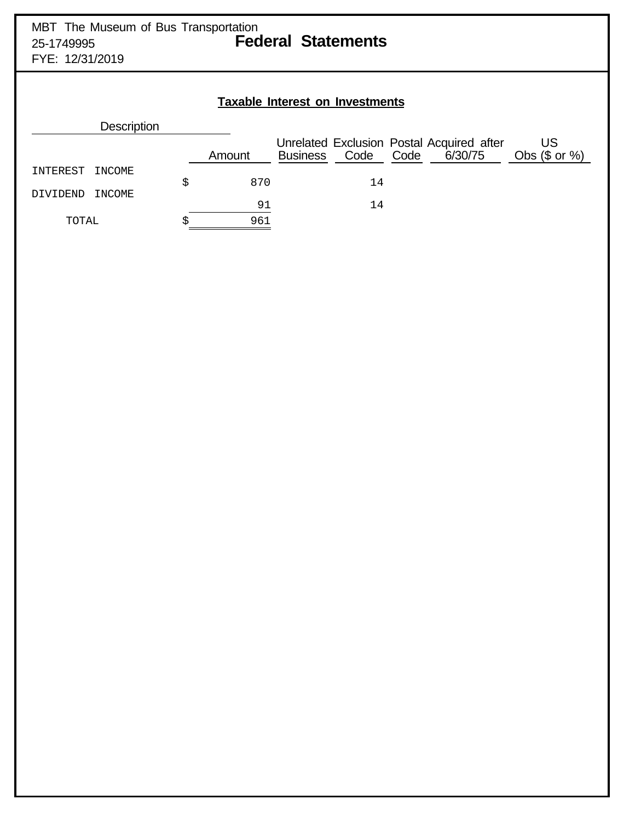## **Taxable Interest on Investments**

| <b>Description</b> |        |                 |      |      |                                                      |                        |
|--------------------|--------|-----------------|------|------|------------------------------------------------------|------------------------|
|                    | Amount | <b>Business</b> | Code | Code | Unrelated Exclusion Postal Acquired after<br>6/30/75 | US<br>Obs $(\$$ or $%$ |
| INTEREST<br>INCOME |        |                 |      |      |                                                      |                        |
| INCOME<br>DIVIDEND | 870    |                 | 14   |      |                                                      |                        |
|                    | 91     |                 | 14   |      |                                                      |                        |
| TOTAL              | 961    |                 |      |      |                                                      |                        |